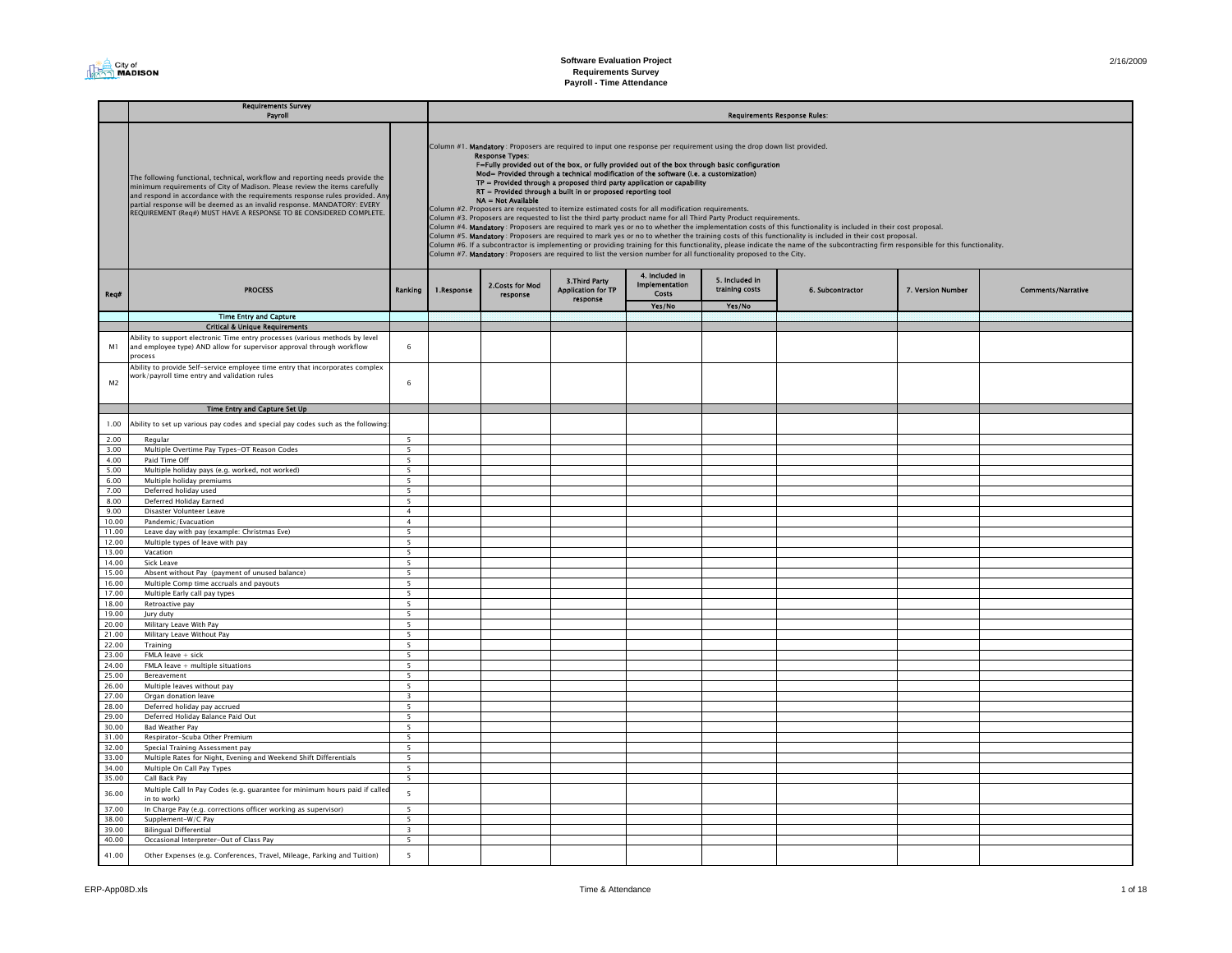| 2/16/2009 |  |
|-----------|--|
|           |  |

#### Req# Yes/No Yes/No Time Entry and Capture Critical & Unique Requirements M1Ability to support electronic Time entry processes (various methods by level and employee type) AND allow for supervisor approval through workflow ocess 6 $M<sub>2</sub>$ Ability to provide Self-service employee time entry that incorporates complex work/payroll time entry and validation rules 6Time Entry and Capture Set Up 1.00 Ability to set up various pay codes and special pay codes such as the following: 2.00 Regular 5 3.00 Multiple Overtime Pay Types-OT Reason Codes 5 4.00 Paid Time Offf 5  $\overline{5}$ 5.00 Multiple holiday pays (e.g. worked, not worked) 5 6.00 Multiple holiday premiums 5 7.00 Deferred holiday used 5 8.00 Deferred Holiday Earned 1988 and 1988 and 1988 and 1988 and 1988 and 1988 and 1988 and 1988 and 1988 and 1988 and 1988 and 1988 and 1988 and 1988 and 1988 and 1988 and 1988 and 1988 and 1988 and 1988 and 1988 and 1988 Disaster Volunteer Leave  $\overline{4}$ 10.00 Pandemic/Evacuation  $\overline{5}$ 11.00 Leave day with pay (example: Christmas Eve) 12.00 Multiple types of leave with pay 5 13.00 Vacationn 5  $5^{\circ}$ 14.00 Sick Leavee de la construction de la construction de la construction de la construction de la construction de la construction de la construction de la construction de la construction de la construction de la construction de la const 15.00 Absent without Pay (payment of unused balance) 5 16.00 Multiple Comp time accruals and payouts 5<br>17.00 Multiple Early call pay types 5 17.00 Multiple Early call pay types 18.00 Retroactive pay 5  $19.00$  Jury duty  $5$ 20.00 Military Leave With Pay 5 21.00 Military Leave Without Pay 5<br>
21.00 Systems of the United States of the United States of the United States of the United States of the United States of the United States of the United States of the United States of t 22.00 Training 5  $23.00$  FMLA leave + sick 5  $24.00$  FMLA leave  $\pm$  multiple situations  $5$ 25.00 Bereavementt 5  $\overline{5}$ 26.00 Multiple leaves without pay 27.00 Organ donation leave 3 28.00 Deferred holiday pay accrued 5 29.00 Deferred Holiday Balance Paid Out 5<br>30.00 Bad Weather Pay 5 30.00 Bad Weather Pay<br>31.00 Respirator-Scuba **1.000 Respirator-Scuba Other Premium 6.000 Studies and Studies Studies Studies Studies Studies Studies Studies** 32.00 Special Training Assessment pay 5 33.00 Multiple Rates for Night, Evening and Weekend Shift Differentials 5 34.00 Multiple On Call Pay Types 5 35.00 Call Back Pay 5 36.00Multiple Call In Pay Codes (e.g. guarantee for minimum hours paid if called in to work) 37.00 In Charge Pay (e.g. corrections officer working as supervisor) 5 38.00 Supplement-W/C Pay 39.00 Bilingual Differential 3 40.00 Occasional Interpreter-Out of Class Pay 5 41.00 Other Expenses (e.g. Conferences, Travel, Mileage, Parking and Tuition) 5 **Requirements Survey** Payroll **Requirements Response Rules:** The contract of the contract of the contract of the contract of the contract of the contract of the contract of the contract of the contract of the contract of the contract of the con The following functional, technical, workflow and reporting needs provide the minimum requirements of City of Madison. Please review the items carefully and respond in accordance with the requirements response rules provided. Any partial response will be deemed as an invalid response. MANDATORY: EVERY REQUIREMENT (Req#) MUST HAVE A RESPONSE TO BE CONSIDERED COMPLETE. 4. Included in Implementation Costs5. Included in 6. Subcontractor 7. Version Number Column #1. Mandatory : Proposers are required to input one response per requirement using the drop down list provided.<br> **F-Fully provided out of the box, or fully provided out of the box through basic configuration**<br> **Mode** Column #2. Proposers are requested to itemize estimated costs for all modification requirements. Column #3. Proposers are requested to list the third party product name for all Third Party Product requirements. Column #4. Mandatory : Proposers are required to mark yes or no to whether the implementation costs of this functionality is included in their cost proposal. Column #5. **Mandatory** : Proposers are required to mark yes or no to whether the training costs of this functionality is included in their cost proposal.<br>Column #6. If a subcontractor is implementing or providing training Column #7. Mandatory : Proposers are required to list the version number for all functionality proposed to the City. PROCESS **1.Response 2.Costs for Mod** 3.Third Party **Implementation 5. Included in**<br>
Response Presponse Costs training costs 6. Subcontractor 7. Version Number Comments/Narrative<br>
The response Costs contract Costs training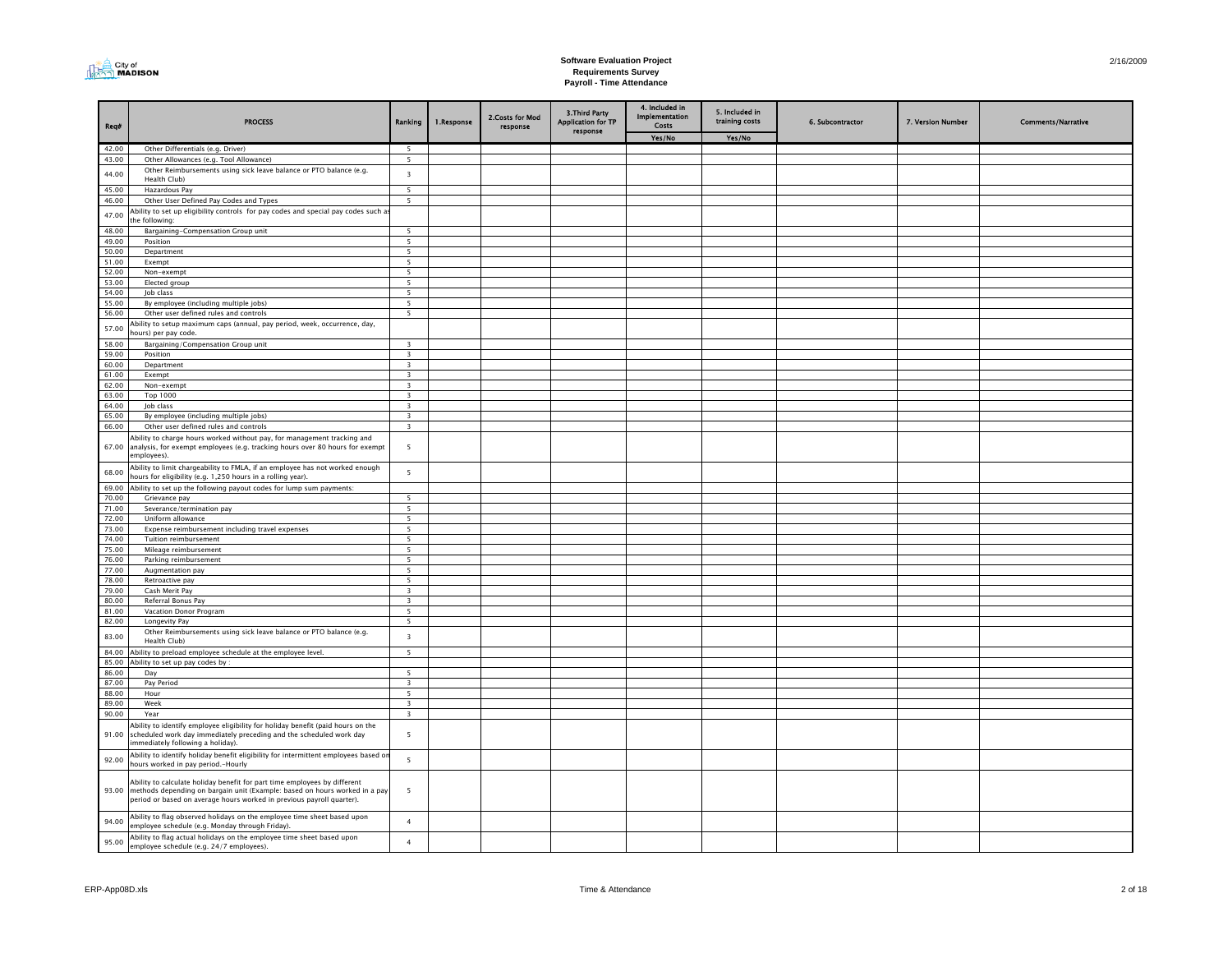

#### **Software Evaluation Project Requirements Survey Payroll - Time Attendance**

| Req#           | <b>PROCESS</b>                                                                                                                                                                                                                   | Ranking                          | 1.Response | 2.Costs for Mod<br>response | 3. Third Party<br><b>Application for TP</b><br>response | 4. Included in<br><b>Implementation</b><br>Costs | 5. Included in<br>training costs | 6. Subcontractor | 7. Version Number | <b>Comments/Narrative</b> |
|----------------|----------------------------------------------------------------------------------------------------------------------------------------------------------------------------------------------------------------------------------|----------------------------------|------------|-----------------------------|---------------------------------------------------------|--------------------------------------------------|----------------------------------|------------------|-------------------|---------------------------|
|                |                                                                                                                                                                                                                                  |                                  |            |                             |                                                         | Yes/No                                           | Yes/No                           |                  |                   |                           |
| 42.00          | Other Differentials (e.g. Driver)                                                                                                                                                                                                | $\overline{5}$                   |            |                             |                                                         |                                                  |                                  |                  |                   |                           |
| 43.00          | Other Allowances (e.g. Tool Allowance)                                                                                                                                                                                           | $\overline{5}$                   |            |                             |                                                         |                                                  |                                  |                  |                   |                           |
| 44.00          | Other Reimbursements using sick leave balance or PTO balance (e.g.                                                                                                                                                               | $\overline{\mathbf{3}}$          |            |                             |                                                         |                                                  |                                  |                  |                   |                           |
| 45.00          | Health Club)<br>Hazardous Pay                                                                                                                                                                                                    | $\overline{\phantom{a}}$         |            |                             |                                                         |                                                  |                                  |                  |                   |                           |
| 46.00          | Other User Defined Pay Codes and Types                                                                                                                                                                                           | $\overline{5}$                   |            |                             |                                                         |                                                  |                                  |                  |                   |                           |
|                | Ability to set up eligibility controls for pay codes and special pay codes such a                                                                                                                                                |                                  |            |                             |                                                         |                                                  |                                  |                  |                   |                           |
| 47.00          | he following:                                                                                                                                                                                                                    |                                  |            |                             |                                                         |                                                  |                                  |                  |                   |                           |
| 48.00          | Bargaining-Compensation Group unit                                                                                                                                                                                               | $\overline{5}$                   |            |                             |                                                         |                                                  |                                  |                  |                   |                           |
| 49.00          | Position                                                                                                                                                                                                                         | 5                                |            |                             |                                                         |                                                  |                                  |                  |                   |                           |
| 50.00          | Department                                                                                                                                                                                                                       | 5                                |            |                             |                                                         |                                                  |                                  |                  |                   |                           |
| 51.00          | Exempt                                                                                                                                                                                                                           | 5                                |            |                             |                                                         |                                                  |                                  |                  |                   |                           |
| 52.00<br>53.00 | Non-exempt<br>Elected group                                                                                                                                                                                                      | 5<br>5                           |            |                             |                                                         |                                                  |                                  |                  |                   |                           |
| 54.00          | Job class                                                                                                                                                                                                                        | 5                                |            |                             |                                                         |                                                  |                                  |                  |                   |                           |
| 55.00          | By employee (including multiple jobs)                                                                                                                                                                                            | 5                                |            |                             |                                                         |                                                  |                                  |                  |                   |                           |
| 56.00          | Other user defined rules and controls                                                                                                                                                                                            | 5                                |            |                             |                                                         |                                                  |                                  |                  |                   |                           |
| 57.00          | Ability to setup maximum caps (annual, pay period, week, occurrence, day,                                                                                                                                                        |                                  |            |                             |                                                         |                                                  |                                  |                  |                   |                           |
|                | 10urs) per pay code.                                                                                                                                                                                                             |                                  |            |                             |                                                         |                                                  |                                  |                  |                   |                           |
| 58.00          | Bargaining/Compensation Group unit                                                                                                                                                                                               | $\overline{3}$                   |            |                             |                                                         |                                                  |                                  |                  |                   |                           |
| 59.00          | Position                                                                                                                                                                                                                         | $\overline{\mathbf{3}}$<br>3     |            |                             |                                                         |                                                  |                                  |                  |                   |                           |
| 60.00<br>61.00 | Department<br>Exempt                                                                                                                                                                                                             | 3                                |            |                             |                                                         |                                                  |                                  |                  |                   |                           |
| 62.00          | Non-exempt                                                                                                                                                                                                                       | $\overline{\mathbf{3}}$          |            |                             |                                                         |                                                  |                                  |                  |                   |                           |
| 63.00          | Top 1000                                                                                                                                                                                                                         | $\overline{\mathbf{3}}$          |            |                             |                                                         |                                                  |                                  |                  |                   |                           |
| 64.00          | Job class                                                                                                                                                                                                                        | $\overline{\mathbf{3}}$          |            |                             |                                                         |                                                  |                                  |                  |                   |                           |
| 65.00          | By employee (including multiple jobs)                                                                                                                                                                                            | $\overline{\mathbf{3}}$          |            |                             |                                                         |                                                  |                                  |                  |                   |                           |
| 66.00          | Other user defined rules and controls                                                                                                                                                                                            | $\overline{\mathbf{3}}$          |            |                             |                                                         |                                                  |                                  |                  |                   |                           |
|                | Ability to charge hours worked without pay, for management tracking and                                                                                                                                                          |                                  |            |                             |                                                         |                                                  |                                  |                  |                   |                           |
| 67.00          | analysis, for exempt employees (e.g. tracking hours over 80 hours for exempt<br>employees).                                                                                                                                      | 5                                |            |                             |                                                         |                                                  |                                  |                  |                   |                           |
|                |                                                                                                                                                                                                                                  |                                  |            |                             |                                                         |                                                  |                                  |                  |                   |                           |
| 68.00          | Ability to limit chargeability to FMLA, if an employee has not worked enough<br>hours for eligibility (e.g. 1,250 hours in a rolling year).                                                                                      | 5                                |            |                             |                                                         |                                                  |                                  |                  |                   |                           |
| 69.00          | Ability to set up the following payout codes for lump sum payments:                                                                                                                                                              |                                  |            |                             |                                                         |                                                  |                                  |                  |                   |                           |
| 70.00          | Grievance pay                                                                                                                                                                                                                    | $\overline{\phantom{a}}$         |            |                             |                                                         |                                                  |                                  |                  |                   |                           |
| 71.00          | Severance/termination pay                                                                                                                                                                                                        | 5                                |            |                             |                                                         |                                                  |                                  |                  |                   |                           |
| 72.00          | Uniform allowance                                                                                                                                                                                                                | 5                                |            |                             |                                                         |                                                  |                                  |                  |                   |                           |
| 73.00          | Expense reimbursement including travel expenses                                                                                                                                                                                  | 5                                |            |                             |                                                         |                                                  |                                  |                  |                   |                           |
| 74.00<br>75.00 | Tuition reimbursement<br>Mileage reimbursement                                                                                                                                                                                   | 5<br>5                           |            |                             |                                                         |                                                  |                                  |                  |                   |                           |
| 76.00          | Parking reimbursement                                                                                                                                                                                                            | 5                                |            |                             |                                                         |                                                  |                                  |                  |                   |                           |
| 77.00          | Augmentation pay                                                                                                                                                                                                                 | 5                                |            |                             |                                                         |                                                  |                                  |                  |                   |                           |
| 78.00          | Retroactive pay                                                                                                                                                                                                                  | 5                                |            |                             |                                                         |                                                  |                                  |                  |                   |                           |
| 79.00          | Cash Merit Pay                                                                                                                                                                                                                   | $\overline{\mathbf{3}}$          |            |                             |                                                         |                                                  |                                  |                  |                   |                           |
| 80.00          | Referral Bonus Pay                                                                                                                                                                                                               | $\overline{\mathbf{3}}$          |            |                             |                                                         |                                                  |                                  |                  |                   |                           |
| 81.00          | Vacation Donor Program                                                                                                                                                                                                           | 5                                |            |                             |                                                         |                                                  |                                  |                  |                   |                           |
| 82.00          | Longevity Pay                                                                                                                                                                                                                    | 5                                |            |                             |                                                         |                                                  |                                  |                  |                   |                           |
| 83.00          | Other Reimbursements using sick leave balance or PTO balance (e.g.<br>Health Club)                                                                                                                                               | $\overline{\mathbf{3}}$          |            |                             |                                                         |                                                  |                                  |                  |                   |                           |
| 84.00          | Ability to preload employee schedule at the employee level.                                                                                                                                                                      | 5                                |            |                             |                                                         |                                                  |                                  |                  |                   |                           |
| 85.00          | Ability to set up pay codes by :                                                                                                                                                                                                 |                                  |            |                             |                                                         |                                                  |                                  |                  |                   |                           |
| 86.00          | Day                                                                                                                                                                                                                              | 5                                |            |                             |                                                         |                                                  |                                  |                  |                   |                           |
| 87.00          | Pay Period                                                                                                                                                                                                                       | $\overline{\mathbf{3}}$          |            |                             |                                                         |                                                  |                                  |                  |                   |                           |
| 88.00          | Hour                                                                                                                                                                                                                             | $\overline{\mathbf{5}}$          |            |                             |                                                         |                                                  |                                  |                  |                   |                           |
| 89.00          | Week                                                                                                                                                                                                                             | $\overline{3}$<br>$\overline{3}$ |            |                             |                                                         |                                                  |                                  |                  |                   |                           |
| 90.00          | Year                                                                                                                                                                                                                             |                                  |            |                             |                                                         |                                                  |                                  |                  |                   |                           |
| 91.00          | Ability to identify employee eligibility for holiday benefit (paid hours on the<br>scheduled work day immediately preceding and the scheduled work day<br>mmediately following a holiday).                                       | 5 <sup>5</sup>                   |            |                             |                                                         |                                                  |                                  |                  |                   |                           |
| 92.00          | Ability to identify holiday benefit eligibility for intermittent employees based o<br>hours worked in pay period.-Hourly                                                                                                         | 5                                |            |                             |                                                         |                                                  |                                  |                  |                   |                           |
| 93.00          | Ability to calculate holiday benefit for part time employees by different<br>methods depending on bargain unit (Example: based on hours worked in a pay<br>period or based on average hours worked in previous payroll quarter). | 5                                |            |                             |                                                         |                                                  |                                  |                  |                   |                           |
| 94.00          | Ability to flag observed holidays on the employee time sheet based upon<br>employee schedule (e.g. Monday through Friday).                                                                                                       | $\overline{4}$                   |            |                             |                                                         |                                                  |                                  |                  |                   |                           |
| 95.00          | Ability to flag actual holidays on the employee time sheet based upon<br>employee schedule (e.g. 24/7 employees).                                                                                                                | $\overline{4}$                   |            |                             |                                                         |                                                  |                                  |                  |                   |                           |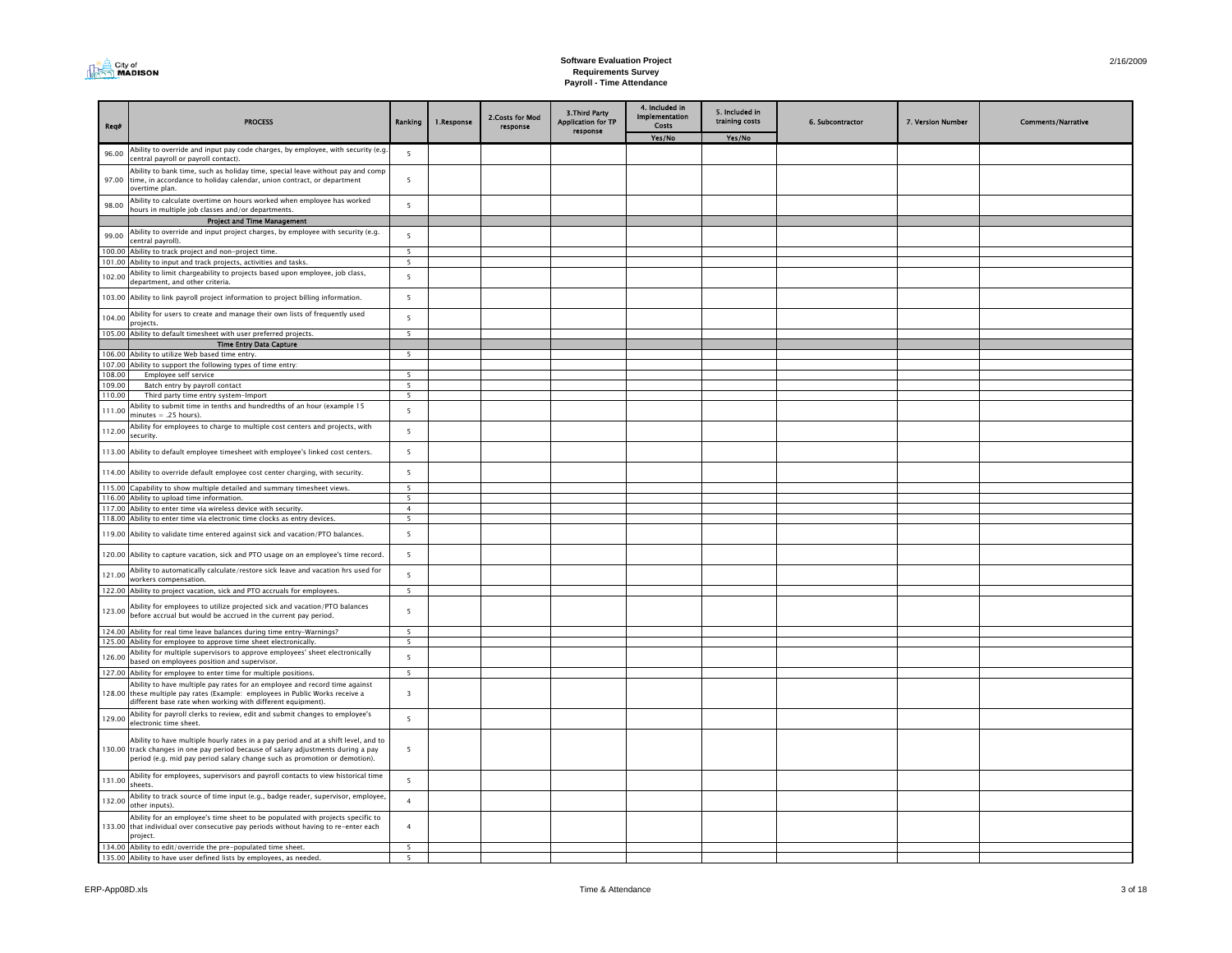#### **Software Evaluation Project Requirements Survey Payroll - Time Attendance**

| Reg#             | <b>PROCESS</b>                                                                                                                                                             | Ranking                  | 1.Response | 2.Costs for Mod<br>response | 3. Third Party<br><b>Application for TP</b><br>response | 4. Included in<br>Implementation<br>Costs | 5. Included in<br>training costs | 6. Subcontractor | 7. Version Number | <b>Comments/Narrative</b> |
|------------------|----------------------------------------------------------------------------------------------------------------------------------------------------------------------------|--------------------------|------------|-----------------------------|---------------------------------------------------------|-------------------------------------------|----------------------------------|------------------|-------------------|---------------------------|
|                  |                                                                                                                                                                            |                          |            |                             |                                                         | Yes/No                                    | Yes/No                           |                  |                   |                           |
| 96.00            | Ability to override and input pay code charges, by employee, with security (e.g.<br>central payroll or payroll contact).                                                   | 5                        |            |                             |                                                         |                                           |                                  |                  |                   |                           |
| 97.00            | Ability to bank time, such as holiday time, special leave without pay and comp<br>time, in accordance to holiday calendar, union contract, or department<br>overtime plan. | 5                        |            |                             |                                                         |                                           |                                  |                  |                   |                           |
| 98.00            | Ability to calculate overtime on hours worked when employee has worked                                                                                                     | 5                        |            |                             |                                                         |                                           |                                  |                  |                   |                           |
|                  | nours in multiple job classes and/or departments.                                                                                                                          |                          |            |                             |                                                         |                                           |                                  |                  |                   |                           |
|                  | <b>Project and Time Management</b><br>Ability to override and input project charges, by employee with security (e.g.                                                       |                          |            |                             |                                                         |                                           |                                  |                  |                   |                           |
| 99.00            | central pavroll).                                                                                                                                                          | 5                        |            |                             |                                                         |                                           |                                  |                  |                   |                           |
| 100.00           | Ability to track project and non-project time.                                                                                                                             | 5                        |            |                             |                                                         |                                           |                                  |                  |                   |                           |
|                  | 101.00 Ability to input and track projects, activities and tasks.<br>Ability to limit chargeability to projects based upon employee, job class,                            | 5                        |            |                             |                                                         |                                           |                                  |                  |                   |                           |
| 102.00           | department, and other criteria.                                                                                                                                            | 5                        |            |                             |                                                         |                                           |                                  |                  |                   |                           |
| 103.00           | Ability to link payroll project information to project billing information.                                                                                                | 5                        |            |                             |                                                         |                                           |                                  |                  |                   |                           |
| 104.00           | Ability for users to create and manage their own lists of frequently used<br>rojects                                                                                       | 5                        |            |                             |                                                         |                                           |                                  |                  |                   |                           |
| 105.00           | Ability to default timesheet with user preferred projects.<br><b>Time Entry Data Capture</b>                                                                               | $\overline{5}$           |            |                             |                                                         |                                           |                                  |                  |                   |                           |
| 106.00           | Ability to utilize Web based time entry.                                                                                                                                   | 5                        |            |                             |                                                         |                                           |                                  |                  |                   |                           |
|                  | 107.00 Ability to support the following types of time entry:                                                                                                               |                          |            |                             |                                                         |                                           |                                  |                  |                   |                           |
| 108.00           | Employee self service                                                                                                                                                      | 5                        |            |                             |                                                         |                                           |                                  |                  |                   |                           |
| 109.00           | Batch entry by payroll contact                                                                                                                                             | $\overline{5}$           |            |                             |                                                         |                                           |                                  |                  |                   |                           |
| 110.00           | Third party time entry system-Import                                                                                                                                       | 5                        |            |                             |                                                         |                                           |                                  |                  |                   |                           |
| 111.00           | Ability to submit time in tenths and hundredths of an hour (example 15<br>$minutes = .25 hours).$                                                                          | 5                        |            |                             |                                                         |                                           |                                  |                  |                   |                           |
| 112.00           | Ability for employees to charge to multiple cost centers and projects, with<br>security.                                                                                   | 5                        |            |                             |                                                         |                                           |                                  |                  |                   |                           |
| 113.00           | Ability to default employee timesheet with employee's linked cost centers.                                                                                                 | 5                        |            |                             |                                                         |                                           |                                  |                  |                   |                           |
| 114.00           | Ability to override default employee cost center charging, with security.                                                                                                  | 5                        |            |                             |                                                         |                                           |                                  |                  |                   |                           |
| 115.00<br>116.00 | Capability to show multiple detailed and summary timesheet views.<br>Ability to upload time information.                                                                   | 5<br>5                   |            |                             |                                                         |                                           |                                  |                  |                   |                           |
| 117.00           | Ability to enter time via wireless device with security.                                                                                                                   | $\overline{4}$           |            |                             |                                                         |                                           |                                  |                  |                   |                           |
| 118.00           | Ability to enter time via electronic time clocks as entry devices.                                                                                                         | 5                        |            |                             |                                                         |                                           |                                  |                  |                   |                           |
| 119.00           | Ability to validate time entered against sick and vacation/PTO balances.                                                                                                   | 5                        |            |                             |                                                         |                                           |                                  |                  |                   |                           |
| 120.00           | Ability to capture vacation, sick and PTO usage on an employee's time record.                                                                                              | 5                        |            |                             |                                                         |                                           |                                  |                  |                   |                           |
| 121.00           | Ability to automatically calculate/restore sick leave and vacation hrs used for<br>vorkers compensation.                                                                   | 5                        |            |                             |                                                         |                                           |                                  |                  |                   |                           |
|                  | 122.00 Ability to project vacation, sick and PTO accruals for employees.                                                                                                   | $\overline{5}$           |            |                             |                                                         |                                           |                                  |                  |                   |                           |
| 123.00           | Ability for employees to utilize projected sick and vacation/PTO balances<br>before accrual but would be accrued in the current pay period.                                | $\overline{5}$           |            |                             |                                                         |                                           |                                  |                  |                   |                           |
| 124.00           | Ability for real time leave balances during time entry-Warnings?                                                                                                           | $\overline{\phantom{a}}$ |            |                             |                                                         |                                           |                                  |                  |                   |                           |
| 125.00           | Ability for employee to approve time sheet electronically.                                                                                                                 | $\overline{\phantom{0}}$ |            |                             |                                                         |                                           |                                  |                  |                   |                           |
| 126.00           | Ability for multiple supervisors to approve employees' sheet electronically<br>based on employees position and supervisor.                                                 | $\overline{5}$           |            |                             |                                                         |                                           |                                  |                  |                   |                           |
|                  | 127.00 Ability for employee to enter time for multiple positions.<br>Ability to have multiple pay rates for an employee and record time against                            | 5                        |            |                             |                                                         |                                           |                                  |                  |                   |                           |
|                  | 128.00 these multiple pay rates (Example: employees in Public Works receive a<br>lifferent base rate when working with different equipment).                               | $\overline{3}$           |            |                             |                                                         |                                           |                                  |                  |                   |                           |
| 129.00           | Ability for payroll clerks to review, edit and submit changes to employee's<br>electronic time sheet.                                                                      | 5                        |            |                             |                                                         |                                           |                                  |                  |                   |                           |
|                  | Ability to have multiple hourly rates in a pay period and at a shift level, and to<br>130.00 track changes in one pay period because of salary adjustments during a pay    | 5                        |            |                             |                                                         |                                           |                                  |                  |                   |                           |
|                  | period (e.g. mid pay period salary change such as promotion or demotion).<br>Ability for employees, supervisors and payroll contacts to view historical time               |                          |            |                             |                                                         |                                           |                                  |                  |                   |                           |
| 131.00           | sheets.<br>Ability to track source of time input (e.g., badge reader, supervisor, employee,                                                                                | 5                        |            |                             |                                                         |                                           |                                  |                  |                   |                           |
| 132.00           | other inputs).<br>Ability for an employee's time sheet to be populated with projects specific to                                                                           | $\overline{4}$           |            |                             |                                                         |                                           |                                  |                  |                   |                           |
|                  | 133.00 that individual over consecutive pay periods without having to re-enter each<br>project.                                                                            | $\overline{4}$           |            |                             |                                                         |                                           |                                  |                  |                   |                           |
|                  | 134.00 Ability to edit/override the pre-populated time sheet.                                                                                                              | 5                        |            |                             |                                                         |                                           |                                  |                  |                   |                           |
|                  | 135.00 Ability to have user defined lists by employees, as needed.                                                                                                         | 5                        |            |                             |                                                         |                                           |                                  |                  |                   |                           |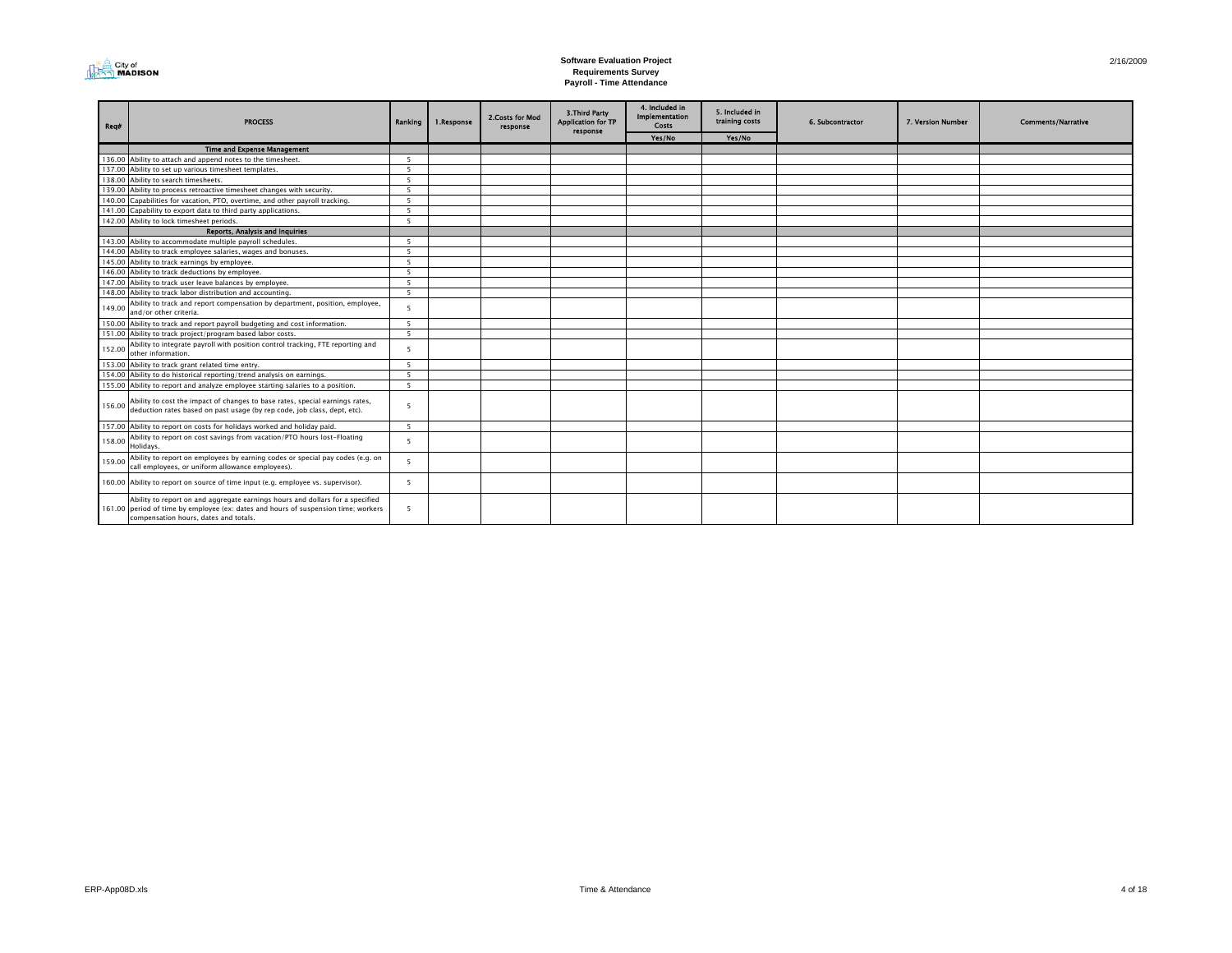

#### **Software Evaluation Project Requirements Survey Payroll - Time Attendance**

| Req#   | <b>PROCESS</b>                                                                                                                                                                                               | Ranking         | 1.Response | 2. Costs for Mod<br>response | 3. Third Party<br><b>Application for TP</b><br>response | 4. Included in<br><b>Implementation</b><br>Costs | 5. Included in<br>training costs | 6. Subcontractor | 7. Version Number | <b>Comments/Narrative</b> |
|--------|--------------------------------------------------------------------------------------------------------------------------------------------------------------------------------------------------------------|-----------------|------------|------------------------------|---------------------------------------------------------|--------------------------------------------------|----------------------------------|------------------|-------------------|---------------------------|
|        |                                                                                                                                                                                                              |                 |            |                              |                                                         | Yes/No                                           | Yes/No                           |                  |                   |                           |
|        | <b>Time and Expense Management</b>                                                                                                                                                                           |                 |            |                              |                                                         |                                                  |                                  |                  |                   |                           |
|        | 136.00 Ability to attach and append notes to the timesheet.                                                                                                                                                  | 5 <sup>5</sup>  |            |                              |                                                         |                                                  |                                  |                  |                   |                           |
|        | 137.00 Ability to set up various timesheet templates.                                                                                                                                                        | - 5             |            |                              |                                                         |                                                  |                                  |                  |                   |                           |
|        | 138.00 Ability to search timesheets.                                                                                                                                                                         | $5\overline{5}$ |            |                              |                                                         |                                                  |                                  |                  |                   |                           |
|        | 139.00 Ability to process retroactive timesheet changes with security.                                                                                                                                       | - 5             |            |                              |                                                         |                                                  |                                  |                  |                   |                           |
|        | 140.00 Capabilities for vacation, PTO, overtime, and other payroll tracking.                                                                                                                                 | 5 <sup>5</sup>  |            |                              |                                                         |                                                  |                                  |                  |                   |                           |
|        | 141.00 Capability to export data to third party applications.                                                                                                                                                | $\overline{5}$  |            |                              |                                                         |                                                  |                                  |                  |                   |                           |
|        | 142.00 Ability to lock timesheet periods.                                                                                                                                                                    | $5\overline{5}$ |            |                              |                                                         |                                                  |                                  |                  |                   |                           |
|        | Reports, Analysis and Inquiries                                                                                                                                                                              |                 |            |                              |                                                         |                                                  |                                  |                  |                   |                           |
|        | 143.00 Ability to accommodate multiple payroll schedules.                                                                                                                                                    | -5              |            |                              |                                                         |                                                  |                                  |                  |                   |                           |
|        | 144.00 Ability to track employee salaries, wages and bonuses.                                                                                                                                                | $5\overline{5}$ |            |                              |                                                         |                                                  |                                  |                  |                   |                           |
|        | 145.00 Ability to track earnings by employee.                                                                                                                                                                | - 5             |            |                              |                                                         |                                                  |                                  |                  |                   |                           |
|        | 146.00 Ability to track deductions by employee.                                                                                                                                                              | - 5             |            |                              |                                                         |                                                  |                                  |                  |                   |                           |
|        | 147.00 Ability to track user leave balances by employee.                                                                                                                                                     | 5 <sup>5</sup>  |            |                              |                                                         |                                                  |                                  |                  |                   |                           |
|        | 148.00 Ability to track labor distribution and accounting.                                                                                                                                                   | $\overline{5}$  |            |                              |                                                         |                                                  |                                  |                  |                   |                           |
| 149.00 | Ability to track and report compensation by department, position, employee,<br>and/or other criteria.                                                                                                        |                 |            |                              |                                                         |                                                  |                                  |                  |                   |                           |
|        | 150.00 Ability to track and report payroll budgeting and cost information.                                                                                                                                   | - 5             |            |                              |                                                         |                                                  |                                  |                  |                   |                           |
|        | 151.00 Ability to track project/program based labor costs.                                                                                                                                                   | $5\overline{5}$ |            |                              |                                                         |                                                  |                                  |                  |                   |                           |
| 152.00 | Ability to integrate payroll with position control tracking, FTE reporting and<br>other information.                                                                                                         | $\overline{5}$  |            |                              |                                                         |                                                  |                                  |                  |                   |                           |
|        | 153.00 Ability to track grant related time entry.                                                                                                                                                            | 5 <sup>5</sup>  |            |                              |                                                         |                                                  |                                  |                  |                   |                           |
|        | 154.00 Ability to do historical reporting/trend analysis on earnings.                                                                                                                                        | 5 <sup>5</sup>  |            |                              |                                                         |                                                  |                                  |                  |                   |                           |
|        | 155.00 Ability to report and analyze employee starting salaries to a position.                                                                                                                               | $5\overline{5}$ |            |                              |                                                         |                                                  |                                  |                  |                   |                           |
| 156.00 | Ability to cost the impact of changes to base rates, special earnings rates,<br>deduction rates based on past usage (by rep code, job class, dept, etc).                                                     | -5              |            |                              |                                                         |                                                  |                                  |                  |                   |                           |
|        | 157.00 Ability to report on costs for holidays worked and holiday paid.                                                                                                                                      | $\overline{5}$  |            |                              |                                                         |                                                  |                                  |                  |                   |                           |
| 158.00 | Ability to report on cost savings from vacation/PTO hours lost-Floating<br>Holidays.                                                                                                                         | $\overline{5}$  |            |                              |                                                         |                                                  |                                  |                  |                   |                           |
| 159.00 | Ability to report on employees by earning codes or special pay codes (e.g. on<br>call employees, or uniform allowance employees).                                                                            | $5^{\circ}$     |            |                              |                                                         |                                                  |                                  |                  |                   |                           |
|        | 160.00 Ability to report on source of time input (e.g. employee vs. supervisor).                                                                                                                             | 5               |            |                              |                                                         |                                                  |                                  |                  |                   |                           |
|        | Ability to report on and aggregate earnings hours and dollars for a specified<br>161.00 period of time by employee (ex: dates and hours of suspension time; workers<br>compensation hours, dates and totals. | $\overline{5}$  |            |                              |                                                         |                                                  |                                  |                  |                   |                           |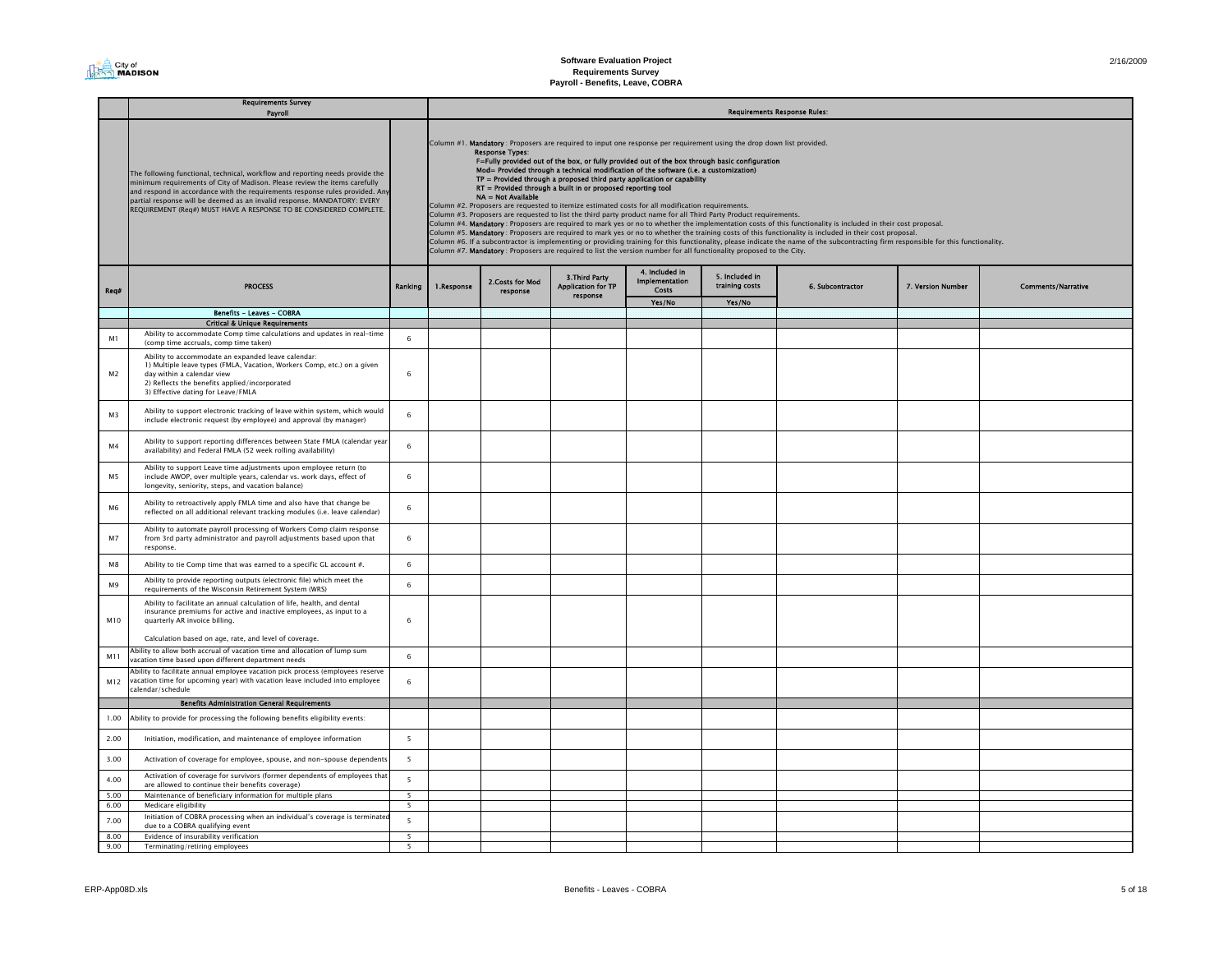2/16/2009

|                      | <b>Requirements Survey</b><br>Payroll                                                                                                                                                                                                                                                                                                                                                         |                                           |            | <b>Requirements Response Rules:</b>          |                                                                                                                                                                                                                                                                                                                                      |                                                  |                                                                                                                                                                                                                                                                                                                                                                                                                                                                     |                                                                                                                                                                                                                                                                                                                                                                                                                                                                                                                |                   |                           |  |  |
|----------------------|-----------------------------------------------------------------------------------------------------------------------------------------------------------------------------------------------------------------------------------------------------------------------------------------------------------------------------------------------------------------------------------------------|-------------------------------------------|------------|----------------------------------------------|--------------------------------------------------------------------------------------------------------------------------------------------------------------------------------------------------------------------------------------------------------------------------------------------------------------------------------------|--------------------------------------------------|---------------------------------------------------------------------------------------------------------------------------------------------------------------------------------------------------------------------------------------------------------------------------------------------------------------------------------------------------------------------------------------------------------------------------------------------------------------------|----------------------------------------------------------------------------------------------------------------------------------------------------------------------------------------------------------------------------------------------------------------------------------------------------------------------------------------------------------------------------------------------------------------------------------------------------------------------------------------------------------------|-------------------|---------------------------|--|--|
|                      | The following functional, technical, workflow and reporting needs provide the<br>minimum requirements of City of Madison. Please review the items carefully<br>and respond in accordance with the requirements response rules provided. Any<br>partial response will be deemed as an invalid response. MANDATORY: EVERY<br>REQUIREMENT (Req#) MUST HAVE A RESPONSE TO BE CONSIDERED COMPLETE. |                                           |            | <b>Response Types:</b><br>NA = Not Available | Mod= Provided through a technical modification of the software (i.e. a customization)<br>$TP =$ Provided through a proposed third party application or capability<br>RT = Provided through a built in or proposed reporting tool<br>Column #2. Proposers are requested to itemize estimated costs for all modification requirements. |                                                  | Column #1. Mandatory: Proposers are required to input one response per requirement using the drop down list provided.<br>F=Fully provided out of the box, or fully provided out of the box through basic configuration<br>Column #3. Proposers are requested to list the third party product name for all Third Party Product requirements.<br>Column #7. Mandatory : Proposers are required to list the version number for all functionality proposed to the City. | Column #4. Mandatory : Proposers are required to mark yes or no to whether the implementation costs of this functionality is included in their cost proposal.<br>Column #5. Mandatory: Proposers are required to mark yes or no to whether the training costs of this functionality is included in their cost proposal.<br>Column #6. If a subcontractor is implementing or providing training for this functionality, please indicate the name of the subcontracting firm responsible for this functionality. |                   |                           |  |  |
| Req#                 | <b>PROCESS</b>                                                                                                                                                                                                                                                                                                                                                                                | Ranking                                   | 1.Response | 2. Costs for Mod<br>response                 | 3. Third Party<br><b>Application for TP</b><br>response                                                                                                                                                                                                                                                                              | 4. Included in<br><b>Implementation</b><br>Costs | 5. Included in<br>training costs                                                                                                                                                                                                                                                                                                                                                                                                                                    | 6. Subcontractor                                                                                                                                                                                                                                                                                                                                                                                                                                                                                               | 7. Version Number | <b>Comments/Narrative</b> |  |  |
|                      |                                                                                                                                                                                                                                                                                                                                                                                               |                                           |            |                                              |                                                                                                                                                                                                                                                                                                                                      | Yes/No                                           | Yes/No                                                                                                                                                                                                                                                                                                                                                                                                                                                              |                                                                                                                                                                                                                                                                                                                                                                                                                                                                                                                |                   |                           |  |  |
|                      | <b>Benefits - Leaves - COBRA</b>                                                                                                                                                                                                                                                                                                                                                              |                                           |            |                                              |                                                                                                                                                                                                                                                                                                                                      |                                                  |                                                                                                                                                                                                                                                                                                                                                                                                                                                                     |                                                                                                                                                                                                                                                                                                                                                                                                                                                                                                                |                   |                           |  |  |
|                      | <b>Critical &amp; Unique Requirements</b><br>Ability to accommodate Comp time calculations and updates in real-time                                                                                                                                                                                                                                                                           |                                           |            |                                              |                                                                                                                                                                                                                                                                                                                                      |                                                  |                                                                                                                                                                                                                                                                                                                                                                                                                                                                     |                                                                                                                                                                                                                                                                                                                                                                                                                                                                                                                |                   |                           |  |  |
| M1<br>M <sub>2</sub> | (comp time accruals, comp time taken)<br>Ability to accommodate an expanded leave calendar:<br>1) Multiple leave types (FMLA, Vacation, Workers Comp, etc.) on a given<br>day within a calendar view<br>2) Reflects the benefits applied/incorporated<br>3) Effective dating for Leave/FMLA                                                                                                   | 6<br>6                                    |            |                                              |                                                                                                                                                                                                                                                                                                                                      |                                                  |                                                                                                                                                                                                                                                                                                                                                                                                                                                                     |                                                                                                                                                                                                                                                                                                                                                                                                                                                                                                                |                   |                           |  |  |
| M3                   | Ability to support electronic tracking of leave within system, which would<br>include electronic request (by employee) and approval (by manager)                                                                                                                                                                                                                                              | 6                                         |            |                                              |                                                                                                                                                                                                                                                                                                                                      |                                                  |                                                                                                                                                                                                                                                                                                                                                                                                                                                                     |                                                                                                                                                                                                                                                                                                                                                                                                                                                                                                                |                   |                           |  |  |
| M4                   | Ability to support reporting differences between State FMLA (calendar year<br>availability) and Federal FMLA (52 week rolling availability)                                                                                                                                                                                                                                                   | 6                                         |            |                                              |                                                                                                                                                                                                                                                                                                                                      |                                                  |                                                                                                                                                                                                                                                                                                                                                                                                                                                                     |                                                                                                                                                                                                                                                                                                                                                                                                                                                                                                                |                   |                           |  |  |
| M5                   | Ability to support Leave time adjustments upon employee return (to<br>include AWOP, over multiple years, calendar vs. work days, effect of<br>longevity, seniority, steps, and vacation balance)                                                                                                                                                                                              | 6                                         |            |                                              |                                                                                                                                                                                                                                                                                                                                      |                                                  |                                                                                                                                                                                                                                                                                                                                                                                                                                                                     |                                                                                                                                                                                                                                                                                                                                                                                                                                                                                                                |                   |                           |  |  |
| M6                   | Ability to retroactively apply FMLA time and also have that change be<br>reflected on all additional relevant tracking modules (i.e. leave calendar)                                                                                                                                                                                                                                          | 6                                         |            |                                              |                                                                                                                                                                                                                                                                                                                                      |                                                  |                                                                                                                                                                                                                                                                                                                                                                                                                                                                     |                                                                                                                                                                                                                                                                                                                                                                                                                                                                                                                |                   |                           |  |  |
| M <sub>7</sub>       | Ability to automate payroll processing of Workers Comp claim response<br>from 3rd party administrator and payroll adjustments based upon that<br>response.                                                                                                                                                                                                                                    | 6                                         |            |                                              |                                                                                                                                                                                                                                                                                                                                      |                                                  |                                                                                                                                                                                                                                                                                                                                                                                                                                                                     |                                                                                                                                                                                                                                                                                                                                                                                                                                                                                                                |                   |                           |  |  |
| M8                   | Ability to tie Comp time that was earned to a specific GL account #.                                                                                                                                                                                                                                                                                                                          | 6                                         |            |                                              |                                                                                                                                                                                                                                                                                                                                      |                                                  |                                                                                                                                                                                                                                                                                                                                                                                                                                                                     |                                                                                                                                                                                                                                                                                                                                                                                                                                                                                                                |                   |                           |  |  |
| M9                   | Ability to provide reporting outputs (electronic file) which meet the<br>requirements of the Wisconsin Retirement System (WRS)                                                                                                                                                                                                                                                                | $6\phantom{1}$                            |            |                                              |                                                                                                                                                                                                                                                                                                                                      |                                                  |                                                                                                                                                                                                                                                                                                                                                                                                                                                                     |                                                                                                                                                                                                                                                                                                                                                                                                                                                                                                                |                   |                           |  |  |
| M10                  | Ability to facilitate an annual calculation of life, health, and dental<br>insurance premiums for active and inactive employees, as input to a<br>quarterly AR invoice billing.<br>Calculation based on age, rate, and level of coverage.                                                                                                                                                     | $\mathbf{f}$                              |            |                                              |                                                                                                                                                                                                                                                                                                                                      |                                                  |                                                                                                                                                                                                                                                                                                                                                                                                                                                                     |                                                                                                                                                                                                                                                                                                                                                                                                                                                                                                                |                   |                           |  |  |
| M11                  | Ability to allow both accrual of vacation time and allocation of lump sum                                                                                                                                                                                                                                                                                                                     | 6                                         |            |                                              |                                                                                                                                                                                                                                                                                                                                      |                                                  |                                                                                                                                                                                                                                                                                                                                                                                                                                                                     |                                                                                                                                                                                                                                                                                                                                                                                                                                                                                                                |                   |                           |  |  |
| M12                  | vacation time based upon different department needs<br>Ability to facilitate annual employee vacation pick process (employees reserve<br>vacation time for upcoming year) with vacation leave included into employee<br>calendar/schedule                                                                                                                                                     | 6                                         |            |                                              |                                                                                                                                                                                                                                                                                                                                      |                                                  |                                                                                                                                                                                                                                                                                                                                                                                                                                                                     |                                                                                                                                                                                                                                                                                                                                                                                                                                                                                                                |                   |                           |  |  |
|                      | <b>Benefits Administration General Requirements</b>                                                                                                                                                                                                                                                                                                                                           |                                           |            |                                              |                                                                                                                                                                                                                                                                                                                                      |                                                  |                                                                                                                                                                                                                                                                                                                                                                                                                                                                     |                                                                                                                                                                                                                                                                                                                                                                                                                                                                                                                |                   |                           |  |  |
| 1.00                 | Ability to provide for processing the following benefits eligibility events:                                                                                                                                                                                                                                                                                                                  |                                           |            |                                              |                                                                                                                                                                                                                                                                                                                                      |                                                  |                                                                                                                                                                                                                                                                                                                                                                                                                                                                     |                                                                                                                                                                                                                                                                                                                                                                                                                                                                                                                |                   |                           |  |  |
| 2.00                 | Initiation, modification, and maintenance of employee information                                                                                                                                                                                                                                                                                                                             | 5                                         |            |                                              |                                                                                                                                                                                                                                                                                                                                      |                                                  |                                                                                                                                                                                                                                                                                                                                                                                                                                                                     |                                                                                                                                                                                                                                                                                                                                                                                                                                                                                                                |                   |                           |  |  |
| 3.00                 | Activation of coverage for employee, spouse, and non-spouse dependents                                                                                                                                                                                                                                                                                                                        | $5\overline{5}$                           |            |                                              |                                                                                                                                                                                                                                                                                                                                      |                                                  |                                                                                                                                                                                                                                                                                                                                                                                                                                                                     |                                                                                                                                                                                                                                                                                                                                                                                                                                                                                                                |                   |                           |  |  |
| 4.00                 | Activation of coverage for survivors (former dependents of employees that<br>are allowed to continue their benefits coverage)                                                                                                                                                                                                                                                                 | 5                                         |            |                                              |                                                                                                                                                                                                                                                                                                                                      |                                                  |                                                                                                                                                                                                                                                                                                                                                                                                                                                                     |                                                                                                                                                                                                                                                                                                                                                                                                                                                                                                                |                   |                           |  |  |
| 5.00<br>6.00         | Maintenance of beneficiary information for multiple plans<br>Medicare eligibility                                                                                                                                                                                                                                                                                                             | 5<br>5                                    |            |                                              |                                                                                                                                                                                                                                                                                                                                      |                                                  |                                                                                                                                                                                                                                                                                                                                                                                                                                                                     |                                                                                                                                                                                                                                                                                                                                                                                                                                                                                                                |                   |                           |  |  |
| 7.00<br>8.00         | Initiation of COBRA processing when an individual's coverage is terminated<br>due to a COBRA qualifying event<br>Evidence of insurability verification                                                                                                                                                                                                                                        | $\overline{\mathbf{5}}$<br>5 <sub>1</sub> |            |                                              |                                                                                                                                                                                                                                                                                                                                      |                                                  |                                                                                                                                                                                                                                                                                                                                                                                                                                                                     |                                                                                                                                                                                                                                                                                                                                                                                                                                                                                                                |                   |                           |  |  |
| 9.00                 | Terminating/retiring employees                                                                                                                                                                                                                                                                                                                                                                |                                           |            |                                              |                                                                                                                                                                                                                                                                                                                                      |                                                  |                                                                                                                                                                                                                                                                                                                                                                                                                                                                     |                                                                                                                                                                                                                                                                                                                                                                                                                                                                                                                |                   |                           |  |  |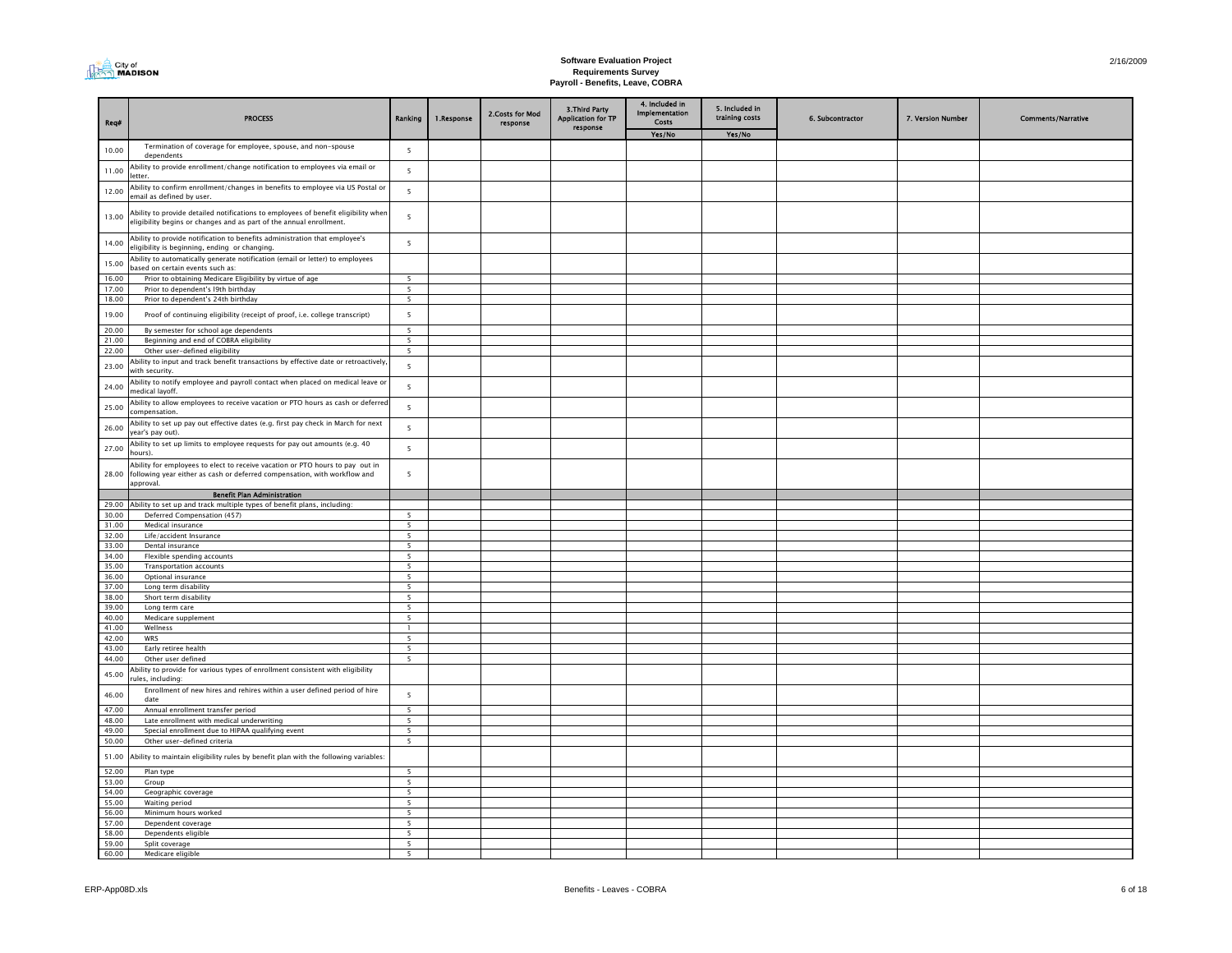

| Req#           | <b>PROCESS</b>                                                                                                                                                          | Ranking                                              | 1.Response | 2. Costs for Mod<br>response | 3. Third Party<br><b>Application for TP</b> | 4. Included in<br>Implementation<br>Costs | 5. Included in<br>training costs | 6. Subcontractor | 7. Version Number | <b>Comments/Narrative</b> |
|----------------|-------------------------------------------------------------------------------------------------------------------------------------------------------------------------|------------------------------------------------------|------------|------------------------------|---------------------------------------------|-------------------------------------------|----------------------------------|------------------|-------------------|---------------------------|
|                |                                                                                                                                                                         |                                                      |            |                              | response                                    | Yes/No                                    | Yes/No                           |                  |                   |                           |
| 10.00          | Termination of coverage for employee, spouse, and non-spouse<br>dependents                                                                                              | $\overline{\phantom{a}}$                             |            |                              |                                             |                                           |                                  |                  |                   |                           |
| 11.00          | Ability to provide enrollment/change notification to employees via email or<br>etter.                                                                                   | $\overline{5}$                                       |            |                              |                                             |                                           |                                  |                  |                   |                           |
| 12.00          | Ability to confirm enrollment/changes in benefits to employee via US Postal or<br>mail as defined by user.                                                              | 5                                                    |            |                              |                                             |                                           |                                  |                  |                   |                           |
| 13.00          | Ability to provide detailed notifications to employees of benefit eligibility wher<br>eligibility begins or changes and as part of the annual enrollment.               | 5                                                    |            |                              |                                             |                                           |                                  |                  |                   |                           |
| 14.00          | Ability to provide notification to benefits administration that employee's<br>ligibility is beginning, ending or changing.                                              | 5                                                    |            |                              |                                             |                                           |                                  |                  |                   |                           |
| 15.00          | Ability to automatically generate notification (email or letter) to employees<br>ased on certain events such as:                                                        |                                                      |            |                              |                                             |                                           |                                  |                  |                   |                           |
| 16.00          | Prior to obtaining Medicare Eligibility by virtue of age                                                                                                                | $\overline{5}$                                       |            |                              |                                             |                                           |                                  |                  |                   |                           |
| 17.00          | Prior to dependent's 19th birthday                                                                                                                                      | $\overline{\phantom{a}}$                             |            |                              |                                             |                                           |                                  |                  |                   |                           |
| 18.00          | Prior to dependent's 24th birthday                                                                                                                                      | $\overline{\phantom{a}}$                             |            |                              |                                             |                                           |                                  |                  |                   |                           |
| 19.00          | Proof of continuing eligibility (receipt of proof, i.e. college transcript)                                                                                             | $\overline{\phantom{a}}$                             |            |                              |                                             |                                           |                                  |                  |                   |                           |
| 20.00          | By semester for school age dependents                                                                                                                                   | $\overline{\phantom{a}}$                             |            |                              |                                             |                                           |                                  |                  |                   |                           |
| 21.00          | Beginning and end of COBRA eligibility<br>Other user-defined eligibility                                                                                                | $\overline{\phantom{a}}$<br>$\overline{\phantom{a}}$ |            |                              |                                             |                                           |                                  |                  |                   |                           |
| 22.00<br>23.00 | bility to input and track benefit transactions by effective date or retroactively<br>vith security.                                                                     | $\overline{\phantom{a}}$                             |            |                              |                                             |                                           |                                  |                  |                   |                           |
| 24.00          | bility to notify employee and payroll contact when placed on medical leave or<br>nedical layoff.                                                                        | 5                                                    |            |                              |                                             |                                           |                                  |                  |                   |                           |
| 25.00          | Ability to allow employees to receive vacation or PTO hours as cash or deferred<br>compensation.                                                                        | $\overline{\phantom{a}}$                             |            |                              |                                             |                                           |                                  |                  |                   |                           |
| 26.00          | Ability to set up pay out effective dates (e.g. first pay check in March for next<br>ear's pay out).                                                                    | 5                                                    |            |                              |                                             |                                           |                                  |                  |                   |                           |
| 27.00          | Ability to set up limits to employee requests for pay out amounts (e.g. 40<br>ours)                                                                                     | $\overline{\phantom{a}}$                             |            |                              |                                             |                                           |                                  |                  |                   |                           |
| 28.00          | Ability for employees to elect to receive vacation or PTO hours to pay out in<br>following year either as cash or deferred compensation, with workflow and<br>approval. | 5                                                    |            |                              |                                             |                                           |                                  |                  |                   |                           |
|                | <b>Benefit Plan Administration</b>                                                                                                                                      |                                                      |            |                              |                                             |                                           |                                  |                  |                   |                           |
| 29.00          | Ability to set up and track multiple types of benefit plans, including:                                                                                                 |                                                      |            |                              |                                             |                                           |                                  |                  |                   |                           |
| 30.00          | Deferred Compensation (457)                                                                                                                                             | 5                                                    |            |                              |                                             |                                           |                                  |                  |                   |                           |
| 31.00          | Medical insurance                                                                                                                                                       | 5                                                    |            |                              |                                             |                                           |                                  |                  |                   |                           |
| 32.00          | Life/accident Insurance                                                                                                                                                 | 5                                                    |            |                              |                                             |                                           |                                  |                  |                   |                           |
| 33.00          | Dental insurance                                                                                                                                                        | 5                                                    |            |                              |                                             |                                           |                                  |                  |                   |                           |
| 34.00<br>35.00 | Flexible spending accounts                                                                                                                                              | 5                                                    |            |                              |                                             |                                           |                                  |                  |                   |                           |
| 36.00          | <b>Transportation accounts</b><br>Optional insurance                                                                                                                    | 5<br>5                                               |            |                              |                                             |                                           |                                  |                  |                   |                           |
| 37.00          | Long term disability                                                                                                                                                    | 5                                                    |            |                              |                                             |                                           |                                  |                  |                   |                           |
| 38.00          | Short term disability                                                                                                                                                   | 5                                                    |            |                              |                                             |                                           |                                  |                  |                   |                           |
| 39.00          | Long term care                                                                                                                                                          | 5                                                    |            |                              |                                             |                                           |                                  |                  |                   |                           |
| 40.00          | Medicare supplement                                                                                                                                                     | 5                                                    |            |                              |                                             |                                           |                                  |                  |                   |                           |
| 41.00          | Wellness                                                                                                                                                                | $\mathbf{1}$                                         |            |                              |                                             |                                           |                                  |                  |                   |                           |
| 42.00          | WRS                                                                                                                                                                     | 5                                                    |            |                              |                                             |                                           |                                  |                  |                   |                           |
| 43.00<br>44.00 | Early retiree health<br>Other user defined                                                                                                                              | 5<br>$\overline{5}$                                  |            |                              |                                             |                                           |                                  |                  |                   |                           |
| 45.00          | Ability to provide for various types of enrollment consistent with eligibility<br>ules, including:                                                                      |                                                      |            |                              |                                             |                                           |                                  |                  |                   |                           |
| 46.00          | Enrollment of new hires and rehires within a user defined period of hire<br>date                                                                                        | $\overline{\phantom{a}}$                             |            |                              |                                             |                                           |                                  |                  |                   |                           |
| 47.00          | Annual enrollment transfer period                                                                                                                                       | 5                                                    |            |                              |                                             |                                           |                                  |                  |                   |                           |
| 48.00          | Late enrollment with medical underwriting                                                                                                                               | 5                                                    |            |                              |                                             |                                           |                                  |                  |                   |                           |
| 49.00          | Special enrollment due to HIPAA qualifying event                                                                                                                        | 5                                                    |            |                              |                                             |                                           |                                  |                  |                   |                           |
| 50.00          | Other user-defined criteria                                                                                                                                             | 5 <sup>5</sup>                                       |            |                              |                                             |                                           |                                  |                  |                   |                           |
| 51.00          | Ability to maintain eligibility rules by benefit plan with the following variables:                                                                                     |                                                      |            |                              |                                             |                                           |                                  |                  |                   |                           |
| 52.00          | Plan type                                                                                                                                                               | $\overline{\phantom{a}}$                             |            |                              |                                             |                                           |                                  |                  |                   |                           |
| 53.00<br>54.00 | Group                                                                                                                                                                   | $\overline{\phantom{a}}$<br>$\overline{5}$           |            |                              |                                             |                                           |                                  |                  |                   |                           |
| 55.00          | Geographic coverage<br>Waiting period                                                                                                                                   | 5                                                    |            |                              |                                             |                                           |                                  |                  |                   |                           |
| 56.00          | Minimum hours worked                                                                                                                                                    | $\overline{\phantom{a}}$                             |            |                              |                                             |                                           |                                  |                  |                   |                           |
| 57.00          | Dependent coverage                                                                                                                                                      | 5                                                    |            |                              |                                             |                                           |                                  |                  |                   |                           |
| 58.00          | Dependents eligible                                                                                                                                                     | $\overline{\phantom{a}}$                             |            |                              |                                             |                                           |                                  |                  |                   |                           |
| 59.00          | Split coverage                                                                                                                                                          | $\overline{5}$                                       |            |                              |                                             |                                           |                                  |                  |                   |                           |
| 60.00          | Medicare eligible                                                                                                                                                       | $\overline{\phantom{a}}$                             |            |                              |                                             |                                           |                                  |                  |                   |                           |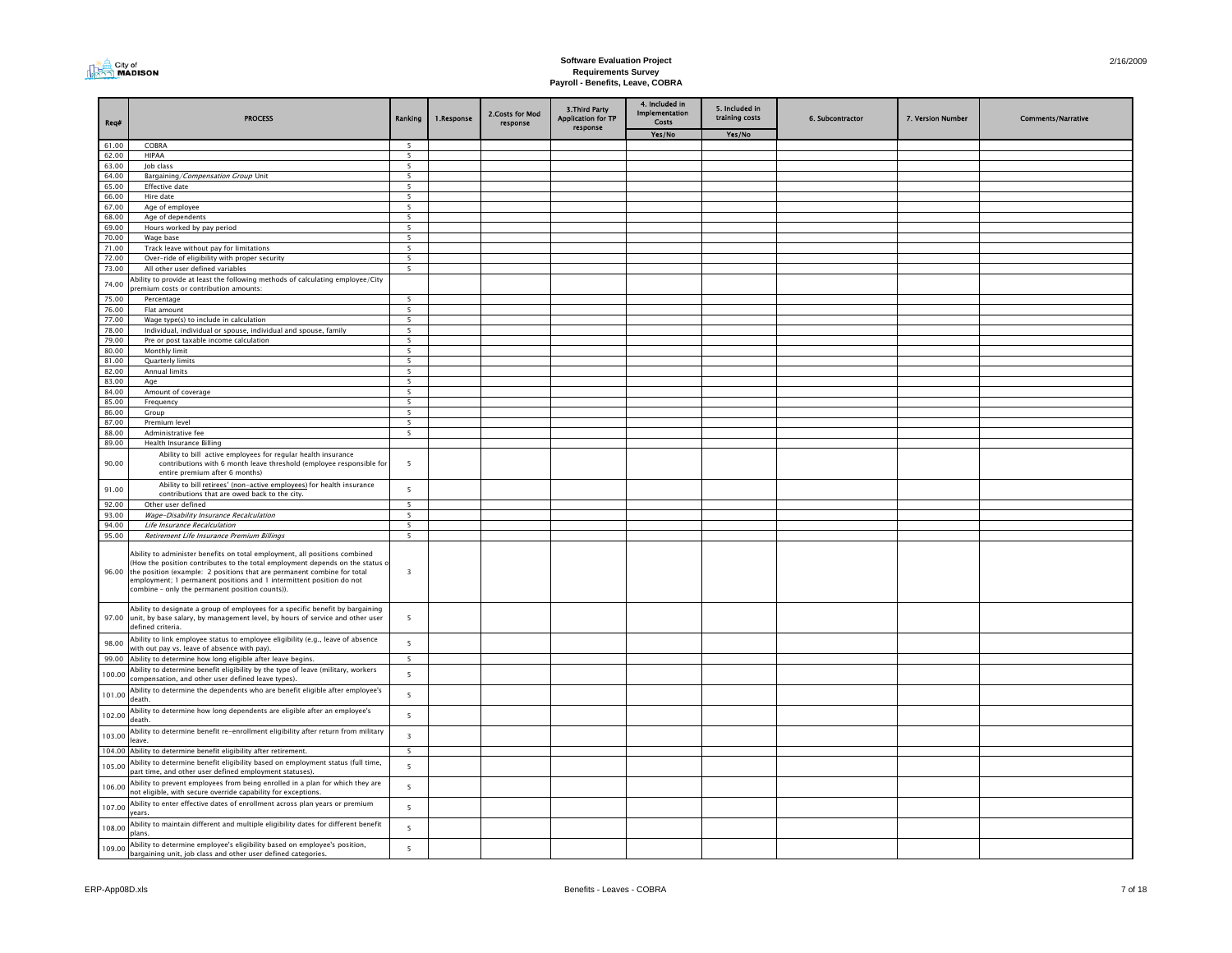

| Reg#           | <b>PROCESS</b>                                                                                                                                                                                                                                                                                                                                                          | Ranking                                              | 1.Response | 2.Costs for Mod<br>response | 3. Third Party<br><b>Application for TP</b><br>response | 4. Included in<br>Implementation<br>Costs | 5. Included in<br>training costs | 6. Subcontractor | 7. Version Number | <b>Comments/Narrative</b> |
|----------------|-------------------------------------------------------------------------------------------------------------------------------------------------------------------------------------------------------------------------------------------------------------------------------------------------------------------------------------------------------------------------|------------------------------------------------------|------------|-----------------------------|---------------------------------------------------------|-------------------------------------------|----------------------------------|------------------|-------------------|---------------------------|
|                |                                                                                                                                                                                                                                                                                                                                                                         |                                                      |            |                             |                                                         | Yes/No                                    | Yes/No                           |                  |                   |                           |
| 61.00          | COBRA                                                                                                                                                                                                                                                                                                                                                                   | $\overline{5}$                                       |            |                             |                                                         |                                           |                                  |                  |                   |                           |
| 62.00<br>63.00 | HIPAA<br>lob class                                                                                                                                                                                                                                                                                                                                                      | 5<br>$\overline{\phantom{a}}$                        |            |                             |                                                         |                                           |                                  |                  |                   |                           |
| 64.00          | Bargaining/Compensation Group Unit                                                                                                                                                                                                                                                                                                                                      | 5                                                    |            |                             |                                                         |                                           |                                  |                  |                   |                           |
| 65.00          | <b>Effective</b> date                                                                                                                                                                                                                                                                                                                                                   | $\overline{\phantom{a}}$                             |            |                             |                                                         |                                           |                                  |                  |                   |                           |
| 66.00          | Hire date                                                                                                                                                                                                                                                                                                                                                               | $\overline{5}$                                       |            |                             |                                                         |                                           |                                  |                  |                   |                           |
| 67.00          | Age of employee                                                                                                                                                                                                                                                                                                                                                         | $\overline{\phantom{a}}$                             |            |                             |                                                         |                                           |                                  |                  |                   |                           |
| 68.00          | Age of dependents                                                                                                                                                                                                                                                                                                                                                       | 5                                                    |            |                             |                                                         |                                           |                                  |                  |                   |                           |
| 69.00          | Hours worked by pay period                                                                                                                                                                                                                                                                                                                                              | $\overline{5}$                                       |            |                             |                                                         |                                           |                                  |                  |                   |                           |
| 70.00          | Wage base                                                                                                                                                                                                                                                                                                                                                               | $\overline{\phantom{a}}$<br>$\overline{\phantom{a}}$ |            |                             |                                                         |                                           |                                  |                  |                   |                           |
| 71.00<br>72.00 | Track leave without pay for limitations<br>Over-ride of eligibility with proper security                                                                                                                                                                                                                                                                                | $\overline{\phantom{a}}$                             |            |                             |                                                         |                                           |                                  |                  |                   |                           |
| 73.00          | All other user defined variables                                                                                                                                                                                                                                                                                                                                        | $\overline{\phantom{0}}$                             |            |                             |                                                         |                                           |                                  |                  |                   |                           |
| 74.00          | Ability to provide at least the following methods of calculating employee/City<br>oremium costs or contribution amounts:                                                                                                                                                                                                                                                |                                                      |            |                             |                                                         |                                           |                                  |                  |                   |                           |
| 75.00          | Percentage                                                                                                                                                                                                                                                                                                                                                              | 5                                                    |            |                             |                                                         |                                           |                                  |                  |                   |                           |
| 76.00          | Flat amount                                                                                                                                                                                                                                                                                                                                                             | $\overline{\phantom{a}}$                             |            |                             |                                                         |                                           |                                  |                  |                   |                           |
| 77.00          | Wage type(s) to include in calculation                                                                                                                                                                                                                                                                                                                                  | 5                                                    |            |                             |                                                         |                                           |                                  |                  |                   |                           |
| 78.00          | Individual, individual or spouse, individual and spouse, family                                                                                                                                                                                                                                                                                                         | 5                                                    |            |                             |                                                         |                                           |                                  |                  |                   |                           |
| 79.00          | Pre or post taxable income calculation                                                                                                                                                                                                                                                                                                                                  | 5<br>$\overline{\phantom{a}}$                        |            |                             |                                                         |                                           |                                  |                  |                   |                           |
| 80.00<br>81.00 | Monthly limit<br>Quarterly limits                                                                                                                                                                                                                                                                                                                                       | 5                                                    |            |                             |                                                         |                                           |                                  |                  |                   |                           |
| 82.00          | Annual limits                                                                                                                                                                                                                                                                                                                                                           | 5                                                    |            |                             |                                                         |                                           |                                  |                  |                   |                           |
| 83.00          | Age                                                                                                                                                                                                                                                                                                                                                                     | 5                                                    |            |                             |                                                         |                                           |                                  |                  |                   |                           |
| 84.00          | Amount of coverage                                                                                                                                                                                                                                                                                                                                                      | 5                                                    |            |                             |                                                         |                                           |                                  |                  |                   |                           |
| 85.00          | Frequency                                                                                                                                                                                                                                                                                                                                                               | 5                                                    |            |                             |                                                         |                                           |                                  |                  |                   |                           |
| 86.00          | Group                                                                                                                                                                                                                                                                                                                                                                   | 5                                                    |            |                             |                                                         |                                           |                                  |                  |                   |                           |
| 87.00          | Premium level                                                                                                                                                                                                                                                                                                                                                           | 5                                                    |            |                             |                                                         |                                           |                                  |                  |                   |                           |
| 88.00<br>89.00 | Administrative fee<br><b>Health Insurance Billing</b>                                                                                                                                                                                                                                                                                                                   | $\overline{\phantom{a}}$                             |            |                             |                                                         |                                           |                                  |                  |                   |                           |
| 90.00          | Ability to bill active employees for regular health insurance<br>contributions with 6 month leave threshold (employee responsible for<br>entire premium after 6 months)                                                                                                                                                                                                 | 5                                                    |            |                             |                                                         |                                           |                                  |                  |                   |                           |
| 91.00          | Ability to bill retirees' (non-active employees) for health insurance<br>contributions that are owed back to the city.                                                                                                                                                                                                                                                  | 5                                                    |            |                             |                                                         |                                           |                                  |                  |                   |                           |
| 92.00          | Other user defined                                                                                                                                                                                                                                                                                                                                                      | 5                                                    |            |                             |                                                         |                                           |                                  |                  |                   |                           |
| 93.00          | Wage-Disability Insurance Recalculation                                                                                                                                                                                                                                                                                                                                 | 5                                                    |            |                             |                                                         |                                           |                                  |                  |                   |                           |
| 94.00          | Life Insurance Recalculation                                                                                                                                                                                                                                                                                                                                            | 5                                                    |            |                             |                                                         |                                           |                                  |                  |                   |                           |
| 95.00          | Retirement Life Insurance Premium Billings                                                                                                                                                                                                                                                                                                                              | 5                                                    |            |                             |                                                         |                                           |                                  |                  |                   |                           |
|                | Ability to administer benefits on total employment, all positions combined<br>(How the position contributes to the total employment depends on the status o<br>96.00 the position (example: 2 positions that are permanent combine for total<br>employment; 1 permanent positions and 1 intermittent position do not<br>combine - only the permanent position counts)). | $\overline{3}$                                       |            |                             |                                                         |                                           |                                  |                  |                   |                           |
|                | Ability to designate a group of employees for a specific benefit by bargaining<br>97.00 unit, by base salary, by management level, by hours of service and other user<br>defined criteria.                                                                                                                                                                              | $\overline{5}$                                       |            |                             |                                                         |                                           |                                  |                  |                   |                           |
| 98.00          | Ability to link employee status to employee eligibility (e.g., leave of absence                                                                                                                                                                                                                                                                                         | $\overline{5}$                                       |            |                             |                                                         |                                           |                                  |                  |                   |                           |
| 99.00          | with out pay vs. leave of absence with pay).<br>Ability to determine how long eligible after leave begins.                                                                                                                                                                                                                                                              | - 5                                                  |            |                             |                                                         |                                           |                                  |                  |                   |                           |
|                | Ability to determine benefit eligibility by the type of leave (military, workers                                                                                                                                                                                                                                                                                        |                                                      |            |                             |                                                         |                                           |                                  |                  |                   |                           |
| 100.00         | compensation, and other user defined leave types).<br>Ability to determine the dependents who are benefit eligible after employee's                                                                                                                                                                                                                                     | $\overline{\phantom{a}}$                             |            |                             |                                                         |                                           |                                  |                  |                   |                           |
| 101.00         | death.<br>Ability to determine how long dependents are eligible after an employee's                                                                                                                                                                                                                                                                                     | $\overline{\phantom{0}}$                             |            |                             |                                                         |                                           |                                  |                  |                   |                           |
| 102.00         | death.                                                                                                                                                                                                                                                                                                                                                                  | $\overline{\phantom{a}}$                             |            |                             |                                                         |                                           |                                  |                  |                   |                           |
| 103.00         | Ability to determine benefit re-enrollment eligibility after return from military<br>leave.                                                                                                                                                                                                                                                                             | $\overline{\mathbf{3}}$                              |            |                             |                                                         |                                           |                                  |                  |                   |                           |
|                | 104.00 Ability to determine benefit eligibility after retirement.                                                                                                                                                                                                                                                                                                       | 5                                                    |            |                             |                                                         |                                           |                                  |                  |                   |                           |
| 105.00         | Ability to determine benefit eligibility based on employment status (full time,<br>part time, and other user defined employment statuses).                                                                                                                                                                                                                              | 5                                                    |            |                             |                                                         |                                           |                                  |                  |                   |                           |
| 106.00         | Ability to prevent employees from being enrolled in a plan for which they are<br>not eligible, with secure override capability for exceptions.                                                                                                                                                                                                                          | 5                                                    |            |                             |                                                         |                                           |                                  |                  |                   |                           |
| 107.00         | Ability to enter effective dates of enrollment across plan years or premium<br>ears.                                                                                                                                                                                                                                                                                    | 5                                                    |            |                             |                                                         |                                           |                                  |                  |                   |                           |
| 108.00         | Ability to maintain different and multiple eligibility dates for different benefit<br>plans.                                                                                                                                                                                                                                                                            | 5                                                    |            |                             |                                                         |                                           |                                  |                  |                   |                           |
| 109.00         | Ability to determine employee's eligibility based on employee's position,<br>bargaining unit, job class and other user defined categories.                                                                                                                                                                                                                              | 5                                                    |            |                             |                                                         |                                           |                                  |                  |                   |                           |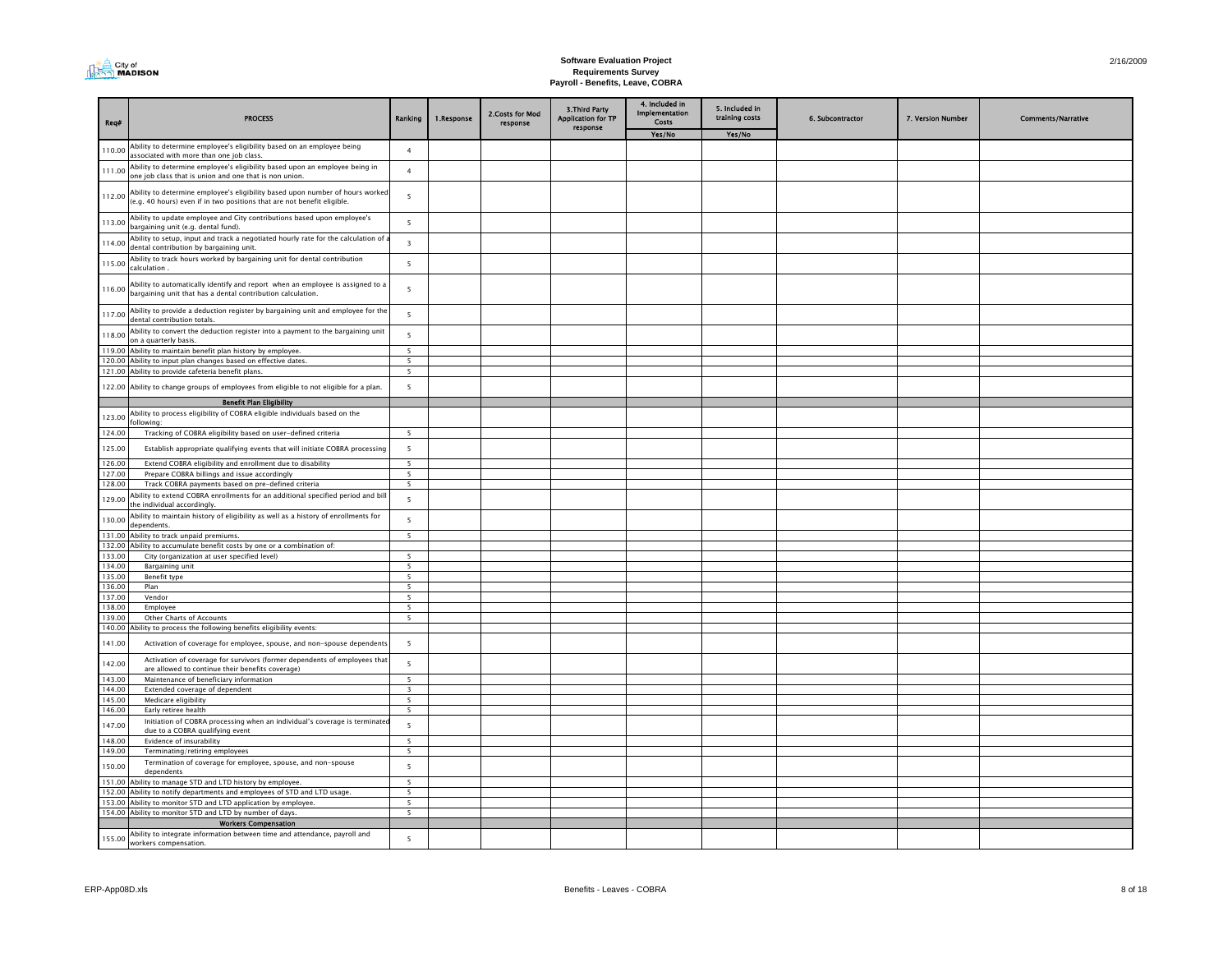

| Req#             | <b>PROCESS</b>                                                                                                                                           | Ranking                          | 1.Response | 2.Costs for Mod<br>response | 3. Third Party<br><b>Application for TP</b> | 4. Included in<br>Implementation<br>Costs | 5. Included in<br>training costs | 6. Subcontractor | 7. Version Number | <b>Comments/Narrative</b> |
|------------------|----------------------------------------------------------------------------------------------------------------------------------------------------------|----------------------------------|------------|-----------------------------|---------------------------------------------|-------------------------------------------|----------------------------------|------------------|-------------------|---------------------------|
|                  |                                                                                                                                                          |                                  |            |                             | response                                    | Yes/No                                    | Yes/No                           |                  |                   |                           |
| 110.00           | Ability to determine employee's eligibility based on an employee being<br>associated with more than one job class.                                       | $\overline{4}$                   |            |                             |                                             |                                           |                                  |                  |                   |                           |
| 111.00           | Ability to determine employee's eligibility based upon an employee being in<br>one job class that is union and one that is non union.                    | $\overline{4}$                   |            |                             |                                             |                                           |                                  |                  |                   |                           |
| 112.00           | Ability to determine employee's eligibility based upon number of hours worked<br>(e.g. 40 hours) even if in two positions that are not benefit eligible. | $\overline{5}$                   |            |                             |                                             |                                           |                                  |                  |                   |                           |
| 113.00           | Ability to update employee and City contributions based upon employee's<br>bargaining unit (e.g. dental fund).                                           | 5                                |            |                             |                                             |                                           |                                  |                  |                   |                           |
| 114.00           | Ability to setup, input and track a negotiated hourly rate for the calculation of a<br>dental contribution by bargaining unit.                           | $\overline{\mathbf{3}}$          |            |                             |                                             |                                           |                                  |                  |                   |                           |
| 115.00           | Ability to track hours worked by bargaining unit for dental contribution<br>calculation.                                                                 | 5                                |            |                             |                                             |                                           |                                  |                  |                   |                           |
| 116.00           | Ability to automatically identify and report when an employee is assigned to a<br>bargaining unit that has a dental contribution calculation.            | $\overline{5}$                   |            |                             |                                             |                                           |                                  |                  |                   |                           |
| 117.00           | Ability to provide a deduction register by bargaining unit and employee for the<br>dental contribution totals.                                           | 5                                |            |                             |                                             |                                           |                                  |                  |                   |                           |
| 118.00           | Ability to convert the deduction register into a payment to the bargaining unit<br>on a quarterly basis.                                                 | - 5                              |            |                             |                                             |                                           |                                  |                  |                   |                           |
|                  | 119.00 Ability to maintain benefit plan history by employee.                                                                                             | $\overline{\phantom{a}}$         |            |                             |                                             |                                           |                                  |                  |                   |                           |
| 120.00           | Ability to input plan changes based on effective dates.                                                                                                  | 5                                |            |                             |                                             |                                           |                                  |                  |                   |                           |
|                  | 121.00 Ability to provide cafeteria benefit plans.                                                                                                       | $\overline{\phantom{a}}$         |            |                             |                                             |                                           |                                  |                  |                   |                           |
| 122.00           | Ability to change groups of employees from eligible to not eligible for a plan.<br><b>Benefit Plan Eligibility</b>                                       | $\overline{\phantom{a}}$         |            |                             |                                             |                                           |                                  |                  |                   |                           |
|                  |                                                                                                                                                          |                                  |            |                             |                                             |                                           |                                  |                  |                   |                           |
| 123.00<br>124.00 | Ability to process eligibility of COBRA eligible individuals based on the<br>following:<br>Tracking of COBRA eligibility based on user-defined criteria  | $\overline{5}$                   |            |                             |                                             |                                           |                                  |                  |                   |                           |
|                  |                                                                                                                                                          |                                  |            |                             |                                             |                                           |                                  |                  |                   |                           |
| 125.00<br>126.00 | Establish appropriate qualifying events that will initiate COBRA processing<br>Extend COBRA eligibility and enrollment due to disability                 | 5<br>5                           |            |                             |                                             |                                           |                                  |                  |                   |                           |
| 127.00           | Prepare COBRA billings and issue accordingly                                                                                                             | $5\overline{5}$                  |            |                             |                                             |                                           |                                  |                  |                   |                           |
| 128.00           | Track COBRA payments based on pre-defined criteria                                                                                                       | 5                                |            |                             |                                             |                                           |                                  |                  |                   |                           |
| 129.00           | Ability to extend COBRA enrollments for an additional specified period and bil<br>he individual accordingly.                                             | $\overline{5}$                   |            |                             |                                             |                                           |                                  |                  |                   |                           |
| 130.00           | Ability to maintain history of eligibility as well as a history of enrollments for<br>dependents.                                                        | 5                                |            |                             |                                             |                                           |                                  |                  |                   |                           |
| 131.00           | Ability to track unpaid premiums.                                                                                                                        | $5\overline{5}$                  |            |                             |                                             |                                           |                                  |                  |                   |                           |
| 132.00           | Ability to accumulate benefit costs by one or a combination of:                                                                                          |                                  |            |                             |                                             |                                           |                                  |                  |                   |                           |
| 133.00           | City (organization at user specified level)                                                                                                              | $\overline{\phantom{a}}$         |            |                             |                                             |                                           |                                  |                  |                   |                           |
| 134.00           | Bargaining unit                                                                                                                                          | $\overline{\phantom{a}}$         |            |                             |                                             |                                           |                                  |                  |                   |                           |
| 135.00           | Benefit type                                                                                                                                             | $\overline{5}$<br>$\overline{5}$ |            |                             |                                             |                                           |                                  |                  |                   |                           |
| 136.00<br>137.00 | Plan<br>Vendor                                                                                                                                           | 5                                |            |                             |                                             |                                           |                                  |                  |                   |                           |
| 138.00           | Employee                                                                                                                                                 | 5                                |            |                             |                                             |                                           |                                  |                  |                   |                           |
| 139.00           | Other Charts of Accounts                                                                                                                                 | 5                                |            |                             |                                             |                                           |                                  |                  |                   |                           |
| 140.00           | Ability to process the following benefits eligibility events:                                                                                            |                                  |            |                             |                                             |                                           |                                  |                  |                   |                           |
| 141.00           | Activation of coverage for employee, spouse, and non-spouse dependents                                                                                   | 5                                |            |                             |                                             |                                           |                                  |                  |                   |                           |
| 142.00           | Activation of coverage for survivors (former dependents of employees that<br>are allowed to continue their benefits coverage)                            | 5                                |            |                             |                                             |                                           |                                  |                  |                   |                           |
| 143.00           | Maintenance of beneficiary information                                                                                                                   | -5                               |            |                             |                                             |                                           |                                  |                  |                   |                           |
| 144.00           | Extended coverage of dependent                                                                                                                           | $\overline{\mathbf{3}}$          |            |                             |                                             |                                           |                                  |                  |                   |                           |
| 145.00           | Medicare eligibility                                                                                                                                     | 5                                |            |                             |                                             |                                           |                                  |                  |                   |                           |
| 146.00           | Early retiree health                                                                                                                                     | 5                                |            |                             |                                             |                                           |                                  |                  |                   |                           |
| 147.00<br>148.00 | Initiation of COBRA processing when an individual's coverage is terminate<br>due to a COBRA qualifying event                                             | 5<br>$\overline{\phantom{a}}$    |            |                             |                                             |                                           |                                  |                  |                   |                           |
| 149.00           | Evidence of insurability<br>Terminating/retiring employees                                                                                               | 5                                |            |                             |                                             |                                           |                                  |                  |                   |                           |
| 150.00           | Termination of coverage for employee, spouse, and non-spouse<br>dependents                                                                               | $\overline{5}$                   |            |                             |                                             |                                           |                                  |                  |                   |                           |
| 151.00           | Ability to manage STD and LTD history by employee.                                                                                                       | $\overline{\phantom{a}}$         |            |                             |                                             |                                           |                                  |                  |                   |                           |
| 152.00           | Ability to notify departments and employees of STD and LTD usage.                                                                                        | 5                                |            |                             |                                             |                                           |                                  |                  |                   |                           |
|                  | 153.00 Ability to monitor STD and LTD application by employee.                                                                                           | $\overline{5}$                   |            |                             |                                             |                                           |                                  |                  |                   |                           |
|                  | 154.00 Ability to monitor STD and LTD by number of days.                                                                                                 | $\overline{5}$                   |            |                             |                                             |                                           |                                  |                  |                   |                           |
|                  | <b>Workers Compensation</b>                                                                                                                              |                                  |            |                             |                                             |                                           |                                  |                  |                   |                           |
| 155.00           | Ability to integrate information between time and attendance, payroll and                                                                                | 5                                |            |                             |                                             |                                           |                                  |                  |                   |                           |
|                  | workers compensation.                                                                                                                                    |                                  |            |                             |                                             |                                           |                                  |                  |                   |                           |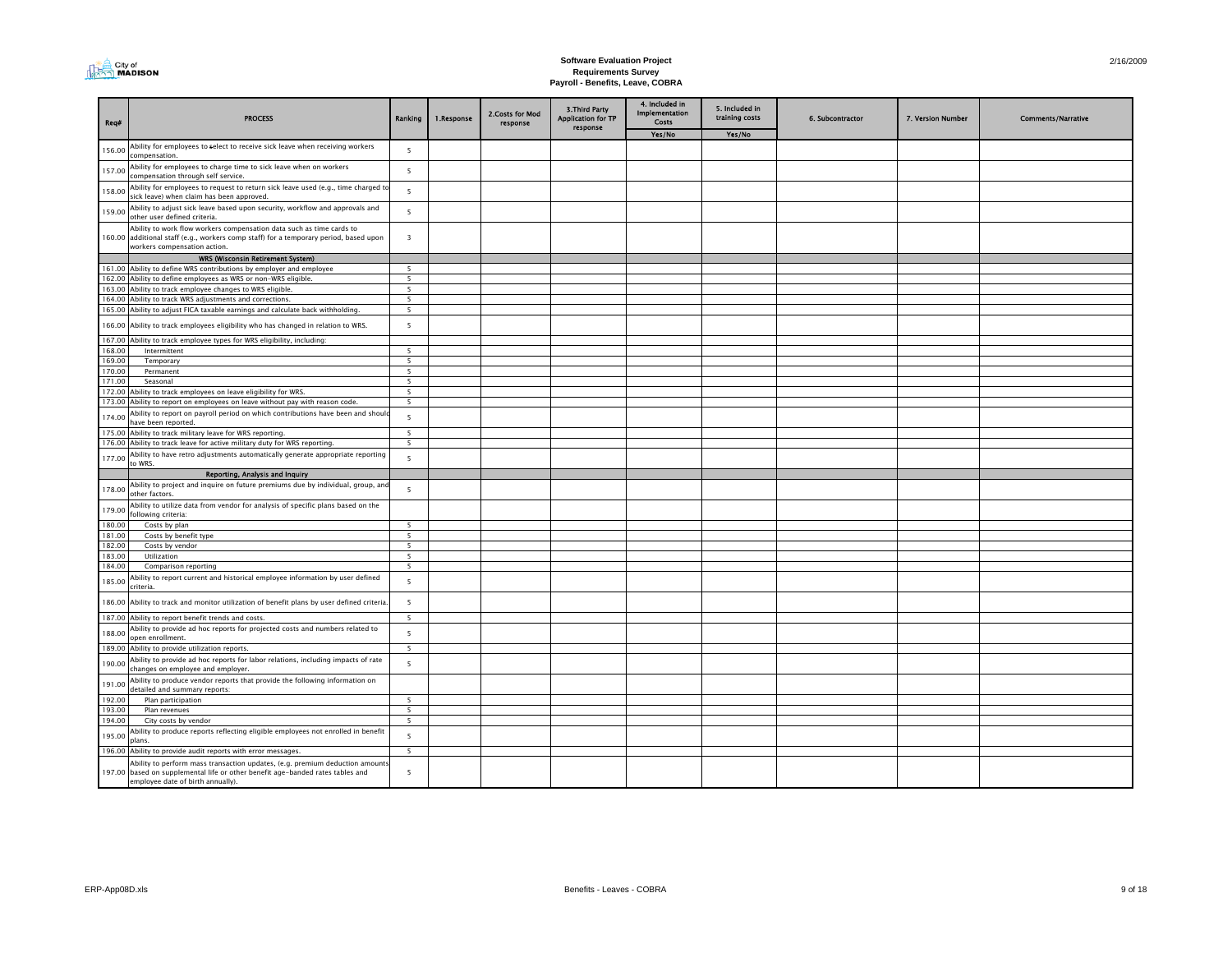| City of<br>I MADISON |
|----------------------|
|----------------------|

| Req#             | <b>PROCESS</b>                                                                                                                                                                                | Ranking                  | 1.Response | 2.Costs for Mod<br>response | 3. Third Party<br><b>Application for TP</b><br>response | 4. Included in<br>Implementation<br>Costs | 5. Included in<br>training costs | 6. Subcontractor | 7. Version Number | <b>Comments/Narrative</b> |
|------------------|-----------------------------------------------------------------------------------------------------------------------------------------------------------------------------------------------|--------------------------|------------|-----------------------------|---------------------------------------------------------|-------------------------------------------|----------------------------------|------------------|-------------------|---------------------------|
|                  |                                                                                                                                                                                               |                          |            |                             |                                                         | Yes/No                                    | Yes/No                           |                  |                   |                           |
| 156.00           | Ability for employees to select to receive sick leave when receiving workers<br>compensation.                                                                                                 | - 5                      |            |                             |                                                         |                                           |                                  |                  |                   |                           |
| 157.00           | Ability for employees to charge time to sick leave when on workers<br>compensation through self service.                                                                                      | $\overline{5}$           |            |                             |                                                         |                                           |                                  |                  |                   |                           |
| 158.00           | Ability for employees to request to return sick leave used (e.g., time charged to<br>sick leave) when claim has been approved.                                                                | 5                        |            |                             |                                                         |                                           |                                  |                  |                   |                           |
| 159.00           | Ability to adjust sick leave based upon security, workflow and approvals and<br>other user defined criteria.                                                                                  | 5                        |            |                             |                                                         |                                           |                                  |                  |                   |                           |
|                  | Ability to work flow workers compensation data such as time cards to<br>160.00 additional staff (e.g., workers comp staff) for a temporary period, based upon<br>workers compensation action. | $\overline{\mathbf{3}}$  |            |                             |                                                         |                                           |                                  |                  |                   |                           |
|                  | WRS (Wisconsin Retirement System)                                                                                                                                                             |                          |            |                             |                                                         |                                           |                                  |                  |                   |                           |
|                  | 161.00 Ability to define WRS contributions by employer and employee                                                                                                                           | 5                        |            |                             |                                                         |                                           |                                  |                  |                   |                           |
|                  | 162.00 Ability to define employees as WRS or non-WRS eligible.                                                                                                                                | 5                        |            |                             |                                                         |                                           |                                  |                  |                   |                           |
|                  | 163.00 Ability to track employee changes to WRS eligible.                                                                                                                                     | 5                        |            |                             |                                                         |                                           |                                  |                  |                   |                           |
|                  | 164.00 Ability to track WRS adjustments and corrections.                                                                                                                                      | 5                        |            |                             |                                                         |                                           |                                  |                  |                   |                           |
|                  | 165.00 Ability to adjust FICA taxable earnings and calculate back withholding.                                                                                                                | 5                        |            |                             |                                                         |                                           |                                  |                  |                   |                           |
|                  | 166.00 Ability to track employees eligibility who has changed in relation to WRS.                                                                                                             | 5                        |            |                             |                                                         |                                           |                                  |                  |                   |                           |
| 167.00           | Ability to track employee types for WRS eligibility, including:                                                                                                                               |                          |            |                             |                                                         |                                           |                                  |                  |                   |                           |
| 168.00           | Intermittent                                                                                                                                                                                  | $\overline{5}$           |            |                             |                                                         |                                           |                                  |                  |                   |                           |
| 169.00           | Temporary                                                                                                                                                                                     | - 5                      |            |                             |                                                         |                                           |                                  |                  |                   |                           |
| 170.00<br>171.00 | Permanent<br>Seasonal                                                                                                                                                                         | 5<br>5                   |            |                             |                                                         |                                           |                                  |                  |                   |                           |
| 172.00           | Ability to track employees on leave eligibility for WRS.                                                                                                                                      | $\overline{\phantom{a}}$ |            |                             |                                                         |                                           |                                  |                  |                   |                           |
| 173.00           | Ability to report on employees on leave without pay with reason code.                                                                                                                         | 5                        |            |                             |                                                         |                                           |                                  |                  |                   |                           |
| 174.00           | Ability to report on payroll period on which contributions have been and shoul<br>have been reported.                                                                                         | 5                        |            |                             |                                                         |                                           |                                  |                  |                   |                           |
| 175.00           | Ability to track military leave for WRS reporting                                                                                                                                             | $\overline{\phantom{a}}$ |            |                             |                                                         |                                           |                                  |                  |                   |                           |
| 176.00           | Ability to track leave for active military duty for WRS reporting.                                                                                                                            | 5                        |            |                             |                                                         |                                           |                                  |                  |                   |                           |
| 177.00           | Ability to have retro adjustments automatically generate appropriate reporting<br>to WRS.                                                                                                     | $\overline{5}$           |            |                             |                                                         |                                           |                                  |                  |                   |                           |
|                  | Reporting, Analysis and Inquiry                                                                                                                                                               |                          |            |                             |                                                         |                                           |                                  |                  |                   |                           |
| 178.00           | Ability to project and inquire on future premiums due by individual, group, an<br>other factors.                                                                                              | 5                        |            |                             |                                                         |                                           |                                  |                  |                   |                           |
| 179.00           | Ability to utilize data from vendor for analysis of specific plans based on the<br>following criteria:                                                                                        |                          |            |                             |                                                         |                                           |                                  |                  |                   |                           |
| 180.00           | Costs by plan                                                                                                                                                                                 | $\overline{5}$           |            |                             |                                                         |                                           |                                  |                  |                   |                           |
| 181.00           | Costs by benefit type                                                                                                                                                                         | $\overline{5}$           |            |                             |                                                         |                                           |                                  |                  |                   |                           |
| 182.00           | Costs by vendor                                                                                                                                                                               | - 5                      |            |                             |                                                         |                                           |                                  |                  |                   |                           |
| 183.00           | Utilization                                                                                                                                                                                   | 5                        |            |                             |                                                         |                                           |                                  |                  |                   |                           |
| 184.00           | Comparison reporting                                                                                                                                                                          | 5                        |            |                             |                                                         |                                           |                                  |                  |                   |                           |
| 185.00           | Ability to report current and historical employee information by user defined<br>criteria.                                                                                                    | $\overline{5}$           |            |                             |                                                         |                                           |                                  |                  |                   |                           |
| 186.00           | Ability to track and monitor utilization of benefit plans by user defined criteria                                                                                                            | 5                        |            |                             |                                                         |                                           |                                  |                  |                   |                           |
| 187.00           | Ability to report benefit trends and costs.                                                                                                                                                   | 5                        |            |                             |                                                         |                                           |                                  |                  |                   |                           |
| 188.00           | Ability to provide ad hoc reports for projected costs and numbers related to<br>open enrollment.                                                                                              | 5                        |            |                             |                                                         |                                           |                                  |                  |                   |                           |
| 189.00           | Ability to provide utilization reports.                                                                                                                                                       | 5                        |            |                             |                                                         |                                           |                                  |                  |                   |                           |
| 190.00           | Ability to provide ad hoc reports for labor relations, including impacts of rate<br>changes on employee and employer.                                                                         | $\overline{\phantom{a}}$ |            |                             |                                                         |                                           |                                  |                  |                   |                           |
| 191.00           | Ability to produce vendor reports that provide the following information on<br>detailed and summary reports:                                                                                  |                          |            |                             |                                                         |                                           |                                  |                  |                   |                           |
| 192.00           | Plan participation                                                                                                                                                                            | 5                        |            |                             |                                                         |                                           |                                  |                  |                   |                           |
| 193.00           | Plan revenues                                                                                                                                                                                 | $\overline{\phantom{0}}$ |            |                             |                                                         |                                           |                                  |                  |                   |                           |
| 194.00           | City costs by vendor                                                                                                                                                                          | 5                        |            |                             |                                                         |                                           |                                  |                  |                   |                           |
| 195.00           | Ability to produce reports reflecting eligible employees not enrolled in benefit<br>plans.                                                                                                    | 5                        |            |                             |                                                         |                                           |                                  |                  |                   |                           |
| 196.00           | Ability to provide audit reports with error messages.                                                                                                                                         | 5                        |            |                             |                                                         |                                           |                                  |                  |                   |                           |
| 197.00           | Ability to perform mass transaction updates, (e.g. premium deduction amounts<br>based on supplemental life or other benefit age-banded rates tables and<br>employee date of birth annually).  | 5                        |            |                             |                                                         |                                           |                                  |                  |                   |                           |
|                  |                                                                                                                                                                                               |                          |            |                             |                                                         |                                           |                                  |                  |                   |                           |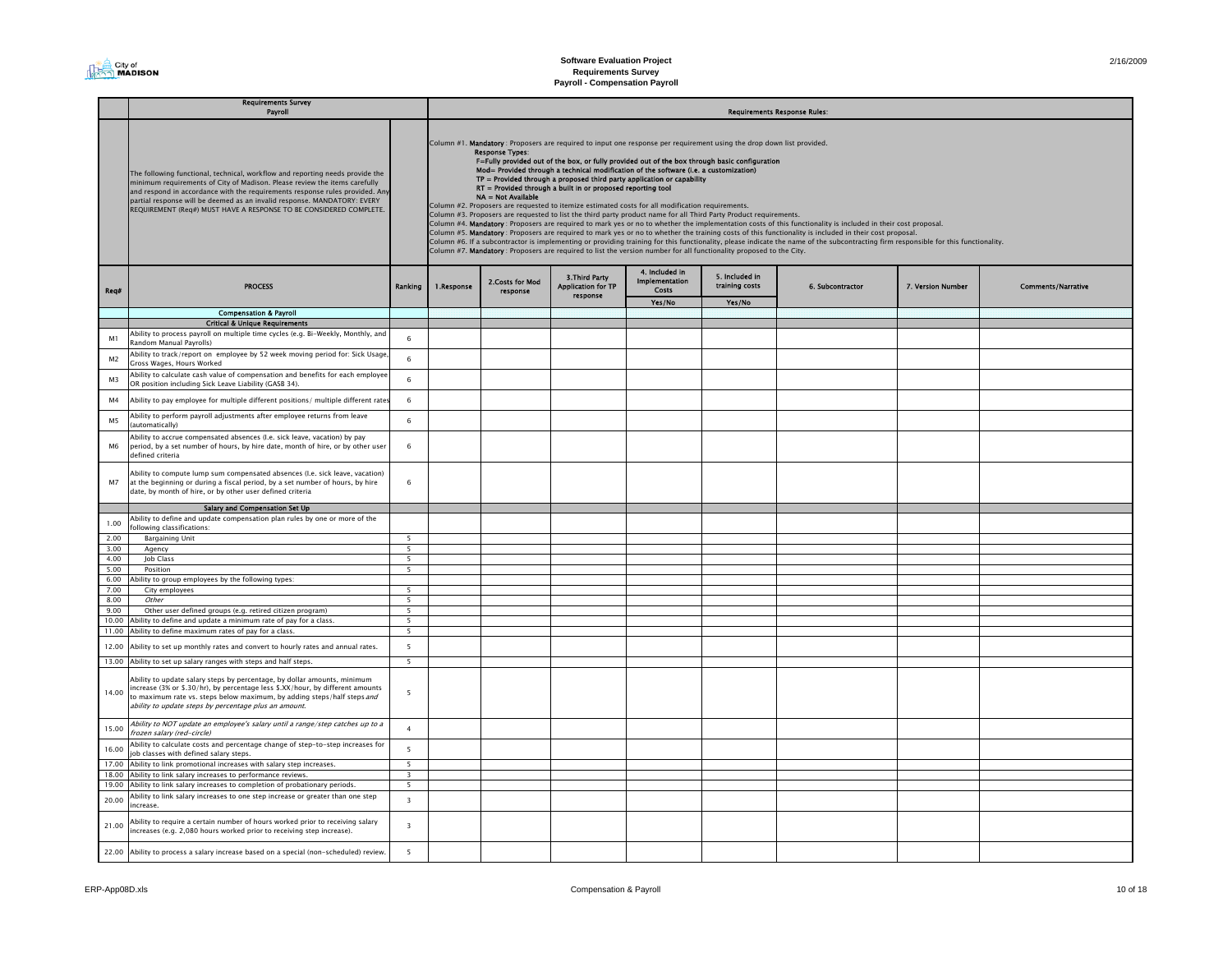| 2/16/2009 |  |
|-----------|--|
|           |  |

|                | <b>Requirements Survey</b><br>Payroll                                                                                                                                                                                                                                                                                                                                                         |                          |                                                                                                                                                                                                                                                                                                                                                                                                                                                                                                                                                                                                                                                                                                                                                                                                                                                                                                                                                                                                                                                                                                                                                                                                                                                                                                                                                                                                |                              |                                                         |                         |                                  | <b>Requirements Response Rules:</b> |                   |                           |
|----------------|-----------------------------------------------------------------------------------------------------------------------------------------------------------------------------------------------------------------------------------------------------------------------------------------------------------------------------------------------------------------------------------------------|--------------------------|------------------------------------------------------------------------------------------------------------------------------------------------------------------------------------------------------------------------------------------------------------------------------------------------------------------------------------------------------------------------------------------------------------------------------------------------------------------------------------------------------------------------------------------------------------------------------------------------------------------------------------------------------------------------------------------------------------------------------------------------------------------------------------------------------------------------------------------------------------------------------------------------------------------------------------------------------------------------------------------------------------------------------------------------------------------------------------------------------------------------------------------------------------------------------------------------------------------------------------------------------------------------------------------------------------------------------------------------------------------------------------------------|------------------------------|---------------------------------------------------------|-------------------------|----------------------------------|-------------------------------------|-------------------|---------------------------|
|                | The following functional, technical, workflow and reporting needs provide the<br>minimum requirements of City of Madison. Please review the items carefully<br>and respond in accordance with the requirements response rules provided. Any<br>partial response will be deemed as an invalid response. MANDATORY: EVERY<br>REQUIREMENT (Req#) MUST HAVE A RESPONSE TO BE CONSIDERED COMPLETE. |                          | Column #1. Mandatory : Proposers are required to input one response per requirement using the drop down list provided.<br><b>Response Types:</b><br>F=Fully provided out of the box, or fully provided out of the box through basic configuration<br>Mod= Provided through a technical modification of the software (i.e. a customization)<br>$TP =$ Provided through a proposed third party application or capability<br>RT = Provided through a built in or proposed reporting tool<br>NA = Not Available<br>Column #2. Proposers are requested to itemize estimated costs for all modification requirements.<br>Column #3. Proposers are requested to list the third party product name for all Third Party Product requirements.<br>Column #4. Mandatory: Proposers are required to mark yes or no to whether the implementation costs of this functionality is included in their cost proposal.<br>Column #5. Mandatory: Proposers are required to mark yes or no to whether the training costs of this functionality is included in their cost proposal.<br>Column #6. If a subcontractor is implementing or providing training for this functionality, please indicate the name of the subcontracting firm responsible for this functionality.<br>Column #7. Mandatory: Proposers are required to list the version number for all functionality proposed to the City.<br>4. Included in |                              |                                                         |                         |                                  |                                     |                   |                           |
| Req#           | <b>PROCESS</b>                                                                                                                                                                                                                                                                                                                                                                                | Ranking                  | 1.Response                                                                                                                                                                                                                                                                                                                                                                                                                                                                                                                                                                                                                                                                                                                                                                                                                                                                                                                                                                                                                                                                                                                                                                                                                                                                                                                                                                                     | 2. Costs for Mod<br>response | 3. Third Party<br><b>Application for TP</b><br>response | Implementation<br>Costs | 5. Included in<br>training costs | 6. Subcontractor                    | 7. Version Number | <b>Comments/Narrative</b> |
|                | <b>Compensation &amp; Payroll</b>                                                                                                                                                                                                                                                                                                                                                             |                          |                                                                                                                                                                                                                                                                                                                                                                                                                                                                                                                                                                                                                                                                                                                                                                                                                                                                                                                                                                                                                                                                                                                                                                                                                                                                                                                                                                                                |                              |                                                         | Yes/No                  | Yes/No                           |                                     |                   |                           |
|                | <b>Critical &amp; Unique Requirements</b>                                                                                                                                                                                                                                                                                                                                                     |                          |                                                                                                                                                                                                                                                                                                                                                                                                                                                                                                                                                                                                                                                                                                                                                                                                                                                                                                                                                                                                                                                                                                                                                                                                                                                                                                                                                                                                |                              |                                                         |                         |                                  |                                     |                   |                           |
|                | Ability to process payroll on multiple time cycles (e.g. Bi-Weekly, Monthly, and                                                                                                                                                                                                                                                                                                              |                          |                                                                                                                                                                                                                                                                                                                                                                                                                                                                                                                                                                                                                                                                                                                                                                                                                                                                                                                                                                                                                                                                                                                                                                                                                                                                                                                                                                                                |                              |                                                         |                         |                                  |                                     |                   |                           |
| M <sub>1</sub> | <b>Random Manual Pavrolls)</b>                                                                                                                                                                                                                                                                                                                                                                | 6                        |                                                                                                                                                                                                                                                                                                                                                                                                                                                                                                                                                                                                                                                                                                                                                                                                                                                                                                                                                                                                                                                                                                                                                                                                                                                                                                                                                                                                |                              |                                                         |                         |                                  |                                     |                   |                           |
| M <sub>2</sub> | Ability to track/report on employee by 52 week moving period for: Sick Usage<br>Gross Wages, Hours Worked                                                                                                                                                                                                                                                                                     | 6                        |                                                                                                                                                                                                                                                                                                                                                                                                                                                                                                                                                                                                                                                                                                                                                                                                                                                                                                                                                                                                                                                                                                                                                                                                                                                                                                                                                                                                |                              |                                                         |                         |                                  |                                     |                   |                           |
| M <sub>3</sub> | Ability to calculate cash value of compensation and benefits for each employee<br>OR position including Sick Leave Liability (GASB 34).                                                                                                                                                                                                                                                       | $\,$ 6 $\,$              |                                                                                                                                                                                                                                                                                                                                                                                                                                                                                                                                                                                                                                                                                                                                                                                                                                                                                                                                                                                                                                                                                                                                                                                                                                                                                                                                                                                                |                              |                                                         |                         |                                  |                                     |                   |                           |
| M4             | Ability to pay employee for multiple different positions/ multiple different rates                                                                                                                                                                                                                                                                                                            | $\,$ 6 $\,$              |                                                                                                                                                                                                                                                                                                                                                                                                                                                                                                                                                                                                                                                                                                                                                                                                                                                                                                                                                                                                                                                                                                                                                                                                                                                                                                                                                                                                |                              |                                                         |                         |                                  |                                     |                   |                           |
| <b>M5</b>      | Ability to perform payroll adjustments after employee returns from leave<br>(automatically)                                                                                                                                                                                                                                                                                                   | 6                        |                                                                                                                                                                                                                                                                                                                                                                                                                                                                                                                                                                                                                                                                                                                                                                                                                                                                                                                                                                                                                                                                                                                                                                                                                                                                                                                                                                                                |                              |                                                         |                         |                                  |                                     |                   |                           |
| M6             | Ability to accrue compensated absences (I.e. sick leave, vacation) by pay<br>period, by a set number of hours, by hire date, month of hire, or by other user<br>defined criteria                                                                                                                                                                                                              | 6                        |                                                                                                                                                                                                                                                                                                                                                                                                                                                                                                                                                                                                                                                                                                                                                                                                                                                                                                                                                                                                                                                                                                                                                                                                                                                                                                                                                                                                |                              |                                                         |                         |                                  |                                     |                   |                           |
| M7             | Ability to compute lump sum compensated absences (I.e. sick leave, vacation)<br>at the beginning or during a fiscal period, by a set number of hours, by hire<br>date, by month of hire, or by other user defined criteria                                                                                                                                                                    | 6                        |                                                                                                                                                                                                                                                                                                                                                                                                                                                                                                                                                                                                                                                                                                                                                                                                                                                                                                                                                                                                                                                                                                                                                                                                                                                                                                                                                                                                |                              |                                                         |                         |                                  |                                     |                   |                           |
|                | Salary and Compensation Set Up                                                                                                                                                                                                                                                                                                                                                                |                          |                                                                                                                                                                                                                                                                                                                                                                                                                                                                                                                                                                                                                                                                                                                                                                                                                                                                                                                                                                                                                                                                                                                                                                                                                                                                                                                                                                                                |                              |                                                         |                         |                                  |                                     |                   |                           |
| 1.00           | Ability to define and update compensation plan rules by one or more of the<br>following classifications:                                                                                                                                                                                                                                                                                      |                          |                                                                                                                                                                                                                                                                                                                                                                                                                                                                                                                                                                                                                                                                                                                                                                                                                                                                                                                                                                                                                                                                                                                                                                                                                                                                                                                                                                                                |                              |                                                         |                         |                                  |                                     |                   |                           |
| 2.00<br>3.00   | <b>Bargaining Unit</b>                                                                                                                                                                                                                                                                                                                                                                        | $5^{\circ}$<br>5         |                                                                                                                                                                                                                                                                                                                                                                                                                                                                                                                                                                                                                                                                                                                                                                                                                                                                                                                                                                                                                                                                                                                                                                                                                                                                                                                                                                                                |                              |                                                         |                         |                                  |                                     |                   |                           |
| 4.00           | Agency<br>Job Class                                                                                                                                                                                                                                                                                                                                                                           | $5^{\circ}$              |                                                                                                                                                                                                                                                                                                                                                                                                                                                                                                                                                                                                                                                                                                                                                                                                                                                                                                                                                                                                                                                                                                                                                                                                                                                                                                                                                                                                |                              |                                                         |                         |                                  |                                     |                   |                           |
| 5.00           | Position                                                                                                                                                                                                                                                                                                                                                                                      | 5                        |                                                                                                                                                                                                                                                                                                                                                                                                                                                                                                                                                                                                                                                                                                                                                                                                                                                                                                                                                                                                                                                                                                                                                                                                                                                                                                                                                                                                |                              |                                                         |                         |                                  |                                     |                   |                           |
| 6.00           | Ability to group employees by the following types:                                                                                                                                                                                                                                                                                                                                            |                          |                                                                                                                                                                                                                                                                                                                                                                                                                                                                                                                                                                                                                                                                                                                                                                                                                                                                                                                                                                                                                                                                                                                                                                                                                                                                                                                                                                                                |                              |                                                         |                         |                                  |                                     |                   |                           |
| 7.00           | City employees                                                                                                                                                                                                                                                                                                                                                                                |                          |                                                                                                                                                                                                                                                                                                                                                                                                                                                                                                                                                                                                                                                                                                                                                                                                                                                                                                                                                                                                                                                                                                                                                                                                                                                                                                                                                                                                |                              |                                                         |                         |                                  |                                     |                   |                           |
| 8.00           | Other                                                                                                                                                                                                                                                                                                                                                                                         | $5^{\circ}$              |                                                                                                                                                                                                                                                                                                                                                                                                                                                                                                                                                                                                                                                                                                                                                                                                                                                                                                                                                                                                                                                                                                                                                                                                                                                                                                                                                                                                |                              |                                                         |                         |                                  |                                     |                   |                           |
| 9.00           | Other user defined groups (e.g. retired citizen program)                                                                                                                                                                                                                                                                                                                                      | $5^{\circ}$              |                                                                                                                                                                                                                                                                                                                                                                                                                                                                                                                                                                                                                                                                                                                                                                                                                                                                                                                                                                                                                                                                                                                                                                                                                                                                                                                                                                                                |                              |                                                         |                         |                                  |                                     |                   |                           |
| 10.00          | Ability to define and update a minimum rate of pay for a class.                                                                                                                                                                                                                                                                                                                               | 5                        |                                                                                                                                                                                                                                                                                                                                                                                                                                                                                                                                                                                                                                                                                                                                                                                                                                                                                                                                                                                                                                                                                                                                                                                                                                                                                                                                                                                                |                              |                                                         |                         |                                  |                                     |                   |                           |
| 11.00          | Ability to define maximum rates of pay for a class.                                                                                                                                                                                                                                                                                                                                           | $5^{\circ}$              |                                                                                                                                                                                                                                                                                                                                                                                                                                                                                                                                                                                                                                                                                                                                                                                                                                                                                                                                                                                                                                                                                                                                                                                                                                                                                                                                                                                                |                              |                                                         |                         |                                  |                                     |                   |                           |
| 12.00          | Ability to set up monthly rates and convert to hourly rates and annual rates.<br>13.00 Ability to set up salary ranges with steps and half steps.                                                                                                                                                                                                                                             | 5<br>$\overline{5}$      |                                                                                                                                                                                                                                                                                                                                                                                                                                                                                                                                                                                                                                                                                                                                                                                                                                                                                                                                                                                                                                                                                                                                                                                                                                                                                                                                                                                                |                              |                                                         |                         |                                  |                                     |                   |                           |
|                |                                                                                                                                                                                                                                                                                                                                                                                               |                          |                                                                                                                                                                                                                                                                                                                                                                                                                                                                                                                                                                                                                                                                                                                                                                                                                                                                                                                                                                                                                                                                                                                                                                                                                                                                                                                                                                                                |                              |                                                         |                         |                                  |                                     |                   |                           |
| 14.00          | Ability to update salary steps by percentage, by dollar amounts, minimum<br>increase (3% or \$.30/hr), by percentage less \$.XX/hour, by different amounts<br>to maximum rate vs. steps below maximum, by adding steps/half steps and<br>ability to update steps by percentage plus an amount.                                                                                                | 5                        |                                                                                                                                                                                                                                                                                                                                                                                                                                                                                                                                                                                                                                                                                                                                                                                                                                                                                                                                                                                                                                                                                                                                                                                                                                                                                                                                                                                                |                              |                                                         |                         |                                  |                                     |                   |                           |
| 15.00          | Ability to NOT update an employee's salary until a range/step catches up to a<br>frozen salary (red-circle)                                                                                                                                                                                                                                                                                   | $\overline{4}$           |                                                                                                                                                                                                                                                                                                                                                                                                                                                                                                                                                                                                                                                                                                                                                                                                                                                                                                                                                                                                                                                                                                                                                                                                                                                                                                                                                                                                |                              |                                                         |                         |                                  |                                     |                   |                           |
| 16.00          | Ability to calculate costs and percentage change of step-to-step increases for<br>job classes with defined salary steps.                                                                                                                                                                                                                                                                      | 5                        |                                                                                                                                                                                                                                                                                                                                                                                                                                                                                                                                                                                                                                                                                                                                                                                                                                                                                                                                                                                                                                                                                                                                                                                                                                                                                                                                                                                                |                              |                                                         |                         |                                  |                                     |                   |                           |
| 17.00          | Ability to link promotional increases with salary step increases.                                                                                                                                                                                                                                                                                                                             | $\overline{5}$           |                                                                                                                                                                                                                                                                                                                                                                                                                                                                                                                                                                                                                                                                                                                                                                                                                                                                                                                                                                                                                                                                                                                                                                                                                                                                                                                                                                                                |                              |                                                         |                         |                                  |                                     |                   |                           |
| 18.00          | Ability to link salary increases to performance reviews.                                                                                                                                                                                                                                                                                                                                      | $\overline{3}$           |                                                                                                                                                                                                                                                                                                                                                                                                                                                                                                                                                                                                                                                                                                                                                                                                                                                                                                                                                                                                                                                                                                                                                                                                                                                                                                                                                                                                |                              |                                                         |                         |                                  |                                     |                   |                           |
| 19.00          | Ability to link salary increases to completion of probationary periods.                                                                                                                                                                                                                                                                                                                       | $\overline{\phantom{0}}$ |                                                                                                                                                                                                                                                                                                                                                                                                                                                                                                                                                                                                                                                                                                                                                                                                                                                                                                                                                                                                                                                                                                                                                                                                                                                                                                                                                                                                |                              |                                                         |                         |                                  |                                     |                   |                           |
| 20.00          | Ability to link salary increases to one step increase or greater than one step<br>increase.                                                                                                                                                                                                                                                                                                   | $\overline{3}$           |                                                                                                                                                                                                                                                                                                                                                                                                                                                                                                                                                                                                                                                                                                                                                                                                                                                                                                                                                                                                                                                                                                                                                                                                                                                                                                                                                                                                |                              |                                                         |                         |                                  |                                     |                   |                           |
| 21.00          | Ability to require a certain number of hours worked prior to receiving salary<br>increases (e.g. 2,080 hours worked prior to receiving step increase).                                                                                                                                                                                                                                        | $\overline{\mathbf{3}}$  |                                                                                                                                                                                                                                                                                                                                                                                                                                                                                                                                                                                                                                                                                                                                                                                                                                                                                                                                                                                                                                                                                                                                                                                                                                                                                                                                                                                                |                              |                                                         |                         |                                  |                                     |                   |                           |
|                | 22.00 Ability to process a salary increase based on a special (non-scheduled) review.                                                                                                                                                                                                                                                                                                         | 5                        |                                                                                                                                                                                                                                                                                                                                                                                                                                                                                                                                                                                                                                                                                                                                                                                                                                                                                                                                                                                                                                                                                                                                                                                                                                                                                                                                                                                                |                              |                                                         |                         |                                  |                                     |                   |                           |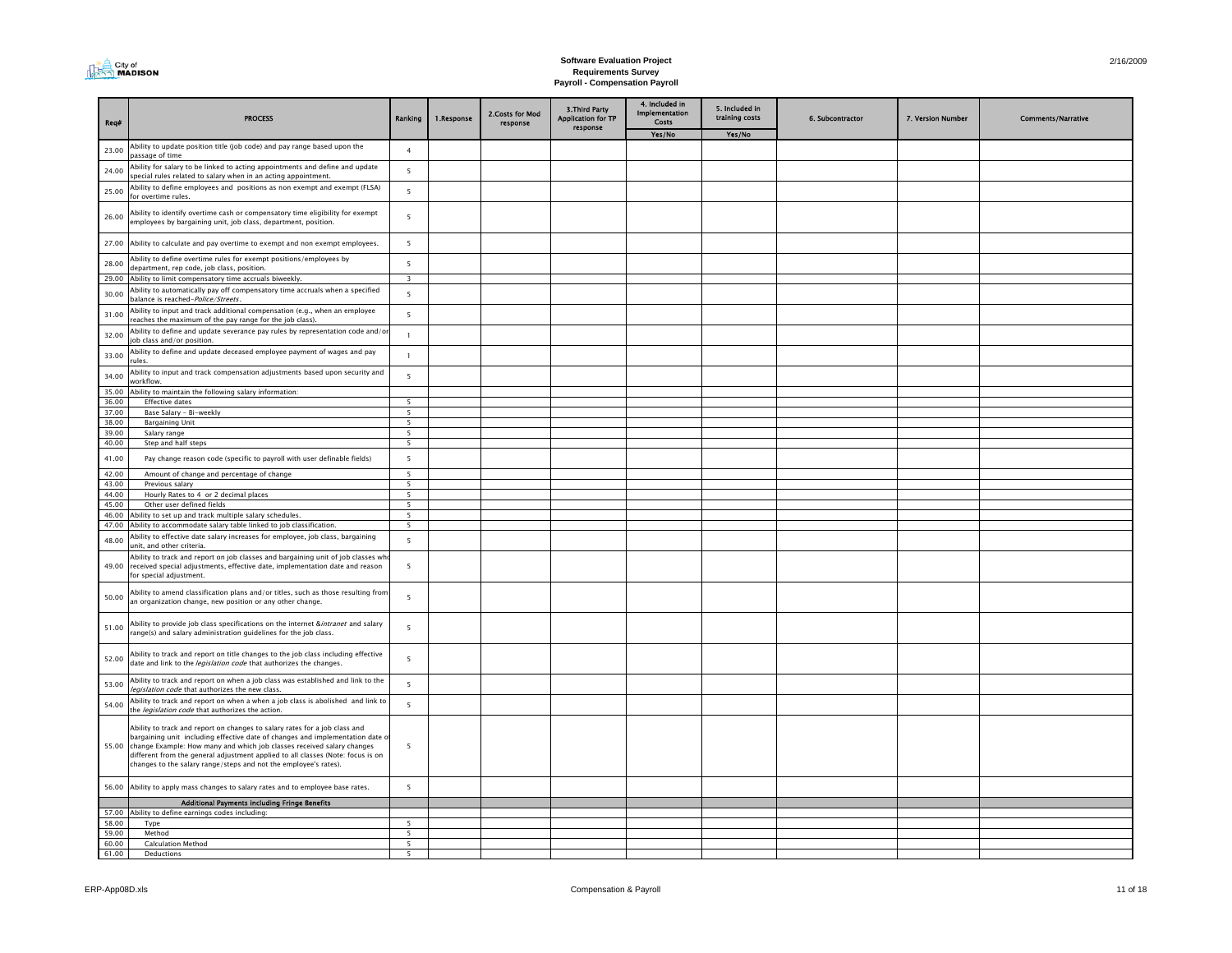| Req#           | <b>PROCESS</b>                                                                                                                                                                                                                                                                                                                                                                               | Ranking                          | 1.Response | 2.Costs for Mod<br>response | 3. Third Party<br><b>Application for TP</b><br>response | 4. Included in<br><b>Implementation</b><br><b>Costs</b><br>Yes/No | 5. Included in<br>training costs<br>Yes/No | 6. Subcontractor | 7. Version Number | <b>Comments/Narrative</b> |
|----------------|----------------------------------------------------------------------------------------------------------------------------------------------------------------------------------------------------------------------------------------------------------------------------------------------------------------------------------------------------------------------------------------------|----------------------------------|------------|-----------------------------|---------------------------------------------------------|-------------------------------------------------------------------|--------------------------------------------|------------------|-------------------|---------------------------|
| 23.00          | Ability to update position title (job code) and pay range based upon the                                                                                                                                                                                                                                                                                                                     | $\overline{4}$                   |            |                             |                                                         |                                                                   |                                            |                  |                   |                           |
|                | passage of time<br>Ability for salary to be linked to acting appointments and define and update                                                                                                                                                                                                                                                                                              |                                  |            |                             |                                                         |                                                                   |                                            |                  |                   |                           |
| 24.00          | special rules related to salary when in an acting appointment.                                                                                                                                                                                                                                                                                                                               | 5                                |            |                             |                                                         |                                                                   |                                            |                  |                   |                           |
| 25.00          | Ability to define employees and positions as non exempt and exempt (FLSA)<br>for overtime rules.                                                                                                                                                                                                                                                                                             | 5                                |            |                             |                                                         |                                                                   |                                            |                  |                   |                           |
|                | Ability to identify overtime cash or compensatory time eligibility for exempt                                                                                                                                                                                                                                                                                                                |                                  |            |                             |                                                         |                                                                   |                                            |                  |                   |                           |
| 26.00          | employees by bargaining unit, job class, department, position.                                                                                                                                                                                                                                                                                                                               | 5                                |            |                             |                                                         |                                                                   |                                            |                  |                   |                           |
| 27.00          | Ability to calculate and pay overtime to exempt and non exempt employees.                                                                                                                                                                                                                                                                                                                    | 5                                |            |                             |                                                         |                                                                   |                                            |                  |                   |                           |
| 28.00          | Ability to define overtime rules for exempt positions/employees by<br>department, rep code, job class, position.                                                                                                                                                                                                                                                                             | 5                                |            |                             |                                                         |                                                                   |                                            |                  |                   |                           |
| 29.00          | Ability to limit compensatory time accruals biweekly.                                                                                                                                                                                                                                                                                                                                        | $\overline{\mathbf{3}}$          |            |                             |                                                         |                                                                   |                                            |                  |                   |                           |
| 30.00          | Ability to automatically pay off compensatory time accruals when a specified<br>balance is reached-Police/Streets.                                                                                                                                                                                                                                                                           | 5                                |            |                             |                                                         |                                                                   |                                            |                  |                   |                           |
| 31.00          | Ability to input and track additional compensation (e.g., when an employee                                                                                                                                                                                                                                                                                                                   | 5                                |            |                             |                                                         |                                                                   |                                            |                  |                   |                           |
|                | reaches the maximum of the pay range for the job class).                                                                                                                                                                                                                                                                                                                                     |                                  |            |                             |                                                         |                                                                   |                                            |                  |                   |                           |
| 32.00          | Ability to define and update severance pay rules by representation code and/o<br>ob class and/or position.                                                                                                                                                                                                                                                                                   | $\mathbf{1}$                     |            |                             |                                                         |                                                                   |                                            |                  |                   |                           |
| 33.00          | Ability to define and update deceased employee payment of wages and pay<br>rules.                                                                                                                                                                                                                                                                                                            | $\mathbf{1}$                     |            |                             |                                                         |                                                                   |                                            |                  |                   |                           |
| 34.00          | Ability to input and track compensation adjustments based upon security and<br>vorkflow.                                                                                                                                                                                                                                                                                                     | 5                                |            |                             |                                                         |                                                                   |                                            |                  |                   |                           |
| 35.00          | Ability to maintain the following salary information:                                                                                                                                                                                                                                                                                                                                        |                                  |            |                             |                                                         |                                                                   |                                            |                  |                   |                           |
| 36.00<br>37.00 | <b>Effective dates</b><br>Base Salary - Bi-weekly                                                                                                                                                                                                                                                                                                                                            | $\overline{5}$                   |            |                             |                                                         |                                                                   |                                            |                  |                   |                           |
| 38.00          | <b>Bargaining Unit</b>                                                                                                                                                                                                                                                                                                                                                                       | 5<br>5                           |            |                             |                                                         |                                                                   |                                            |                  |                   |                           |
| 39.00          | Salary range                                                                                                                                                                                                                                                                                                                                                                                 | 5                                |            |                             |                                                         |                                                                   |                                            |                  |                   |                           |
| 40.00          | Step and half steps                                                                                                                                                                                                                                                                                                                                                                          | 5                                |            |                             |                                                         |                                                                   |                                            |                  |                   |                           |
| 41.00          | Pay change reason code (specific to payroll with user definable fields)                                                                                                                                                                                                                                                                                                                      | 5                                |            |                             |                                                         |                                                                   |                                            |                  |                   |                           |
| 42.00          | Amount of change and percentage of change                                                                                                                                                                                                                                                                                                                                                    | 5                                |            |                             |                                                         |                                                                   |                                            |                  |                   |                           |
| 43.00<br>44.00 | Previous salary<br>Hourly Rates to 4 or 2 decimal places                                                                                                                                                                                                                                                                                                                                     | $\overline{5}$<br>5              |            |                             |                                                         |                                                                   |                                            |                  |                   |                           |
| 45.00          | Other user defined fields                                                                                                                                                                                                                                                                                                                                                                    | $\overline{\mathbf{5}}$          |            |                             |                                                         |                                                                   |                                            |                  |                   |                           |
| 46.00          | Ability to set up and track multiple salary schedules.                                                                                                                                                                                                                                                                                                                                       | 5                                |            |                             |                                                         |                                                                   |                                            |                  |                   |                           |
| 47.00          | Ability to accommodate salary table linked to job classification.                                                                                                                                                                                                                                                                                                                            | $\overline{\mathbf{5}}$          |            |                             |                                                         |                                                                   |                                            |                  |                   |                           |
| 48.00          | Ability to effective date salary increases for employee, job class, bargaining<br>unit, and other criteria.                                                                                                                                                                                                                                                                                  | 5                                |            |                             |                                                         |                                                                   |                                            |                  |                   |                           |
| 49.00          | Ability to track and report on job classes and bargaining unit of job classes wh<br>received special adjustments, effective date, implementation date and reason<br>for special adiustment.                                                                                                                                                                                                  | $\overline{5}$                   |            |                             |                                                         |                                                                   |                                            |                  |                   |                           |
| 50.00          | Ability to amend classification plans and/or titles, such as those resulting from<br>an organization change, new position or any other change.                                                                                                                                                                                                                                               | 5                                |            |                             |                                                         |                                                                   |                                            |                  |                   |                           |
| 51.00          | Ability to provide job class specifications on the internet &intranet and salary<br>range(s) and salary administration guidelines for the job class.                                                                                                                                                                                                                                         | $\overline{\phantom{a}}$         |            |                             |                                                         |                                                                   |                                            |                  |                   |                           |
| 52.00          | Ability to track and report on title changes to the job class including effective<br>date and link to the <i>legislation code</i> that authorizes the changes.                                                                                                                                                                                                                               | $\overline{5}$                   |            |                             |                                                         |                                                                   |                                            |                  |                   |                           |
| 53.00          | Ability to track and report on when a job class was established and link to the<br>legislation code that authorizes the new class.                                                                                                                                                                                                                                                           | 5                                |            |                             |                                                         |                                                                   |                                            |                  |                   |                           |
| 54.00          | Ability to track and report on when a when a job class is abolished and link to<br>the <i>legislation code</i> that authorizes the action.                                                                                                                                                                                                                                                   | 5                                |            |                             |                                                         |                                                                   |                                            |                  |                   |                           |
| 55.00          | Ability to track and report on changes to salary rates for a job class and<br>bargaining unit including effective date of changes and implementation date o<br>change Example: How many and which job classes received salary changes<br>different from the general adjustment applied to all classes (Note: focus is on<br>changes to the salary range/steps and not the employee's rates). | 5                                |            |                             |                                                         |                                                                   |                                            |                  |                   |                           |
| 56.00          | Ability to apply mass changes to salary rates and to employee base rates.                                                                                                                                                                                                                                                                                                                    | 5                                |            |                             |                                                         |                                                                   |                                            |                  |                   |                           |
|                | Additional Payments including Fringe Benefits                                                                                                                                                                                                                                                                                                                                                |                                  |            |                             |                                                         |                                                                   |                                            |                  |                   |                           |
| 57.00          | Ability to define earnings codes including:                                                                                                                                                                                                                                                                                                                                                  |                                  |            |                             |                                                         |                                                                   |                                            |                  |                   |                           |
| 58.00          | Type                                                                                                                                                                                                                                                                                                                                                                                         | $\overline{5}$                   |            |                             |                                                         |                                                                   |                                            |                  |                   |                           |
| 59.00          | Method<br><b>Calculation Method</b>                                                                                                                                                                                                                                                                                                                                                          | 5 <sup>5</sup><br>$\overline{5}$ |            |                             |                                                         |                                                                   |                                            |                  |                   |                           |
| 60.00<br>61.00 | Deductions                                                                                                                                                                                                                                                                                                                                                                                   | 5                                |            |                             |                                                         |                                                                   |                                            |                  |                   |                           |
|                |                                                                                                                                                                                                                                                                                                                                                                                              |                                  |            |                             |                                                         |                                                                   |                                            |                  |                   |                           |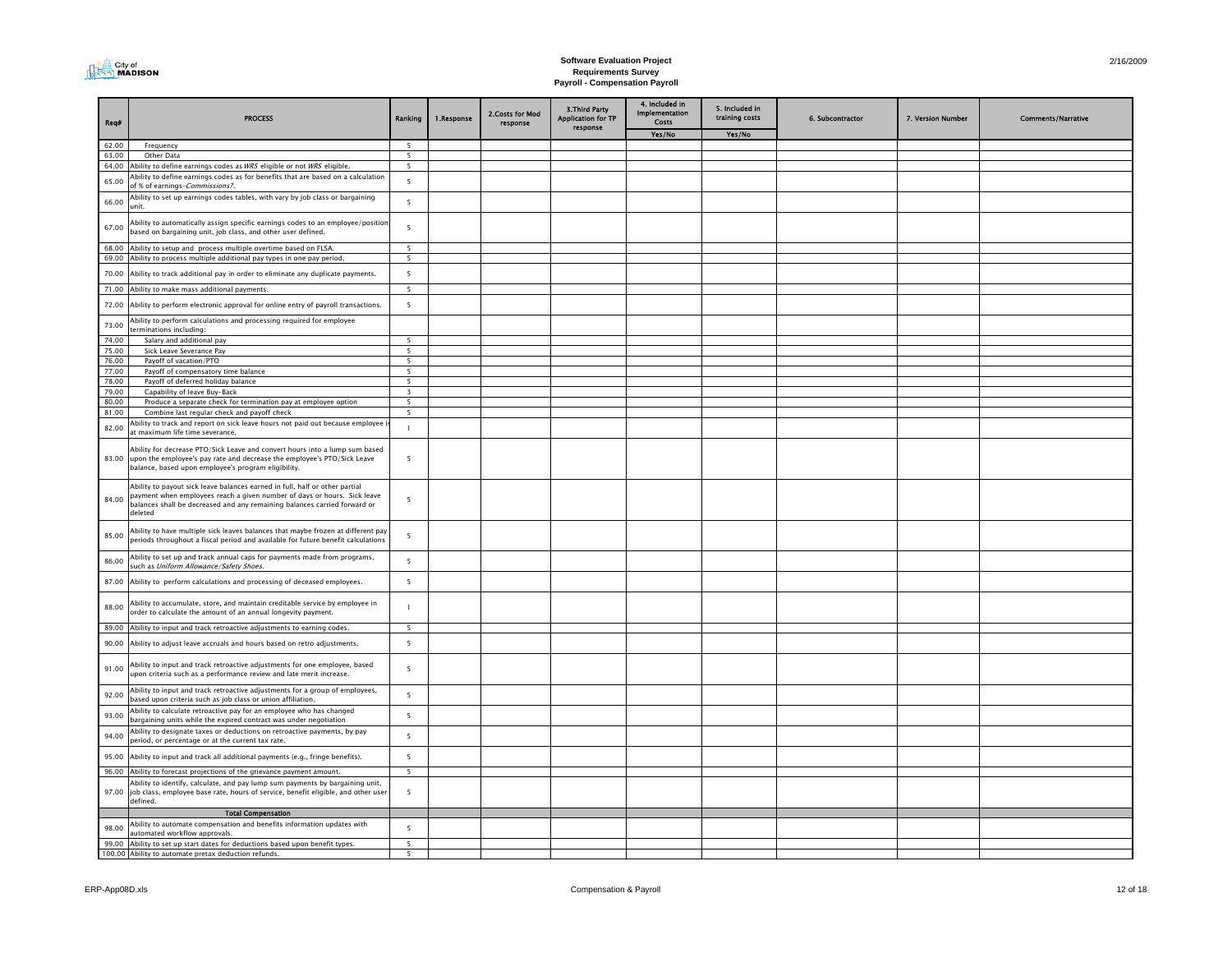

| Req#           | <b>PROCESS</b>                                                                                                                                                                                                                                  | Ranking                  | 1.Response | 2.Costs for Mod<br>response | 3. Third Party<br><b>Application for TP</b><br>response | 4. Included in<br>Implementation<br>Costs<br>Yes/No | 5. Included in<br>training costs<br>Yes/No | 6. Subcontractor | 7. Version Number | <b>Comments/Narrative</b> |
|----------------|-------------------------------------------------------------------------------------------------------------------------------------------------------------------------------------------------------------------------------------------------|--------------------------|------------|-----------------------------|---------------------------------------------------------|-----------------------------------------------------|--------------------------------------------|------------------|-------------------|---------------------------|
| 62.00          | Frequency                                                                                                                                                                                                                                       | 5                        |            |                             |                                                         |                                                     |                                            |                  |                   |                           |
| 63.00          | Other Data                                                                                                                                                                                                                                      | $\overline{\phantom{a}}$ |            |                             |                                                         |                                                     |                                            |                  |                   |                           |
| 64.00          | Ability to define earnings codes as WRS eligible or not WRS eligible.                                                                                                                                                                           | $\overline{\phantom{0}}$ |            |                             |                                                         |                                                     |                                            |                  |                   |                           |
| 65.00          | Ability to define earnings codes as for benefits that are based on a calculation<br>of % of earnings-Commissions?.                                                                                                                              | 5                        |            |                             |                                                         |                                                     |                                            |                  |                   |                           |
| 66.00          | Ability to set up earnings codes tables, with vary by job class or bargaining<br>init.                                                                                                                                                          | 5                        |            |                             |                                                         |                                                     |                                            |                  |                   |                           |
| 67.00          | Ability to automatically assign specific earnings codes to an employee/positior<br>based on bargaining unit, job class, and other user defined.                                                                                                 | 5                        |            |                             |                                                         |                                                     |                                            |                  |                   |                           |
| 68.00<br>69.00 | Ability to setup and process multiple overtime based on FLSA.<br>Ability to process multiple additional pay types in one pay period.                                                                                                            | 5<br>5                   |            |                             |                                                         |                                                     |                                            |                  |                   |                           |
| 70.00          | Ability to track additional pay in order to eliminate any duplicate payments.                                                                                                                                                                   | 5                        |            |                             |                                                         |                                                     |                                            |                  |                   |                           |
| 71.00          | Ability to make mass additional payments.                                                                                                                                                                                                       | 5                        |            |                             |                                                         |                                                     |                                            |                  |                   |                           |
| 72.00          | Ability to perform electronic approval for online entry of payroll transactions.                                                                                                                                                                | 5                        |            |                             |                                                         |                                                     |                                            |                  |                   |                           |
| 73.00          | Ability to perform calculations and processing required for employee<br>erminations including:                                                                                                                                                  |                          |            |                             |                                                         |                                                     |                                            |                  |                   |                           |
| 74.00          | Salary and additional pay                                                                                                                                                                                                                       | 5                        |            |                             |                                                         |                                                     |                                            |                  |                   |                           |
| 75.00          | Sick Leave Severance Pay                                                                                                                                                                                                                        | 5                        |            |                             |                                                         |                                                     |                                            |                  |                   |                           |
| 76.00          | Payoff of vacation/PTO                                                                                                                                                                                                                          | 5                        |            |                             |                                                         |                                                     |                                            |                  |                   |                           |
| 77.00          | Payoff of compensatory time balance                                                                                                                                                                                                             | 5                        |            |                             |                                                         |                                                     |                                            |                  |                   |                           |
| 78.00          | Payoff of deferred holiday balance                                                                                                                                                                                                              | $5\overline{5}$          |            |                             |                                                         |                                                     |                                            |                  |                   |                           |
| 79.00          | Capability of leave Buy-Back                                                                                                                                                                                                                    | $\overline{\mathbf{3}}$  |            |                             |                                                         |                                                     |                                            |                  |                   |                           |
| 80.00          | Produce a separate check for termination pay at employee option                                                                                                                                                                                 | $\overline{5}$           |            |                             |                                                         |                                                     |                                            |                  |                   |                           |
| 81.00<br>82.00 | Combine last regular check and payoff check<br>Ability to track and report on sick leave hours not paid out because employee                                                                                                                    | 5<br>$\mathbf{1}$        |            |                             |                                                         |                                                     |                                            |                  |                   |                           |
|                | at maximum life time severance.                                                                                                                                                                                                                 |                          |            |                             |                                                         |                                                     |                                            |                  |                   |                           |
|                | Ability for decrease PTO/Sick Leave and convert hours into a lump sum based<br>83.00 upon the employee's pay rate and decrease the employee's PTO/Sick Leave<br>balance, based upon employee's program eligibility.                             | 5                        |            |                             |                                                         |                                                     |                                            |                  |                   |                           |
| 84.00          | Ability to payout sick leave balances earned in full, half or other partial<br>payment when employees reach a given number of days or hours. Sick leave<br>balances shall be decreased and any remaining balances carried forward or<br>deleted | 5                        |            |                             |                                                         |                                                     |                                            |                  |                   |                           |
| 85.00          | Ability to have multiple sick leaves balances that maybe frozen at different pay<br>periods throughout a fiscal period and available for future benefit calculations                                                                            | 5                        |            |                             |                                                         |                                                     |                                            |                  |                   |                           |
| 86.00          | Ability to set up and track annual caps for payments made from programs,<br>such as Uniform Allowance/Safety Shoes.                                                                                                                             | 5                        |            |                             |                                                         |                                                     |                                            |                  |                   |                           |
| 87.00          | Ability to perform calculations and processing of deceased employees.                                                                                                                                                                           | 5                        |            |                             |                                                         |                                                     |                                            |                  |                   |                           |
| 88.00          | Ability to accumulate, store, and maintain creditable service by employee in<br>order to calculate the amount of an annual longevity payment.                                                                                                   |                          |            |                             |                                                         |                                                     |                                            |                  |                   |                           |
| 89.00          | Ability to input and track retroactive adjustments to earning codes.                                                                                                                                                                            | $5\overline{5}$          |            |                             |                                                         |                                                     |                                            |                  |                   |                           |
| 90.00          | Ability to adjust leave accruals and hours based on retro adjustments.                                                                                                                                                                          | 5                        |            |                             |                                                         |                                                     |                                            |                  |                   |                           |
| 91.00          | Ability to input and track retroactive adjustments for one employee, based<br>upon criteria such as a performance review and late merit increase.                                                                                               | 5                        |            |                             |                                                         |                                                     |                                            |                  |                   |                           |
| 92.00          | Ability to input and track retroactive adjustments for a group of employees,<br>based upon criteria such as job class or union affiliation.                                                                                                     | 5                        |            |                             |                                                         |                                                     |                                            |                  |                   |                           |
| 93.00          | Ability to calculate retroactive pay for an employee who has changed<br>bargaining units while the expired contract was under negotiation                                                                                                       | 5                        |            |                             |                                                         |                                                     |                                            |                  |                   |                           |
| 94.00          | Ability to designate taxes or deductions on retroactive payments, by pay<br>period, or percentage or at the current tax rate.                                                                                                                   | 5                        |            |                             |                                                         |                                                     |                                            |                  |                   |                           |
| 95.00          | Ability to input and track all additional payments (e.g., fringe benefits).                                                                                                                                                                     | 5                        |            |                             |                                                         |                                                     |                                            |                  |                   |                           |
| 96.00          | Ability to forecast projections of the grievance payment amount.                                                                                                                                                                                | $\overline{\phantom{a}}$ |            |                             |                                                         |                                                     |                                            |                  |                   |                           |
| 97.00          | Ability to identify, calculate, and pay lump sum payments by bargaining unit,<br>job class, employee base rate, hours of service, benefit eligible, and other user<br>defined.                                                                  | 5                        |            |                             |                                                         |                                                     |                                            |                  |                   |                           |
|                | <b>Total Compensation</b>                                                                                                                                                                                                                       |                          |            |                             |                                                         |                                                     |                                            |                  |                   |                           |
| 98.00          | Ability to automate compensation and benefits information updates with<br>automated workflow approvals.                                                                                                                                         | $\overline{\phantom{a}}$ |            |                             |                                                         |                                                     |                                            |                  |                   |                           |
| 99.00          | Ability to set up start dates for deductions based upon benefit types.                                                                                                                                                                          | 5                        |            |                             |                                                         |                                                     |                                            |                  |                   |                           |
|                | 100.00 Ability to automate pretax deduction refunds.                                                                                                                                                                                            | 5 <sup>5</sup>           |            |                             |                                                         |                                                     |                                            |                  |                   |                           |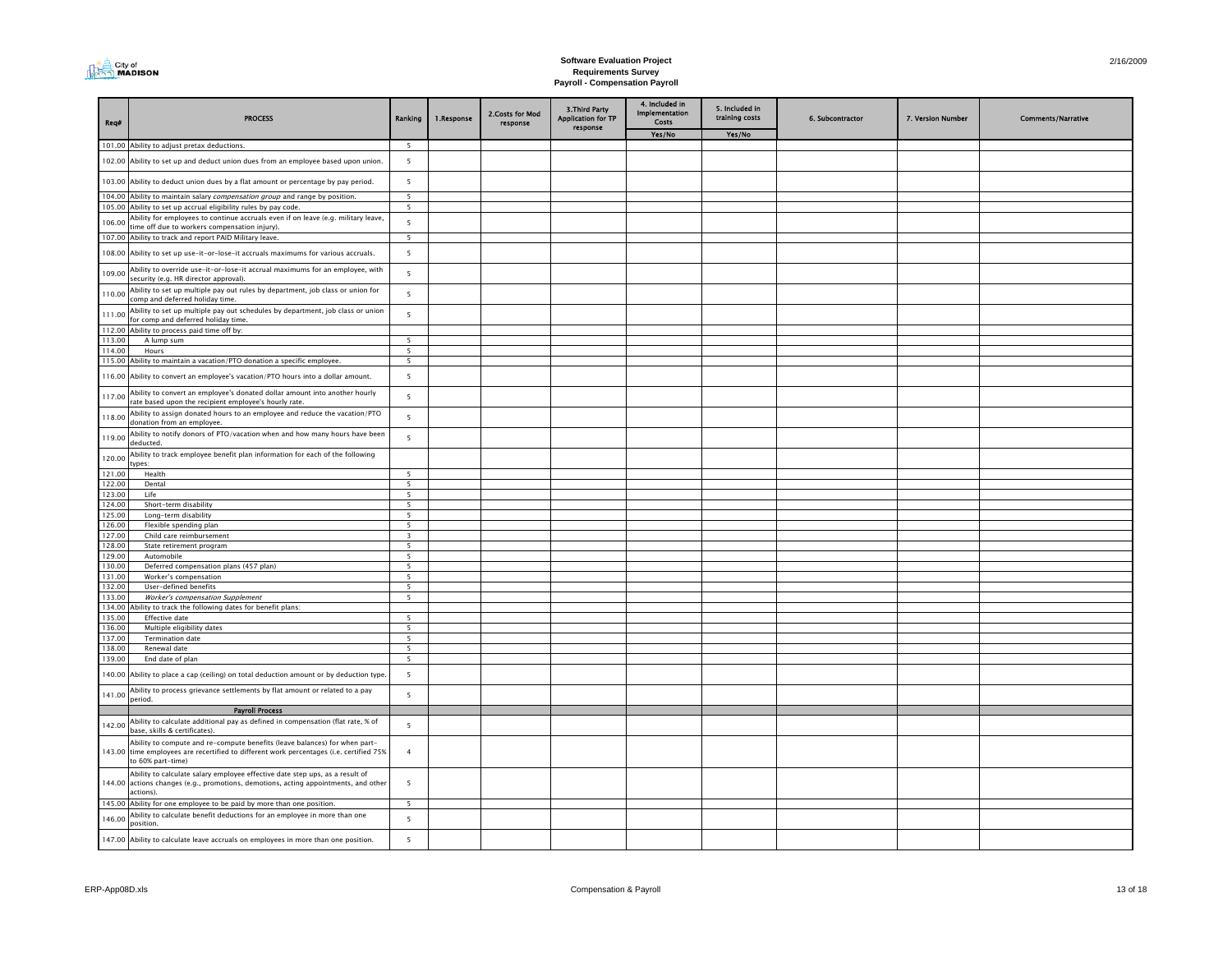| <b>I MADISON</b> |
|------------------|
|------------------|

| Req#             | <b>PROCESS</b>                                                                                                                                                                             | Ranking                                              | 1.Response | 2. Costs for Mod<br>response | 3. Third Party<br><b>Application for TP</b><br>response | 4. Included in<br>Implementation<br>Costs | 5. Included in<br>training costs | 6. Subcontractor | 7. Version Number | <b>Comments/Narrative</b> |
|------------------|--------------------------------------------------------------------------------------------------------------------------------------------------------------------------------------------|------------------------------------------------------|------------|------------------------------|---------------------------------------------------------|-------------------------------------------|----------------------------------|------------------|-------------------|---------------------------|
|                  |                                                                                                                                                                                            |                                                      |            |                              |                                                         | Yes/No                                    | Yes/No                           |                  |                   |                           |
|                  | 101.00 Ability to adjust pretax deductions.                                                                                                                                                | 5                                                    |            |                              |                                                         |                                           |                                  |                  |                   |                           |
|                  | 102.00 Ability to set up and deduct union dues from an employee based upon union.                                                                                                          | 5                                                    |            |                              |                                                         |                                           |                                  |                  |                   |                           |
|                  | 103.00 Ability to deduct union dues by a flat amount or percentage by pay period.<br>104.00 Ability to maintain salary compensation group and range by position.                           | 5                                                    |            |                              |                                                         |                                           |                                  |                  |                   |                           |
|                  | 105.00 Ability to set up accrual eligibility rules by pay code.                                                                                                                            | 5<br>5                                               |            |                              |                                                         |                                           |                                  |                  |                   |                           |
|                  | Ability for employees to continue accruals even if on leave (e.g. military leave,                                                                                                          | 5                                                    |            |                              |                                                         |                                           |                                  |                  |                   |                           |
| 106.00           | ime off due to workers compensation injury).                                                                                                                                               |                                                      |            |                              |                                                         |                                           |                                  |                  |                   |                           |
|                  | 107.00 Ability to track and report PAID Military leave.                                                                                                                                    | $\overline{5}$                                       |            |                              |                                                         |                                           |                                  |                  |                   |                           |
|                  | 108.00 Ability to set up use-it-or-lose-it accruals maximums for various accruals.                                                                                                         | 5                                                    |            |                              |                                                         |                                           |                                  |                  |                   |                           |
| 109.00           | Ability to override use-it-or-lose-it accrual maximums for an employee, with<br>security (e.g. HR director approval).                                                                      | 5                                                    |            |                              |                                                         |                                           |                                  |                  |                   |                           |
| 110.00           | Ability to set up multiple pay out rules by department, job class or union for<br>comp and deferred holiday time.                                                                          | 5                                                    |            |                              |                                                         |                                           |                                  |                  |                   |                           |
| 111.00           | Ability to set up multiple pay out schedules by department, job class or union<br>for comp and deferred holiday time.                                                                      | 5                                                    |            |                              |                                                         |                                           |                                  |                  |                   |                           |
| 112.00           | Ability to process paid time off by:                                                                                                                                                       |                                                      |            |                              |                                                         |                                           |                                  |                  |                   |                           |
| 113.00<br>114.00 | A lump sum                                                                                                                                                                                 | $\overline{\phantom{a}}$<br>$\overline{\phantom{0}}$ |            |                              |                                                         |                                           |                                  |                  |                   |                           |
|                  | Hours<br>115.00 Ability to maintain a vacation/PTO donation a specific employee.                                                                                                           | $\overline{\phantom{a}}$                             |            |                              |                                                         |                                           |                                  |                  |                   |                           |
| 116.00           | Ability to convert an employee's vacation/PTO hours into a dollar amount.                                                                                                                  | 5                                                    |            |                              |                                                         |                                           |                                  |                  |                   |                           |
| 117.00           | Ability to convert an employee's donated dollar amount into another hourly<br>rate based upon the recipient employee's hourly rate.                                                        | 5                                                    |            |                              |                                                         |                                           |                                  |                  |                   |                           |
| 118.00           | Ability to assign donated hours to an employee and reduce the vacation/PTO<br>donation from an employee.                                                                                   | 5                                                    |            |                              |                                                         |                                           |                                  |                  |                   |                           |
| 119.00           | Ability to notify donors of PTO/vacation when and how many hours have been<br>deducted.                                                                                                    | $\overline{5}$                                       |            |                              |                                                         |                                           |                                  |                  |                   |                           |
| 120.00           | Ability to track employee benefit plan information for each of the following<br>vpes:                                                                                                      |                                                      |            |                              |                                                         |                                           |                                  |                  |                   |                           |
| 121.00           | Health                                                                                                                                                                                     | $\overline{5}$                                       |            |                              |                                                         |                                           |                                  |                  |                   |                           |
| 122.00           | Dental                                                                                                                                                                                     | 5                                                    |            |                              |                                                         |                                           |                                  |                  |                   |                           |
| 123.00           | Life                                                                                                                                                                                       | 5                                                    |            |                              |                                                         |                                           |                                  |                  |                   |                           |
| 124.00           | Short-term disability                                                                                                                                                                      | 5                                                    |            |                              |                                                         |                                           |                                  |                  |                   |                           |
| 125.00<br>126.00 | Long-term disability<br>Flexible spending plan                                                                                                                                             | 5<br>5                                               |            |                              |                                                         |                                           |                                  |                  |                   |                           |
| 127.00           | Child care reimbursement                                                                                                                                                                   | $\overline{\mathbf{3}}$                              |            |                              |                                                         |                                           |                                  |                  |                   |                           |
| 128.00           | State retirement program                                                                                                                                                                   | 5                                                    |            |                              |                                                         |                                           |                                  |                  |                   |                           |
| 129.00           | Automobile                                                                                                                                                                                 | $\overline{5}$                                       |            |                              |                                                         |                                           |                                  |                  |                   |                           |
| 130.00           | Deferred compensation plans (457 plan)                                                                                                                                                     | 5                                                    |            |                              |                                                         |                                           |                                  |                  |                   |                           |
| 131.00           | Worker's compensation                                                                                                                                                                      | $\overline{\phantom{a}}$<br>$\overline{\phantom{a}}$ |            |                              |                                                         |                                           |                                  |                  |                   |                           |
| 132.00<br>133.00 | User-defined benefits<br>Worker's compensation Supplement                                                                                                                                  | $\overline{5}$                                       |            |                              |                                                         |                                           |                                  |                  |                   |                           |
|                  | 134.00 Ability to track the following dates for benefit plans:                                                                                                                             |                                                      |            |                              |                                                         |                                           |                                  |                  |                   |                           |
| 135.00           | <b>Effective date</b>                                                                                                                                                                      | $\overline{\phantom{a}}$                             |            |                              |                                                         |                                           |                                  |                  |                   |                           |
| 136.00           | Multiple eligibility dates                                                                                                                                                                 | $\overline{5}$                                       |            |                              |                                                         |                                           |                                  |                  |                   |                           |
| 137.00           | <b>Termination date</b>                                                                                                                                                                    | 5                                                    |            |                              |                                                         |                                           |                                  |                  |                   |                           |
| 138.00<br>139.00 | Renewal date<br>End date of plan                                                                                                                                                           | 5<br>$\overline{\phantom{a}}$                        |            |                              |                                                         |                                           |                                  |                  |                   |                           |
| 140.00           | Ability to place a cap (ceiling) on total deduction amount or by deduction type                                                                                                            | 5                                                    |            |                              |                                                         |                                           |                                  |                  |                   |                           |
| 141.00           | Ability to process grievance settlements by flat amount or related to a pay                                                                                                                | 5                                                    |            |                              |                                                         |                                           |                                  |                  |                   |                           |
|                  | period.<br><b>Payroll Process</b>                                                                                                                                                          |                                                      |            |                              |                                                         |                                           |                                  |                  |                   |                           |
|                  | Ability to calculate additional pay as defined in compensation (flat rate, % of                                                                                                            |                                                      |            |                              |                                                         |                                           |                                  |                  |                   |                           |
| 142.00           | base, skills & certificates).                                                                                                                                                              | 5                                                    |            |                              |                                                         |                                           |                                  |                  |                   |                           |
|                  | Ability to compute and re-compute benefits (leave balances) for when part-<br>143.00 time employees are recertified to different work percentages (i.e. certified 75%<br>to 60% part-time) | $\overline{4}$                                       |            |                              |                                                         |                                           |                                  |                  |                   |                           |
|                  | Ability to calculate salary employee effective date step ups, as a result of<br>144.00 actions changes (e.g., promotions, demotions, acting appointments, and other<br>actions).           | 5                                                    |            |                              |                                                         |                                           |                                  |                  |                   |                           |
|                  | 145.00 Ability for one employee to be paid by more than one position.                                                                                                                      | $\overline{\phantom{a}}$                             |            |                              |                                                         |                                           |                                  |                  |                   |                           |
| 146.00           | Ability to calculate benefit deductions for an employee in more than one<br>position.                                                                                                      | 5                                                    |            |                              |                                                         |                                           |                                  |                  |                   |                           |
|                  | 147.00 Ability to calculate leave accruals on employees in more than one position.                                                                                                         | 5                                                    |            |                              |                                                         |                                           |                                  |                  |                   |                           |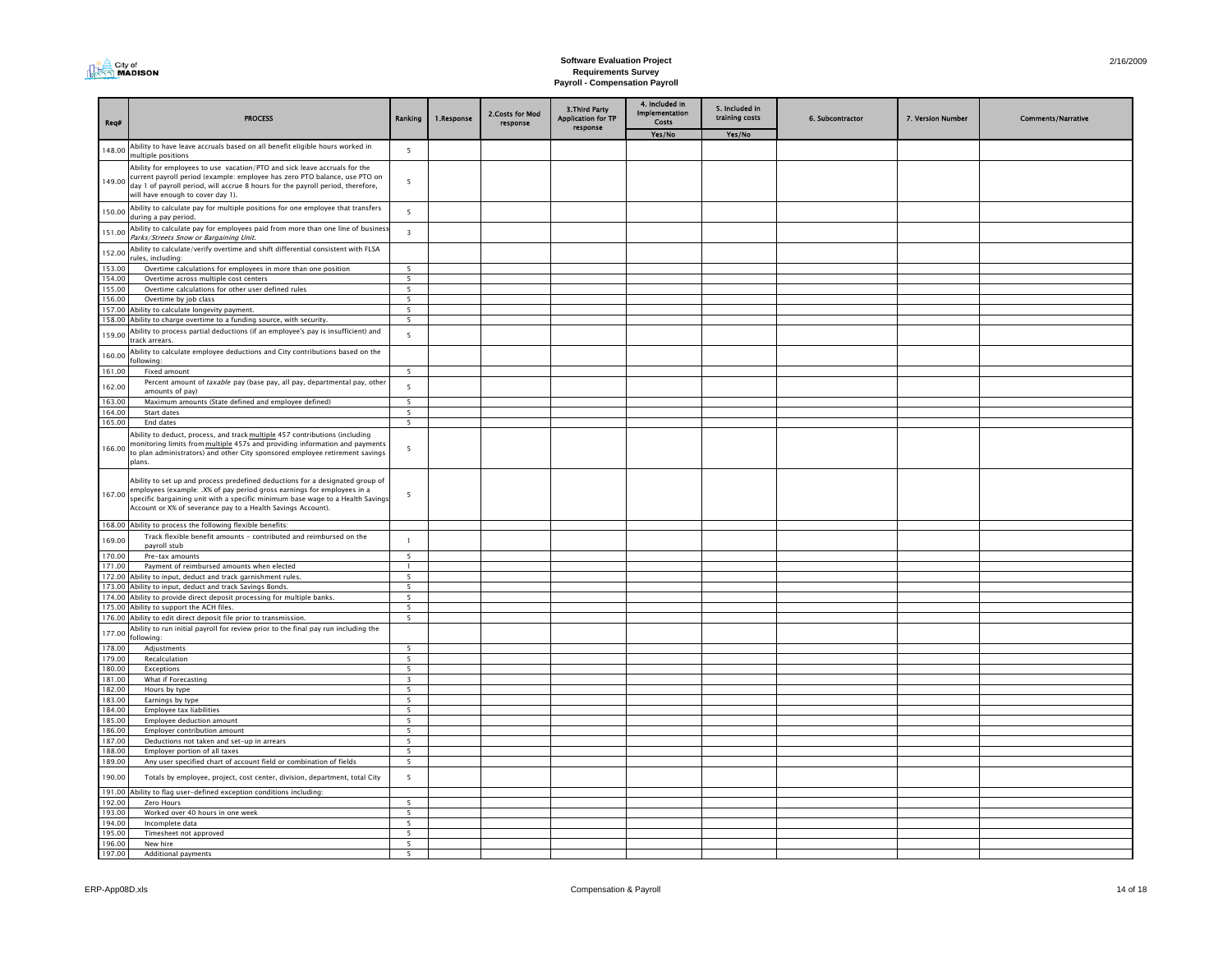| <b>I MADISON</b> |
|------------------|
|------------------|

| Reg#             | <b>PROCESS</b>                                                                                                                                                                                                                                                                                                    | Ranking                                     | 1.Response | 2. Costs for Mod<br>response | 3. Third Party<br><b>Application for TP</b><br>response | 4. Included in<br><b>Implementation</b><br>Costs | 5. Included in<br>training costs | 6. Subcontractor | 7. Version Number | <b>Comments/Narrative</b> |
|------------------|-------------------------------------------------------------------------------------------------------------------------------------------------------------------------------------------------------------------------------------------------------------------------------------------------------------------|---------------------------------------------|------------|------------------------------|---------------------------------------------------------|--------------------------------------------------|----------------------------------|------------------|-------------------|---------------------------|
|                  |                                                                                                                                                                                                                                                                                                                   |                                             |            |                              |                                                         | Yes/No                                           | Yes/No                           |                  |                   |                           |
| 148.00           | Ability to have leave accruals based on all benefit eligible hours worked in<br>multiple positions                                                                                                                                                                                                                | $\overline{5}$                              |            |                              |                                                         |                                                  |                                  |                  |                   |                           |
| 149.00           | Ability for employees to use vacation/PTO and sick leave accruals for the<br>current payroll period (example: employee has zero PTO balance, use PTO on<br>day 1 of payroll period, will accrue 8 hours for the payroll period, therefore,<br>will have enough to cover day 1).                                   | $\overline{5}$                              |            |                              |                                                         |                                                  |                                  |                  |                   |                           |
| 150.00           | Ability to calculate pay for multiple positions for one employee that transfers<br>during a pay period.                                                                                                                                                                                                           | 5                                           |            |                              |                                                         |                                                  |                                  |                  |                   |                           |
| 151.00           | Ability to calculate pay for employees paid from more than one line of busines<br>Parks/Streets Snow or Bargaining Unit.                                                                                                                                                                                          | $\overline{\mathbf{3}}$                     |            |                              |                                                         |                                                  |                                  |                  |                   |                           |
| 152.00           | Ability to calculate/verify overtime and shift differential consistent with FLSA<br>rules, including:                                                                                                                                                                                                             |                                             |            |                              |                                                         |                                                  |                                  |                  |                   |                           |
| 153.00           | Overtime calculations for employees in more than one position                                                                                                                                                                                                                                                     | $\overline{\phantom{a}}$                    |            |                              |                                                         |                                                  |                                  |                  |                   |                           |
| 154.00           | Overtime across multiple cost centers                                                                                                                                                                                                                                                                             | $\overline{5}$                              |            |                              |                                                         |                                                  |                                  |                  |                   |                           |
| 155.00           | Overtime calculations for other user defined rules                                                                                                                                                                                                                                                                | 5                                           |            |                              |                                                         |                                                  |                                  |                  |                   |                           |
| 156.00           | Overtime by job class                                                                                                                                                                                                                                                                                             | $\overline{5}$                              |            |                              |                                                         |                                                  |                                  |                  |                   |                           |
| 158.00           | 157.00 Ability to calculate longevity payment.<br>Ability to charge overtime to a funding source, with security.                                                                                                                                                                                                  | 5<br>$\overline{\phantom{0}}$               |            |                              |                                                         |                                                  |                                  |                  |                   |                           |
| 159.00           | Ability to process partial deductions (if an employee's pay is insufficient) and<br>track arrears.                                                                                                                                                                                                                | 5                                           |            |                              |                                                         |                                                  |                                  |                  |                   |                           |
| 160.00           | Ability to calculate employee deductions and City contributions based on the<br>following:                                                                                                                                                                                                                        |                                             |            |                              |                                                         |                                                  |                                  |                  |                   |                           |
| 161.00           | Fixed amount                                                                                                                                                                                                                                                                                                      | $\overline{\phantom{a}}$                    |            |                              |                                                         |                                                  |                                  |                  |                   |                           |
| 162.00           | Percent amount of taxable pay (base pay, all pay, departmental pay, other<br>amounts of pay)                                                                                                                                                                                                                      | $\overline{\mathbf{5}}$                     |            |                              |                                                         |                                                  |                                  |                  |                   |                           |
| 163.00           | Maximum amounts (State defined and employee defined)                                                                                                                                                                                                                                                              | $\overline{\phantom{a}}$                    |            |                              |                                                         |                                                  |                                  |                  |                   |                           |
| 164.00           | Start dates                                                                                                                                                                                                                                                                                                       | $\overline{5}$                              |            |                              |                                                         |                                                  |                                  |                  |                   |                           |
| 165.00           | <b>End dates</b>                                                                                                                                                                                                                                                                                                  | $\overline{5}$                              |            |                              |                                                         |                                                  |                                  |                  |                   |                           |
| 166.00           | Ability to deduct, process, and track multiple 457 contributions (including<br>monitoring limits from multiple 457s and providing information and payments<br>to plan administrators) and other City sponsored employee retirement savings<br>plans.                                                              | 5                                           |            |                              |                                                         |                                                  |                                  |                  |                   |                           |
|                  | Ability to set up and process predefined deductions for a designated group of<br>167.00 employees (example: .X% of pay period gross earnings for employees in a<br>specific bargaining unit with a specific minimum base wage to a Health Savings<br>Account or X% of severance pay to a Health Savings Account). | 5                                           |            |                              |                                                         |                                                  |                                  |                  |                   |                           |
|                  | 168.00 Ability to process the following flexible benefits:                                                                                                                                                                                                                                                        |                                             |            |                              |                                                         |                                                  |                                  |                  |                   |                           |
| 169.00           | Track flexible benefit amounts - contributed and reimbursed on the<br>payroll stub                                                                                                                                                                                                                                | $\mathbf{1}$                                |            |                              |                                                         |                                                  |                                  |                  |                   |                           |
| 170.00           | Pre-tax amounts                                                                                                                                                                                                                                                                                                   | $\overline{5}$                              |            |                              |                                                         |                                                  |                                  |                  |                   |                           |
| 171.00           | Payment of reimbursed amounts when elected                                                                                                                                                                                                                                                                        | $\mathbf{1}$                                |            |                              |                                                         |                                                  |                                  |                  |                   |                           |
|                  | 172.00 Ability to input, deduct and track garnishment rules.                                                                                                                                                                                                                                                      | $5^{\circ}$                                 |            |                              |                                                         |                                                  |                                  |                  |                   |                           |
| 173.00           | Ability to input, deduct and track Savings Bonds.                                                                                                                                                                                                                                                                 | $\overline{\phantom{0}}$<br>$\overline{5}$  |            |                              |                                                         |                                                  |                                  |                  |                   |                           |
| 175.00           | 174.00 Ability to provide direct deposit processing for multiple banks.<br>Ability to support the ACH files.                                                                                                                                                                                                      | $\overline{5}$                              |            |                              |                                                         |                                                  |                                  |                  |                   |                           |
|                  | 176.00 Ability to edit direct deposit file prior to transmission.                                                                                                                                                                                                                                                 | $\overline{\phantom{0}}$                    |            |                              |                                                         |                                                  |                                  |                  |                   |                           |
| 177.00           | Ability to run initial payroll for review prior to the final pay run including the<br>following:                                                                                                                                                                                                                  |                                             |            |                              |                                                         |                                                  |                                  |                  |                   |                           |
| 178.00           | Adjustments                                                                                                                                                                                                                                                                                                       | 5 <sup>5</sup>                              |            |                              |                                                         |                                                  |                                  |                  |                   |                           |
| 179.00           | Recalculation                                                                                                                                                                                                                                                                                                     | $5^{\circ}$                                 |            |                              |                                                         |                                                  |                                  |                  |                   |                           |
| 180.00           | Exceptions                                                                                                                                                                                                                                                                                                        | $\overline{5}$<br>্ব                        |            |                              |                                                         |                                                  |                                  |                  |                   |                           |
| 181.00<br>182.00 | What if Forecasting<br>Hours by type                                                                                                                                                                                                                                                                              | $\overline{\phantom{a}}$                    |            |                              |                                                         |                                                  |                                  |                  |                   |                           |
| 183.00           | Earnings by type                                                                                                                                                                                                                                                                                                  | $\overline{\phantom{a}}$                    |            |                              |                                                         |                                                  |                                  |                  |                   |                           |
| 184.00           | Employee tax liabilities                                                                                                                                                                                                                                                                                          | $\overline{\phantom{a}}$                    |            |                              |                                                         |                                                  |                                  |                  |                   |                           |
| 185.00           | Employee deduction amount                                                                                                                                                                                                                                                                                         | 5 <sup>5</sup>                              |            |                              |                                                         |                                                  |                                  |                  |                   |                           |
| 186.00           | Employer contribution amount                                                                                                                                                                                                                                                                                      | 5 <sup>5</sup>                              |            |                              |                                                         |                                                  |                                  |                  |                   |                           |
| 187.00           | Deductions not taken and set-up in arrears                                                                                                                                                                                                                                                                        | $5\overline{5}$                             |            |                              |                                                         |                                                  |                                  |                  |                   |                           |
| 188.00           | Employer portion of all taxes                                                                                                                                                                                                                                                                                     | $\overline{\phantom{a}}$                    |            |                              |                                                         |                                                  |                                  |                  |                   |                           |
| 189.00<br>190.00 | Any user specified chart of account field or combination of fields<br>Totals by employee, project, cost center, division, department, total City                                                                                                                                                                  | $\overline{\phantom{a}}$<br>$5\phantom{.0}$ |            |                              |                                                         |                                                  |                                  |                  |                   |                           |
| 191.00           | Ability to flag user-defined exception conditions including:                                                                                                                                                                                                                                                      |                                             |            |                              |                                                         |                                                  |                                  |                  |                   |                           |
| 192.00           | Zero Hours                                                                                                                                                                                                                                                                                                        | $\overline{\phantom{a}}$                    |            |                              |                                                         |                                                  |                                  |                  |                   |                           |
| 193.00           | Worked over 40 hours in one week                                                                                                                                                                                                                                                                                  | 5 <sup>5</sup>                              |            |                              |                                                         |                                                  |                                  |                  |                   |                           |
| 194.00           | Incomplete data                                                                                                                                                                                                                                                                                                   | $\overline{\phantom{a}}$                    |            |                              |                                                         |                                                  |                                  |                  |                   |                           |
| 195.00           | Timesheet not approved                                                                                                                                                                                                                                                                                            | $\overline{a}$                              |            |                              |                                                         |                                                  |                                  |                  |                   |                           |
| 196.00           | New hire                                                                                                                                                                                                                                                                                                          | $\overline{\phantom{a}}$                    |            |                              |                                                         |                                                  |                                  |                  |                   |                           |
| 197.00           | Additional payments                                                                                                                                                                                                                                                                                               | $5\overline{5}$                             |            |                              |                                                         |                                                  |                                  |                  |                   |                           |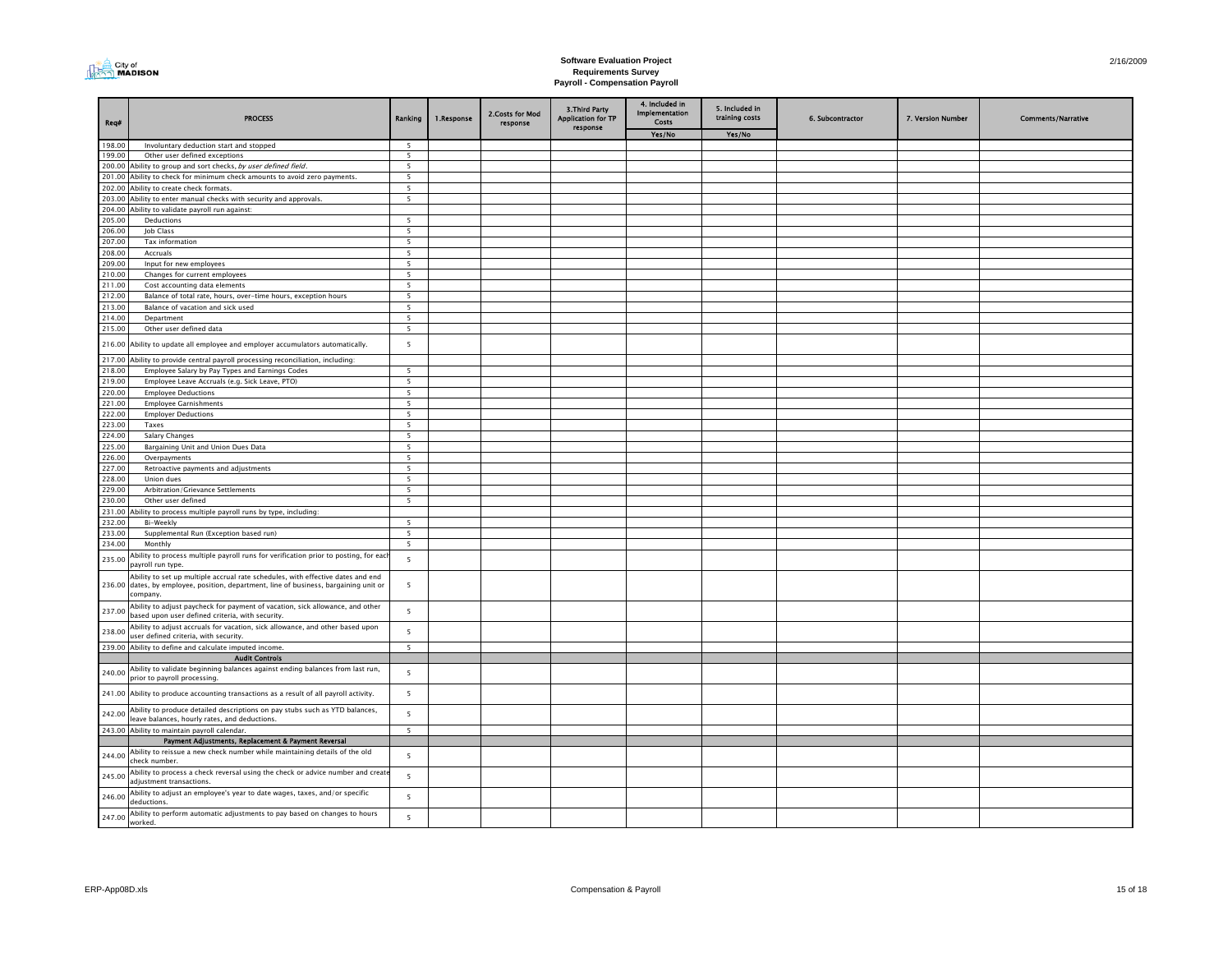

| Req#             | <b>PROCESS</b>                                                                                                                                                                       | Ranking                  | 1.Response | 2.Costs for Mod<br>response | 3. Third Party<br><b>Application for TP</b><br>response | 4. Included in<br><b>Implementation</b><br>Costs | 5. Included in<br>training costs | 6. Subcontractor | 7. Version Number | <b>Comments/Narrative</b> |
|------------------|--------------------------------------------------------------------------------------------------------------------------------------------------------------------------------------|--------------------------|------------|-----------------------------|---------------------------------------------------------|--------------------------------------------------|----------------------------------|------------------|-------------------|---------------------------|
|                  |                                                                                                                                                                                      |                          |            |                             |                                                         | Yes/No                                           | Yes/No                           |                  |                   |                           |
| 198.00           | Involuntary deduction start and stopped                                                                                                                                              | $\overline{5}$           |            |                             |                                                         |                                                  |                                  |                  |                   |                           |
| 199.00           | Other user defined exceptions                                                                                                                                                        | $\overline{\phantom{0}}$ |            |                             |                                                         |                                                  |                                  |                  |                   |                           |
| 200.00           | Ability to group and sort checks, by user defined field.                                                                                                                             | 5                        |            |                             |                                                         |                                                  |                                  |                  |                   |                           |
|                  | 201.00 Ability to check for minimum check amounts to avoid zero payments.                                                                                                            | 5                        |            |                             |                                                         |                                                  |                                  |                  |                   |                           |
|                  | 202.00 Ability to create check formats.<br>203.00 Ability to enter manual checks with security and approvals.                                                                        | 5<br>$\overline{5}$      |            |                             |                                                         |                                                  |                                  |                  |                   |                           |
|                  | 204.00 Ability to validate payroll run against:                                                                                                                                      |                          |            |                             |                                                         |                                                  |                                  |                  |                   |                           |
| 205.00           | Deductions                                                                                                                                                                           | 5                        |            |                             |                                                         |                                                  |                                  |                  |                   |                           |
| 206.00           | Job Class                                                                                                                                                                            | 5                        |            |                             |                                                         |                                                  |                                  |                  |                   |                           |
| 207.00           | Tax information                                                                                                                                                                      | 5                        |            |                             |                                                         |                                                  |                                  |                  |                   |                           |
| 208.00           | Accruals                                                                                                                                                                             | 5                        |            |                             |                                                         |                                                  |                                  |                  |                   |                           |
| 209.00           | Input for new employees                                                                                                                                                              | 5                        |            |                             |                                                         |                                                  |                                  |                  |                   |                           |
| 210.00           | Changes for current employees                                                                                                                                                        | 5                        |            |                             |                                                         |                                                  |                                  |                  |                   |                           |
| 211.00           | Cost accounting data elements                                                                                                                                                        | 5                        |            |                             |                                                         |                                                  |                                  |                  |                   |                           |
| 212.00           | Balance of total rate, hours, over-time hours, exception hours                                                                                                                       | 5                        |            |                             |                                                         |                                                  |                                  |                  |                   |                           |
| 213.00           | Balance of vacation and sick used                                                                                                                                                    | 5                        |            |                             |                                                         |                                                  |                                  |                  |                   |                           |
| 214.00           | Department                                                                                                                                                                           | 5                        |            |                             |                                                         |                                                  |                                  |                  |                   |                           |
| 215.00           | Other user defined data                                                                                                                                                              | 5                        |            |                             |                                                         |                                                  |                                  |                  |                   |                           |
|                  | 216.00 Ability to update all employee and employer accumulators automatically.                                                                                                       | $5\overline{5}$          |            |                             |                                                         |                                                  |                                  |                  |                   |                           |
|                  | 217.00 Ability to provide central payroll processing reconciliation, including:                                                                                                      |                          |            |                             |                                                         |                                                  |                                  |                  |                   |                           |
| 218.00           | Employee Salary by Pay Types and Earnings Codes                                                                                                                                      | $\overline{\phantom{a}}$ |            |                             |                                                         |                                                  |                                  |                  |                   |                           |
| 219.00           | Employee Leave Accruals (e.g. Sick Leave, PTO)                                                                                                                                       | 5                        |            |                             |                                                         |                                                  |                                  |                  |                   |                           |
| 220.00           | <b>Employee Deductions</b>                                                                                                                                                           | 5                        |            |                             |                                                         |                                                  |                                  |                  |                   |                           |
| 221.00           | <b>Employee Garnishments</b>                                                                                                                                                         | 5                        |            |                             |                                                         |                                                  |                                  |                  |                   |                           |
| 222.00           | <b>Employer Deductions</b>                                                                                                                                                           | 5                        |            |                             |                                                         |                                                  |                                  |                  |                   |                           |
| 223.00           | Taxes                                                                                                                                                                                | 5 <sup>5</sup>           |            |                             |                                                         |                                                  |                                  |                  |                   |                           |
| 224.00           | <b>Salary Changes</b>                                                                                                                                                                | 5                        |            |                             |                                                         |                                                  |                                  |                  |                   |                           |
| 225.00           | Bargaining Unit and Union Dues Data                                                                                                                                                  | 5                        |            |                             |                                                         |                                                  |                                  |                  |                   |                           |
| 226.00           | Overpayments                                                                                                                                                                         | 5                        |            |                             |                                                         |                                                  |                                  |                  |                   |                           |
| 227.00           | Retroactive payments and adjustments                                                                                                                                                 | $\overline{5}$           |            |                             |                                                         |                                                  |                                  |                  |                   |                           |
| 228.00           | Union dues                                                                                                                                                                           | $\overline{\phantom{a}}$ |            |                             |                                                         |                                                  |                                  |                  |                   |                           |
| 229.00           | Arbitration/Grievance Settlements                                                                                                                                                    | 5                        |            |                             |                                                         |                                                  |                                  |                  |                   |                           |
| 230.00           | Other user defined                                                                                                                                                                   | 5                        |            |                             |                                                         |                                                  |                                  |                  |                   |                           |
| 231.00<br>232.00 | Ability to process multiple payroll runs by type, including:<br>Bi-Weekly                                                                                                            | 5                        |            |                             |                                                         |                                                  |                                  |                  |                   |                           |
| 233.00           | Supplemental Run (Exception based run)                                                                                                                                               | 5                        |            |                             |                                                         |                                                  |                                  |                  |                   |                           |
| 234.00           | Monthly                                                                                                                                                                              | 5                        |            |                             |                                                         |                                                  |                                  |                  |                   |                           |
|                  | Ability to process multiple payroll runs for verification prior to posting, for each                                                                                                 |                          |            |                             |                                                         |                                                  |                                  |                  |                   |                           |
| 235.00           | payroll run type.                                                                                                                                                                    | $\overline{5}$           |            |                             |                                                         |                                                  |                                  |                  |                   |                           |
|                  | Ability to set up multiple accrual rate schedules, with effective dates and end<br>236.00 dates, by employee, position, department, line of business, bargaining unit or<br>company. | 5                        |            |                             |                                                         |                                                  |                                  |                  |                   |                           |
| 237.00           | Ability to adjust paycheck for payment of vacation, sick allowance, and other<br>based upon user defined criteria, with security.                                                    | $5\overline{5}$          |            |                             |                                                         |                                                  |                                  |                  |                   |                           |
| 238.00           | Ability to adjust accruals for vacation, sick allowance, and other based upon<br>user defined criteria, with security.                                                               | 5                        |            |                             |                                                         |                                                  |                                  |                  |                   |                           |
|                  | 239.00 Ability to define and calculate imputed income.                                                                                                                               | 5                        |            |                             |                                                         |                                                  |                                  |                  |                   |                           |
|                  | <b>Audit Controls</b>                                                                                                                                                                |                          |            |                             |                                                         |                                                  |                                  |                  |                   |                           |
| 240.00           | Ability to validate beginning balances against ending balances from last run,<br>prior to payroll processing.                                                                        | 5                        |            |                             |                                                         |                                                  |                                  |                  |                   |                           |
|                  | 241.00 Ability to produce accounting transactions as a result of all payroll activity.                                                                                               | 5                        |            |                             |                                                         |                                                  |                                  |                  |                   |                           |
| 242.00           | Ability to produce detailed descriptions on pay stubs such as YTD balances,<br>leave balances, hourly rates, and deductions.                                                         | $5\overline{5}$          |            |                             |                                                         |                                                  |                                  |                  |                   |                           |
|                  | 243.00 Ability to maintain payroll calendar.                                                                                                                                         | 5                        |            |                             |                                                         |                                                  |                                  |                  |                   |                           |
| 244.00           | Payment Adjustments, Replacement & Payment Reversal<br>Ability to reissue a new check number while maintaining details of the old<br>check number.                                   | 5                        |            |                             |                                                         |                                                  |                                  |                  |                   |                           |
| 245.00           | Ability to process a check reversal using the check or advice number and create<br>adjustment transactions.                                                                          | 5                        |            |                             |                                                         |                                                  |                                  |                  |                   |                           |
| 246.00           | Ability to adjust an employee's year to date wages, taxes, and/or specific<br>deductions.                                                                                            | $5\overline{5}$          |            |                             |                                                         |                                                  |                                  |                  |                   |                           |
| 247.00           | Ability to perform automatic adjustments to pay based on changes to hours<br>worked.                                                                                                 | $\overline{\mathbf{5}}$  |            |                             |                                                         |                                                  |                                  |                  |                   |                           |
|                  |                                                                                                                                                                                      |                          |            |                             |                                                         |                                                  |                                  |                  |                   |                           |

2/16/2009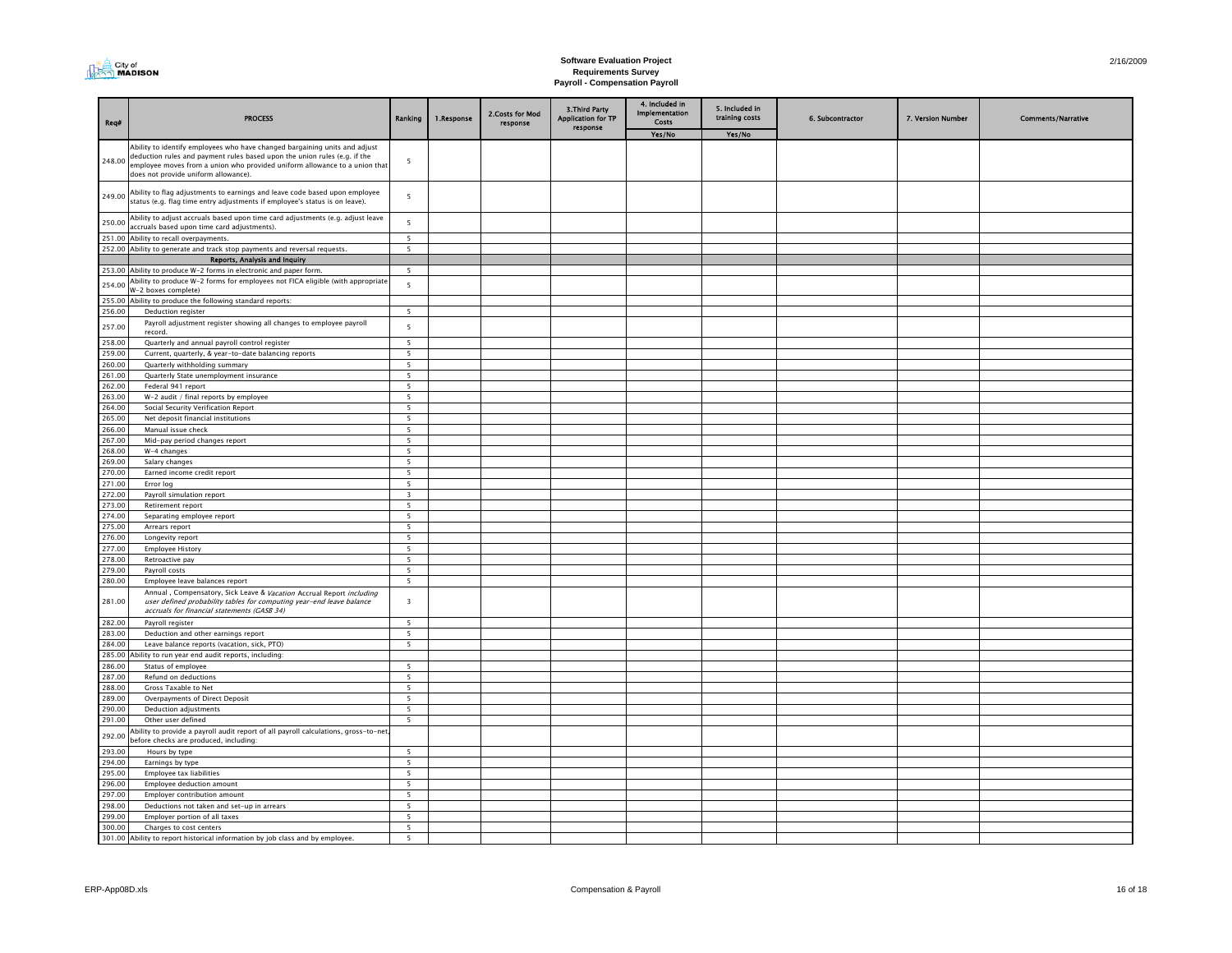| City of<br>$\cap$ MADISON |
|---------------------------|
|---------------------------|

| Req#             | <b>PROCESS</b>                                                                                                                                                                                                                                                                | Ranking                       | 1.Response | 2.Costs for Mod<br>response | 3. Third Party<br><b>Application for TP</b><br>response | 4. Included in<br>Implementation<br>Costs | 5. Included in<br>training costs | 6. Subcontractor | 7. Version Number | <b>Comments/Narrative</b> |
|------------------|-------------------------------------------------------------------------------------------------------------------------------------------------------------------------------------------------------------------------------------------------------------------------------|-------------------------------|------------|-----------------------------|---------------------------------------------------------|-------------------------------------------|----------------------------------|------------------|-------------------|---------------------------|
|                  |                                                                                                                                                                                                                                                                               |                               |            |                             |                                                         | Yes/No                                    | Yes/No                           |                  |                   |                           |
| 248.00           | Ability to identify employees who have changed bargaining units and adjust<br>deduction rules and payment rules based upon the union rules (e.g. if the<br>employee moves from a union who provided uniform allowance to a union that<br>does not provide uniform allowance). | 5                             |            |                             |                                                         |                                           |                                  |                  |                   |                           |
| 249.00           | Ability to flag adjustments to earnings and leave code based upon employee<br>status (e.g. flag time entry adjustments if employee's status is on leave).                                                                                                                     | 5                             |            |                             |                                                         |                                           |                                  |                  |                   |                           |
| 250.00           | Ability to adjust accruals based upon time card adjustments (e.g. adjust leave<br>accruals based upon time card adjustments).                                                                                                                                                 | 5                             |            |                             |                                                         |                                           |                                  |                  |                   |                           |
| 251.00           | Ability to recall overpayments.                                                                                                                                                                                                                                               | 5                             |            |                             |                                                         |                                           |                                  |                  |                   |                           |
|                  | 252.00 Ability to generate and track stop payments and reversal requests.                                                                                                                                                                                                     | $\overline{\phantom{a}}$      |            |                             |                                                         |                                           |                                  |                  |                   |                           |
|                  | Reports, Analysis and Inquiry                                                                                                                                                                                                                                                 |                               |            |                             |                                                         |                                           |                                  |                  |                   |                           |
| 254.00           | 253.00 Ability to produce W-2 forms in electronic and paper form.<br>Ability to produce W-2 forms for employees not FICA eligible (with appropriate<br>W-2 boxes complete)                                                                                                    | $\overline{\phantom{a}}$<br>5 |            |                             |                                                         |                                           |                                  |                  |                   |                           |
| 255.00           | Ability to produce the following standard reports:                                                                                                                                                                                                                            |                               |            |                             |                                                         |                                           |                                  |                  |                   |                           |
| 256.00           | Deduction register                                                                                                                                                                                                                                                            | 5                             |            |                             |                                                         |                                           |                                  |                  |                   |                           |
| 257.00           | Payroll adjustment register showing all changes to employee payroll<br>record.                                                                                                                                                                                                | $\overline{5}$                |            |                             |                                                         |                                           |                                  |                  |                   |                           |
| 258.00           | Quarterly and annual payroll control register                                                                                                                                                                                                                                 | - 5                           |            |                             |                                                         |                                           |                                  |                  |                   |                           |
| 259.00           | Current, quarterly, & year-to-date balancing reports                                                                                                                                                                                                                          | 5                             |            |                             |                                                         |                                           |                                  |                  |                   |                           |
| 260.00           | Quarterly withholding summary                                                                                                                                                                                                                                                 | $\overline{\phantom{a}}$      |            |                             |                                                         |                                           |                                  |                  |                   |                           |
| 261.00           | Quarterly State unemployment insurance                                                                                                                                                                                                                                        | $\overline{5}$                |            |                             |                                                         |                                           |                                  |                  |                   |                           |
| 262.00           | Federal 941 report                                                                                                                                                                                                                                                            | $\overline{5}$                |            |                             |                                                         |                                           |                                  |                  |                   |                           |
| 263.00           | $W-2$ audit / final reports by employee                                                                                                                                                                                                                                       | -5                            |            |                             |                                                         |                                           |                                  |                  |                   |                           |
| 264.00           | Social Security Verification Report                                                                                                                                                                                                                                           | $5\overline{5}$               |            |                             |                                                         |                                           |                                  |                  |                   |                           |
| 265.00           | Net deposit financial institutions                                                                                                                                                                                                                                            | 5                             |            |                             |                                                         |                                           |                                  |                  |                   |                           |
| 266.00           | Manual issue check                                                                                                                                                                                                                                                            | $\overline{5}$                |            |                             |                                                         |                                           |                                  |                  |                   |                           |
| 267.00           | Mid-pay period changes report                                                                                                                                                                                                                                                 | $\overline{5}$                |            |                             |                                                         |                                           |                                  |                  |                   |                           |
| 268.00           | W-4 changes                                                                                                                                                                                                                                                                   | 5                             |            |                             |                                                         |                                           |                                  |                  |                   |                           |
| 269.00<br>270.00 | Salary changes                                                                                                                                                                                                                                                                | 5                             |            |                             |                                                         |                                           |                                  |                  |                   |                           |
| 271.00           | Earned income credit report<br>Error log                                                                                                                                                                                                                                      | 5<br>5                        |            |                             |                                                         |                                           |                                  |                  |                   |                           |
| 272.00           | Payroll simulation report                                                                                                                                                                                                                                                     | $\overline{\mathbf{3}}$       |            |                             |                                                         |                                           |                                  |                  |                   |                           |
| 273.00           | Retirement report                                                                                                                                                                                                                                                             | $5^{\circ}$                   |            |                             |                                                         |                                           |                                  |                  |                   |                           |
| 274.00           | Separating employee report                                                                                                                                                                                                                                                    | 5 <sup>5</sup>                |            |                             |                                                         |                                           |                                  |                  |                   |                           |
| 275.00           | Arrears report                                                                                                                                                                                                                                                                | $\overline{5}$                |            |                             |                                                         |                                           |                                  |                  |                   |                           |
| 276.00           | Longevity report                                                                                                                                                                                                                                                              | $5\overline{5}$               |            |                             |                                                         |                                           |                                  |                  |                   |                           |
| 277.00           | <b>Employee History</b>                                                                                                                                                                                                                                                       | 5                             |            |                             |                                                         |                                           |                                  |                  |                   |                           |
| 278.00           | Retroactive pay                                                                                                                                                                                                                                                               | $\overline{5}$                |            |                             |                                                         |                                           |                                  |                  |                   |                           |
| 279.00           | Payroll costs                                                                                                                                                                                                                                                                 | 5                             |            |                             |                                                         |                                           |                                  |                  |                   |                           |
| 280.00           | Employee leave balances report                                                                                                                                                                                                                                                | $\overline{\phantom{0}}$      |            |                             |                                                         |                                           |                                  |                  |                   |                           |
| 281.00           | Annual, Compensatory, Sick Leave & Vacation Accrual Report including<br>user defined probability tables for computing year-end leave balance<br>accruals for financial statements (GASB 34)                                                                                   | $\overline{\mathbf{3}}$       |            |                             |                                                         |                                           |                                  |                  |                   |                           |
| 282.00           | Payroll register                                                                                                                                                                                                                                                              | 5                             |            |                             |                                                         |                                           |                                  |                  |                   |                           |
| 283.00           | Deduction and other earnings report                                                                                                                                                                                                                                           | $\overline{\phantom{a}}$      |            |                             |                                                         |                                           |                                  |                  |                   |                           |
| 284.00           | Leave balance reports (vacation, sick, PTO)                                                                                                                                                                                                                                   | 5                             |            |                             |                                                         |                                           |                                  |                  |                   |                           |
| 285.00           | Ability to run year end audit reports, including:                                                                                                                                                                                                                             |                               |            |                             |                                                         |                                           |                                  |                  |                   |                           |
| 286.00           | Status of employee                                                                                                                                                                                                                                                            | $\overline{5}$                |            |                             |                                                         |                                           |                                  |                  |                   |                           |
| 287.00           | Refund on deductions                                                                                                                                                                                                                                                          | $\overline{5}$                |            |                             |                                                         |                                           |                                  |                  |                   |                           |
| 288.00           | Gross Taxable to Net                                                                                                                                                                                                                                                          | 5                             |            |                             |                                                         |                                           |                                  |                  |                   |                           |
| 289.00<br>290.00 | Overpayments of Direct Deposit                                                                                                                                                                                                                                                | $\overline{5}$                |            |                             |                                                         |                                           |                                  |                  |                   |                           |
| 291.00           | Deduction adjustments<br>Other user defined                                                                                                                                                                                                                                   | 5<br>5                        |            |                             |                                                         |                                           |                                  |                  |                   |                           |
|                  |                                                                                                                                                                                                                                                                               |                               |            |                             |                                                         |                                           |                                  |                  |                   |                           |
| 292.00<br>293.00 | Ability to provide a payroll audit report of all payroll calculations, gross-to-net<br>before checks are produced, including:                                                                                                                                                 | $\overline{5}$                |            |                             |                                                         |                                           |                                  |                  |                   |                           |
| 294.00           | Hours by type<br>Earnings by type                                                                                                                                                                                                                                             | $\overline{5}$                |            |                             |                                                         |                                           |                                  |                  |                   |                           |
| 295.00           | Employee tax liabilities                                                                                                                                                                                                                                                      | 5                             |            |                             |                                                         |                                           |                                  |                  |                   |                           |
| 296.00           | Employee deduction amount                                                                                                                                                                                                                                                     | 5                             |            |                             |                                                         |                                           |                                  |                  |                   |                           |
| 297.00           | Employer contribution amount                                                                                                                                                                                                                                                  | 5                             |            |                             |                                                         |                                           |                                  |                  |                   |                           |
| 298.00           | Deductions not taken and set-up in arrears                                                                                                                                                                                                                                    | 5                             |            |                             |                                                         |                                           |                                  |                  |                   |                           |
| 299.00           | Employer portion of all taxes                                                                                                                                                                                                                                                 | 5                             |            |                             |                                                         |                                           |                                  |                  |                   |                           |
| 300.00           | Charges to cost centers                                                                                                                                                                                                                                                       | $\overline{\phantom{0}}$      |            |                             |                                                         |                                           |                                  |                  |                   |                           |
|                  | 301.00 Ability to report historical information by job class and by employee.                                                                                                                                                                                                 |                               |            |                             |                                                         |                                           |                                  |                  |                   |                           |
|                  |                                                                                                                                                                                                                                                                               |                               |            |                             |                                                         |                                           |                                  |                  |                   |                           |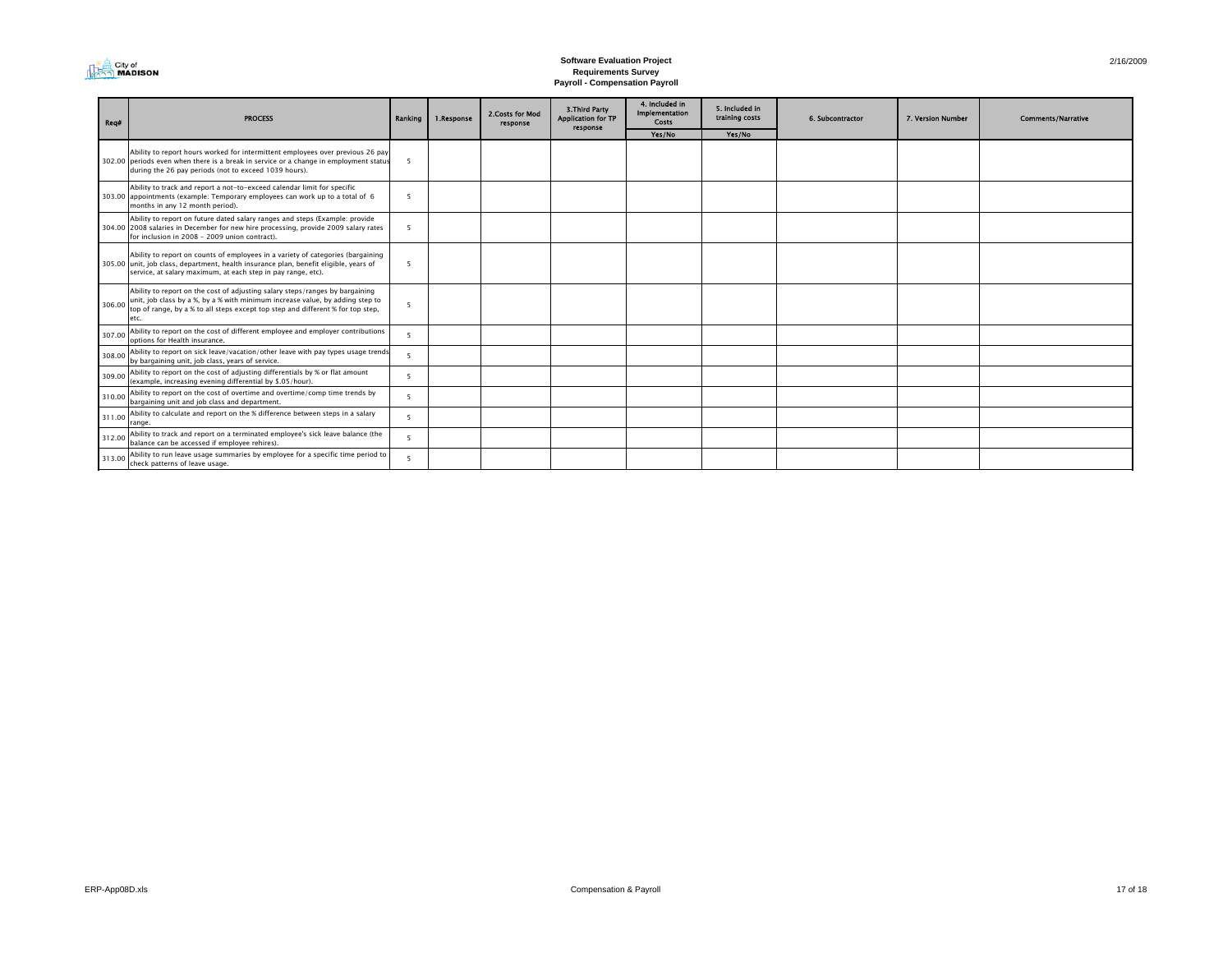| <b>I MADISON</b> |
|------------------|
|------------------|

| Reg#   | <b>PROCESS</b>                                                                                                                                                                                                                                           | Ranking                  | 1.Response | 2. Costs for Mod<br>response | 3. Third Party<br><b>Application for TP</b><br>response | 4. Included in<br><b>Implementation</b><br><b>Costs</b> | 5. Included in<br>training costs | 6. Subcontractor | 7. Version Number | <b>Comments/Narrative</b> |
|--------|----------------------------------------------------------------------------------------------------------------------------------------------------------------------------------------------------------------------------------------------------------|--------------------------|------------|------------------------------|---------------------------------------------------------|---------------------------------------------------------|----------------------------------|------------------|-------------------|---------------------------|
|        |                                                                                                                                                                                                                                                          |                          |            |                              |                                                         | Yes/No                                                  | Yes/No                           |                  |                   |                           |
|        | Ability to report hours worked for intermittent employees over previous 26 pay<br>302.00 periods even when there is a break in service or a change in employment status<br>during the 26 pay periods (not to exceed 1039 hours).                         | - 5                      |            |                              |                                                         |                                                         |                                  |                  |                   |                           |
|        | Ability to track and report a not-to-exceed calendar limit for specific<br>303.00 appointments (example: Temporary employees can work up to a total of 6<br>months in any 12 month period).                                                              | $\overline{\phantom{a}}$ |            |                              |                                                         |                                                         |                                  |                  |                   |                           |
|        | Ability to report on future dated salary ranges and steps (Example: provide<br>304.00 2008 salaries in December for new hire processing, provide 2009 salary rates<br>for inclusion in 2008 - 2009 union contract).                                      |                          |            |                              |                                                         |                                                         |                                  |                  |                   |                           |
|        | Ability to report on counts of employees in a variety of categories (bargaining<br>305.00 unit, job class, department, health insurance plan, benefit eligible, years of<br>service, at salary maximum, at each step in pay range, etc).                 | -5                       |            |                              |                                                         |                                                         |                                  |                  |                   |                           |
| 306.00 | Ability to report on the cost of adjusting salary steps/ranges by bargaining<br>unit, job class by a %, by a % with minimum increase value, by adding step to<br>top of range, by a % to all steps except top step and different % for top step,<br>etc. | -5                       |            |                              |                                                         |                                                         |                                  |                  |                   |                           |
| 307.00 | Ability to report on the cost of different employee and employer contributions<br>options for Health insurance.                                                                                                                                          | -5                       |            |                              |                                                         |                                                         |                                  |                  |                   |                           |
| 308.00 | Ability to report on sick leave/vacation/other leave with pay types usage trends<br>by bargaining unit, job class, years of service.                                                                                                                     | -5                       |            |                              |                                                         |                                                         |                                  |                  |                   |                           |
| 309.00 | Ability to report on the cost of adjusting differentials by % or flat amount<br>(example, increasing evening differential by \$.05/hour).                                                                                                                | $\overline{5}$           |            |                              |                                                         |                                                         |                                  |                  |                   |                           |
| 310.00 | Ability to report on the cost of overtime and overtime/comp time trends by<br>bargaining unit and job class and department.                                                                                                                              | -5                       |            |                              |                                                         |                                                         |                                  |                  |                   |                           |
| 311.00 | Ability to calculate and report on the % difference between steps in a salary<br>range.                                                                                                                                                                  | -5                       |            |                              |                                                         |                                                         |                                  |                  |                   |                           |
| 312.00 | Ability to track and report on a terminated employee's sick leave balance (the<br>balance can be accessed if employee rehires).                                                                                                                          | -5                       |            |                              |                                                         |                                                         |                                  |                  |                   |                           |
| 313.00 | Ability to run leave usage summaries by employee for a specific time period to<br>check patterns of leave usage.                                                                                                                                         |                          |            |                              |                                                         |                                                         |                                  |                  |                   |                           |